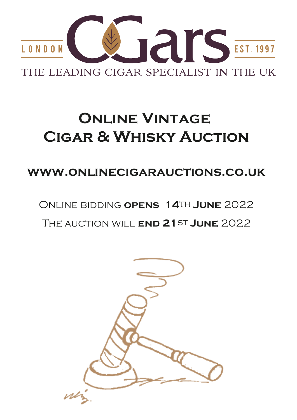

# **Online Vintage Cigar & Whisky Auction**

## **www.onlinecigarauctions.co.uk**

Online bidding **opens 14**th **June** 2022 The auction will **end 21**st **June** 2022

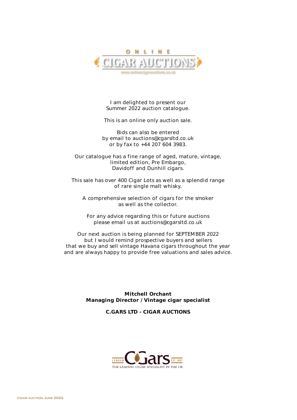

I am delighted to present our Summer 2022 auction catalogue.

This is an online only auction sale.

Bids can also be entered by email to auctions@cgarsltd.co.uk or by fax to +44 207 604 3983.

Our catalogue has a fine range of aged, mature, vintage, limited edition, Pre Embargo, Davidoff and Dunhill cigars.

This sale has over 400 Cigar Lots as well as a splendid range of rare single malt whisky.

A comprehensive selection of cigars for the smoker as well as the collector.

For any advice regarding this or future auctions please email us at auctions@cgarsltd.co.uk

Our next auction is being planned for SEPTEMBER 2022 but I would remind prospective buyers and sellers that we buy and sell vintage Havana cigars throughout the year and are always happy to provide free valuations and sales advice.

> *Mitchell Orchant Managing Director / Vintage cigar specialist*

> > *C.GARS LTD - CIGAR AUCTIONS*

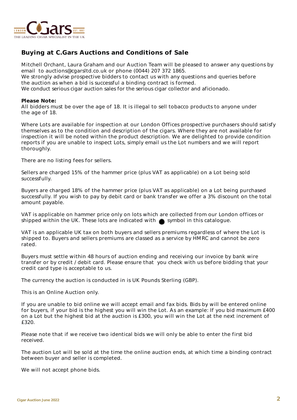

#### *Buying at C.Gars Auctions and Conditions of Sale*

Mitchell Orchant, Laura Graham and our Auction Team will be pleased to answer any questions by email to auctions@cgarsltd.co.uk or phone (0044) 207 372 1865.

We strongly advise prospective bidders to contact us with any questions and queries before the auction as when a bid is successful a binding contract is formed.

We conduct serious cigar auction sales for the serious cigar collector and aficionado.

#### *Please Note:*

All bidders must be over the age of 18. It is illegal to sell tobacco products to anyone under the age of 18.

Where Lots are available for inspection at our London Offices prospective purchasers should satisfy themselves as to the condition and description of the cigars. Where they are not available for inspection it will be noted within the product description. We are delighted to provide condition reports if you are unable to inspect Lots, simply email us the Lot numbers and we will report thoroughly.

There are no listing fees for sellers.

Sellers are charged 15% of the hammer price (plus VAT as applicable) on a Lot being sold successfully.

Buyers are charged 18% of the hammer price (plus VAT as applicable) on a Lot being purchased successfully. If you wish to pay by debit card or bank transfer we offer a 3% discount on the total amount payable.

VAT is applicable on hammer price only on lots which are collected from our London offices or shipped within the UK. These lots are indicated with  $\bullet$  symbol in this catalogue.

VAT is an applicable UK tax on both buyers and sellers premiums regardless of where the Lot is shipped to. Buyers and sellers premiums are classed as a service by HMRC and cannot be zero rated.

Buyers must settle within 48 hours of auction ending and receiving our invoice by bank wire transfer or by credit / debit card. Please ensure that you check with us before bidding that your credit card type is acceptable to us.

The currency the auction is conducted in is UK Pounds Sterling (GBP).

This is an Online Auction only.

If you are unable to bid online we will accept email and fax bids. Bids by will be entered online for buyers, if your bid is the highest you will win the Lot. As an example: If you bid maximum £400 on a Lot but the highest bid at the auction is £300, you will win the Lot at the next increment of £320.

Please note that if we receive two identical bids we will only be able to enter the first bid received.

The auction Lot will be sold at the time the online auction ends, at which time a binding contract between buyer and seller is completed.

We will not accept phone bids.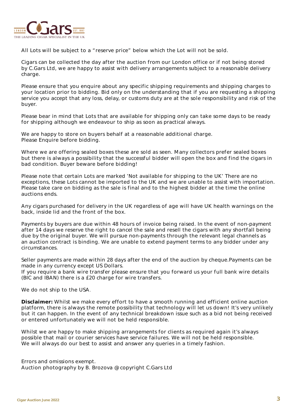

All Lots will be subject to a "reserve price" below which the Lot will not be sold.

Cigars can be collected the day after the auction from our London office or if not being stored by C.Gars Ltd, we are happy to assist with delivery arrangements subject to a reasonable delivery charge.

Please ensure that you enquire about any specific shipping requirements and shipping charges to your location prior to bidding. Bid only on the understanding that if you are requesting a shipping service you accept that any loss, delay, or customs duty are at the sole responsibility and risk of the buyer.

Please bear in mind that Lots that are available for shipping only can take some days to be ready for shipping although we endeavour to ship as soon as practical always.

We are happy to store on buyers behalf at a reasonable additional charge. Please Enquire before bidding.

Where we are offering sealed boxes these are sold as seen. Many collectors prefer sealed boxes but there is always a possibility that the successful bidder will open the box and find the cigars in bad condition. Buyer beware before bidding!

Please note that certain Lots are marked 'Not available for shipping to the UK' There are no exceptions, these Lots cannot be imported to the UK and we are unable to assist with importation. Please take care on bidding as the sale is final and to the highest bidder at the time the online auctions ends.

Any cigars purchased for delivery in the UK regardless of age will have UK health warnings on the back, inside lid and the front of the box.

Payments by buyers are due within 48 hours of invoice being raised. In the event of non-payment after 14 days we reserve the right to cancel the sale and resell the cigars with any shortfall being due by the original buyer. We will pursue non-payments through the relevant legal channels as an auction contract is binding. We are unable to extend payment terms to any bidder under any circumstances.

Seller payments are made within 28 days after the end of the auction by cheque.Payments can be made in any currency except US Dollars.

If you require a bank wire transfer please ensure that you forward us your full bank wire details (BIC and IBAN) there is a £20 charge for wire transfers.

We do not ship to the USA.

**Disclaimer:** Whilst we make every effort to have a smooth running and efficient online auction platform, there is always the remote possibility that technology will let us down! It's very unlikely but it can happen. In the event of any technical breakdown issue such as a bid not being received or entered unfortunately we will not be held responsible.

Whilst we are happy to make shipping arrangements for clients as required again it's always possible that mail or courier services have service failures. We will not be held responsible. We will always do our best to assist and answer any queries in a timely fashion.

Errors and omissions exempt. Auction photography by B. Brozova @ copyright C.Gars Ltd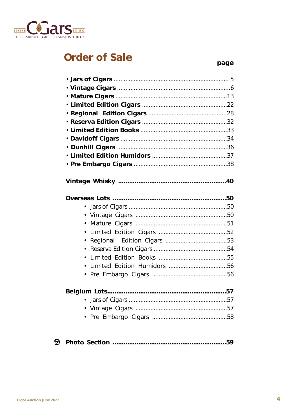

### **Order of Sale**

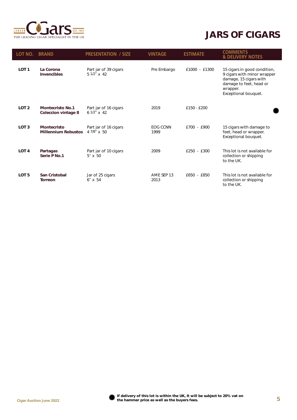

#### *JARS OF CIGARS*

| <b>LOT NO.</b>   | <b>BRAND</b>                                     | <b>PRESENTATION / SIZE</b>               | <b>VINTAGE</b>          | <b>ESTIMATE</b> | <b>COMMENTS</b><br><b>&amp; DELIVERY NOTES</b>                                                                                                       |
|------------------|--------------------------------------------------|------------------------------------------|-------------------------|-----------------|------------------------------------------------------------------------------------------------------------------------------------------------------|
| LOT <sub>1</sub> | La Corona<br><b>Invencibles</b>                  | Part jar of 39 cigars<br>5 1/2" x 42     | Pre Embargo             | £1000 - £1300   | 15 cigars in good condition,<br>9 cigars with minor wrapper<br>damage, 15 cigars with<br>damage to feet, head or<br>wrapper.<br>Exceptional bouquet. |
| LOT <sub>2</sub> | <b>Montecristo No.1</b><br>Coleccion vintage 8   | Part jar of 16 cigars<br>$61/2$ " x 42   | 2019                    | £150 - £200     |                                                                                                                                                      |
| LOT <sub>3</sub> | <b>Montecristo</b><br><b>Millennium Robustos</b> | Part jar of 16 cigars<br>4 7/8" x 50     | <b>EOG CCNN</b><br>1999 | $£700 - £900$   | 15 cigars with damage to<br>feet, head or wrapper.<br>Exceptional bouquet.                                                                           |
| LOT <sub>4</sub> | Partagas<br>Serie P No.1                         | Part jar of 10 cigars<br>$5'' \times 50$ | 2009                    | £250 - £300     | This lot is not available for<br>collection or shipping<br>to the UK.                                                                                |
| LOT <sub>5</sub> | <b>San Cristobal</b><br><b>Torreon</b>           | Jar of 25 cigars<br>$6'' \times 54$      | AME SEP 13<br>2013      | $f650 - f850$   | This lot is not available for<br>collection or shipping<br>to the UK.                                                                                |

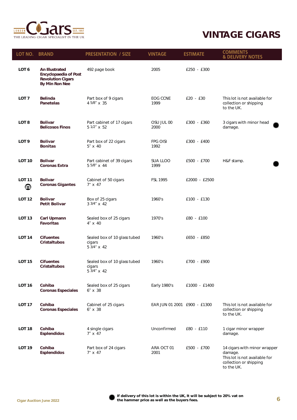

| LOT NO. BRAND      |                                                                                                            | <b>PRESENTATION / SIZE</b>                            | <b>VINTAGE</b>                  | <b>ESTIMATE</b> | <b>COMMENTS</b><br><b>&amp; DELIVERY NOTES</b>                                                                   |
|--------------------|------------------------------------------------------------------------------------------------------------|-------------------------------------------------------|---------------------------------|-----------------|------------------------------------------------------------------------------------------------------------------|
| LOT <sub>6</sub>   | <b>An Illustrated</b><br><b>Encyclopaedia of Post</b><br><b>Revolution Cigars</b><br><b>By Min Ron Nee</b> | 492 page book                                         | 2005                            | £250 - £300     |                                                                                                                  |
| LOT <sub>7</sub>   | <b>Belinda</b><br><b>Panetelas</b>                                                                         | Part box of 9 cigars<br>4 5/8" x 35                   | <b>EOG CCNE</b><br>1999         | $£20 - £30$     | This lot is not available for<br>collection or shipping<br>to the UK.                                            |
| LOT 8              | <b>Bolivar</b><br><b>Belicosos Finos</b>                                                                   | Part cabinet of 17 cigars<br>5 1/2" x 52              | OSU JUL 00<br>2000              | £300 - £360     | 3 cigars with minor head<br>damage.                                                                              |
| LOT <sub>9</sub>   | <b>Bolivar</b><br><b>Bonitas</b>                                                                           | Part box of 22 cigars<br>$5'' \times 40$              | <b>FPG OISI</b><br>1992         | £300 - £400     |                                                                                                                  |
| <b>LOT 10</b>      | <b>Bolivar</b><br>Coronas Extra                                                                            | Part cabinet of 39 cigars<br>5 5/8" x 44              | SUA LLOO<br>1999                | £500 - £700     | H&F stamp.                                                                                                       |
| <b>LOT 11</b><br>❺ | <b>Bolivar</b><br><b>Coronas Gigantes</b>                                                                  | Cabinet of 50 cigars<br>$7'' \times 47$               | <b>FSL 1995</b>                 | £2000 - £2500   |                                                                                                                  |
| <b>LOT 12</b>      | <b>Bolivar</b><br><b>Petit Bolivar</b>                                                                     | Box of 25 cigars<br>3 3/4" x 42                       | 1960's                          | £100 - £130     |                                                                                                                  |
| <b>LOT 13</b>      | Carl Upmann<br><b>Favoritas</b>                                                                            | Sealed box of 25 cigars<br>4" x 40                    | 1970's                          | £80 - £100      |                                                                                                                  |
| <b>LOT 14</b>      | <b>Cifuentes</b><br><b>Cristaltubos</b>                                                                    | Sealed box of 10 glass tubed<br>cigars<br>5 3/4" x 42 | 1960's                          | £650 - £850     |                                                                                                                  |
| <b>LOT 15</b>      | <b>Cifuentes</b><br><b>Cristaltubos</b>                                                                    | Sealed box of 10 glass tubed<br>cigars<br>5 3/4" x 42 | 1960's                          | £700 - £900     |                                                                                                                  |
| <b>LOT 16</b>      | Cohiba<br><b>Coronas Especiales</b>                                                                        | Sealed box of 25 cigars<br>$6'' \times 38$            | Early 1980's                    | £1000 - £1400   |                                                                                                                  |
| <b>LOT 17</b>      | Cohiba<br><b>Coronas Especiales</b>                                                                        | Cabinet of 25 cigars<br>$6'' \times 38$               | EAR JUN 01 2001    E900 - £1300 |                 | This lot is not available for<br>collection or shipping<br>to the UK.                                            |
| <b>LOT 18</b>      | Cohiba<br><b>Esplendidos</b>                                                                               | 4 single cigars<br>$7'' \times 47$                    | Unconfirmed                     | £80 - £110      | 1 cigar minor wrapper<br>damage.                                                                                 |
| <b>LOT 19</b>      | Cohiba<br><b>Esplendidos</b>                                                                               | Part box of 24 cigars<br>$7'' \times 47$              | ARA OCT 01<br>2001              | £500 - £700     | 14 cigars with minor wrapper<br>damage.<br>This lot is not available for<br>collection or shipping<br>to the UK. |

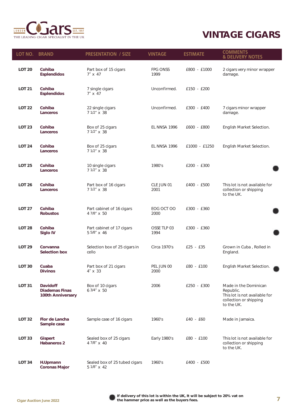

| LOT NO. BRAND |                                                               | <b>PRESENTATION / SIZE</b>                   | <b>VINTAGE</b>          | <b>ESTIMATE</b> | <b>COMMENTS</b><br><b>&amp; DELIVERY NOTES</b>                                                              |
|---------------|---------------------------------------------------------------|----------------------------------------------|-------------------------|-----------------|-------------------------------------------------------------------------------------------------------------|
| <b>LOT 20</b> | Cohiba<br><b>Esplendidos</b>                                  | Part box of 15 cigars<br>$7'' \times 47$     | <b>FPG ONSS</b><br>1999 | £800 - £1000    | 2 cigars very minor wrapper<br>damage.                                                                      |
| <b>LOT 21</b> | Cohiba<br><b>Esplendidos</b>                                  | 7 single cigars<br>$7'' \times 47$           | Unconfirmed.            | £150 - £200     |                                                                                                             |
| <b>LOT 22</b> | Cohiba<br>Lanceros                                            | 22 single cigars<br>7 1/2" x 38              | Unconfirmed.            | $£300 - £400$   | 7 cigars minor wrapper<br>damage.                                                                           |
| <b>LOT 23</b> | Cohiba<br>Lanceros                                            | Box of 25 cigars<br>7 1/2" x 38              | EL NNSA 1996            | £600 - £800     | English Market Selection.                                                                                   |
| <b>LOT 24</b> | Cohiba<br>Lanceros                                            | Box of 25 cigars<br>7 1/2" x 38              | <b>EL NNSA 1996</b>     | £1000 - £1250   | English Market Selection.                                                                                   |
| <b>LOT 25</b> | Cohiba<br>Lanceros                                            | 10 single cigars<br>7 1/2" x 38              | 1980's                  | £200 - £300     |                                                                                                             |
| <b>LOT 26</b> | Cohiba<br>Lanceros                                            | Part box of 16 cigars<br>7 1/2" x 38         | CLE JUN 01<br>2001      | £400 - £500     | This lot is not available for<br>collection or shipping<br>to the UK.                                       |
| <b>LOT 27</b> | Cohiba<br><b>Robustos</b>                                     | Part cabinet of 16 cigars<br>4 7/8" x 50     | EOG OCT OO<br>2000      | £300 - £360     |                                                                                                             |
| <b>LOT 28</b> | Cohiba<br>Siglo IV                                            | Part cabinet of 17 cigars<br>5 5/8" x 46     | OSSE TLP 03<br>1994     | £300 - £360     |                                                                                                             |
| <b>LOT 29</b> | Corvanna<br><b>Selection box</b>                              | Selection box of 25 cigars in<br>cello       | Circa 1970's            | $£25 - £35$     | Grown in Cuba, Rolled in<br>England.                                                                        |
| <b>LOT 30</b> | Cuaba<br>Divinos                                              | Part box of 21 cigars<br>4" x 33             | PEL JUN 00<br>2000      | £80 - £100      | English Market Selection.                                                                                   |
| <b>LOT 31</b> | <b>Davidoff</b><br><b>Diademas Finas</b><br>100th Anniversary | Box of 10 cigars<br>6 3/4" x 50              | 2006                    | £250 - £300     | Made in the Dominican<br>Republic.<br>This lot is not available for<br>collection or shipping<br>to the UK. |
| <b>LOT 32</b> | <b>Flor de Lancha</b><br>Sample case                          | Sample case of 16 cigars                     | 1960's                  | $E40 - E60$     | Made in Jamaica.                                                                                            |
| <b>LOT 33</b> | <b>Gispert</b><br><b>Habaneros 2</b>                          | Sealed box of 25 cigars<br>4 7/8" x 40       | Early 1980's            | £80 - £100      | This lot is not available for<br>collection or shipping<br>to the UK.                                       |
| <b>LOT 34</b> | H.Upmann<br><b>Coronas Major</b>                              | Sealed box of 25 tubed cigars<br>5 1/8" x 42 | 1960's                  | £400 - £500     |                                                                                                             |

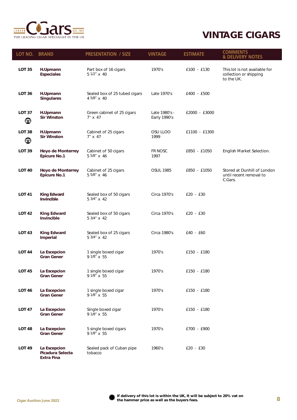

| LOT NO.            | <b>BRAND</b>                                    | <b>PRESENTATION / SIZE</b>                    | <b>VINTAGE</b>                | <b>ESTIMATE</b> | <b>COMMENTS</b><br><b>&amp; DELIVERY NOTES</b>                        |
|--------------------|-------------------------------------------------|-----------------------------------------------|-------------------------------|-----------------|-----------------------------------------------------------------------|
| LOT 35             | H.Upmann<br><b>Especiales</b>                   | Part box of 16 cigars<br>5 1/2" x 40          | 1970's                        | £100 - £130     | This lot is not available for<br>collection or shipping<br>to the UK. |
| <b>LOT 36</b>      | H.Upmann<br><b>Singulares</b>                   | Sealed box of 25 tubed cigars<br>4 5/8" x 40  | Late 1970's                   | £400 - £500     |                                                                       |
| <b>LOT 37</b><br>❺ | H.Upmann<br><b>Sir Winston</b>                  | Green cabinet of 25 cigars<br>$7'' \times 47$ | Late 1980's -<br>Early 1990's | £2000 - £3000   |                                                                       |
| <b>LOT 38</b><br>❻ | H.Upmann<br><b>Sir Winston</b>                  | Cabinet of 25 cigars<br>$7'' \times 47$       | OSU LLOO<br>1999              | £1100 - £1300   |                                                                       |
| LOT 39             | <b>Hoyo de Monterrey</b><br><b>Epicure No.1</b> | Cabinet of 50 cigars<br>5 5/8" x 46           | FR NOSC<br>1997               | £850 - £1050    | English Market Selection.                                             |
| <b>LOT 40</b>      | <b>Hoyo de Monterrey</b><br><b>Epicure No.1</b> | Cabinet of 25 cigars<br>5 5/8" x 46           | <b>OSUL 1985</b>              | £850 - £1050    | Stored at Dunhill of London<br>until recent removal to<br>C.Gars.     |
| <b>LOT 41</b>      | <b>King Edward</b><br><b>Invincible</b>         | Sealed box of 50 cigars<br>5 3/4" x 42        | Circa 1970's                  | $£20 - £30$     |                                                                       |
| <b>LOT 42</b>      | <b>King Edward</b><br><b>Invincible</b>         | Sealed box of 50 cigars<br>5 3/4" x 42        | Circa 1970's                  | $£20 - £30$     |                                                                       |
| <b>LOT 43</b>      | <b>King Edward</b><br><b>Imperial</b>           | Sealed box of 25 cigars<br>5 3/4" x 42        | Circa 1980's                  | $E40 - E60$     |                                                                       |
| <b>LOT 44</b>      | La Escepcion<br><b>Gran Gener</b>               | 1 single boxed cigar<br>9 1/8" x 55           | 1970's                        | £150 - £180     |                                                                       |
| <b>LOT 45</b>      | La Escepcion<br><b>Gran Gener</b>               | 1 single boxed cigar<br>9 1/8" x 55           | 1970's                        | £150 - £180     |                                                                       |
| <b>LOT 46</b>      | La Escepcion<br><b>Gran Gener</b>               | 1 single boxed cigar<br>9 1/8" x 55           | 1970's                        | £150 - £180     |                                                                       |
| <b>LOT 47</b>      | La Escepcion<br><b>Gran Gener</b>               | Single boxed cigar<br>9 1/8" x 55             | 1970's                        | £150 - £180     |                                                                       |
| <b>LOT 48</b>      | La Escepcion<br><b>Gran Gener</b>               | 5 single boxed cigars<br>9 1/8" x 55          | 1970's                        | £700 - £900     |                                                                       |
| <b>LOT 49</b>      | La Escepcion<br>Picadura Selecta<br>Extra Fina  | Sealed pack of Cuban pipe<br>tobacco          | 1960's                        | $£20 - £30$     |                                                                       |

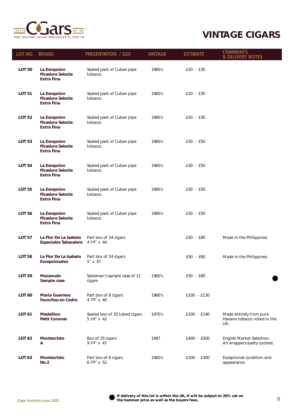

| LOT NO. BRAND |                                                       | <b>PRESENTATION / SIZE</b>                   | <b>VINTAGE</b> | <b>ESTIMATE</b> | <b>COMMENTS</b><br><b>&amp; DELIVERY NOTES</b>                 |
|---------------|-------------------------------------------------------|----------------------------------------------|----------------|-----------------|----------------------------------------------------------------|
| <b>LOT 50</b> | La Escepcion<br>Picadura Selecta<br>Extra Fina        | Sealed pack of Cuban pipe<br>tobacco         | 1960's         | $£20 - £30$     |                                                                |
| LOT 51        | La Escepcion<br>Picadura Selecta<br>Extra Fina        | Sealed pack of Cuban pipe<br>tobacco         | 1960's         | $£20 - £30$     |                                                                |
| <b>LOT 52</b> | La Escepcion<br>Picadura Selecta<br>Extra Fina        | Sealed pack of Cuban pipe<br>tobacco         | 1960's         | $£20 - £30$     |                                                                |
| LOT 53        | La Escepcion<br>Picadura Selecta<br><b>Extra Fina</b> | Sealed pack of Cuban pipe<br>tobacco         | 1960's         | $£30 - £50$     |                                                                |
| <b>LOT 54</b> | La Escepcion<br>Picadura Selecta<br>Extra Fina        | Sealed pack of Cuban pipe<br>tobacco         | 1960's         | $£30 - £50$     |                                                                |
| <b>LOT 55</b> | La Escepcion<br>Picadura Selecta<br><b>Extra Fina</b> | Sealed pack of Cuban pipe<br>tobacco         | 1960's         | $£30 - £50$     |                                                                |
| LOT 56        | La Escepcion<br>Picadura Selecta<br>Extra Fina        | Sealed pack of Cuban pipe<br>tobacco         | 1960's         | $£30 - £50$     |                                                                |
| LOT 57        | La Flor De La Isabela<br>Especiales Tabacalera        | Part box of 24 cigars<br>4 1/4" x 44         |                | £50 - £80       | Made in the Philippines.                                       |
| LOT 58        | La Flor De La Isabela<br>Excepcionales                | Part box of 24 cigars<br>$5'' \times 47$     |                | £50 - £80       | Made in the Philippines.                                       |
| LOT 59        | Macanudo<br>Sample case                               | Salesman's sample case of 11<br>cigars       | 1960's         | £50 - £80       |                                                                |
| <b>LOT 60</b> | <b>Maria Guerrero</b><br><b>Favoritas en Cedro</b>    | Part box of 8 cigars<br>4 7/8" x 40          | 1960's         | £100 - £130     |                                                                |
| LOT 61        | <b>Medallion</b><br><b>Petit Coronas</b>              | Sealed box of 25 tubed cigars<br>5 1/8" x 42 | 1970's         | £100 - £140     | Made entirely from pure<br>Havana tobacco rolled in the<br>UK. |
| LOT 62        | <b>Montecristo</b><br>A                               | Box of 25 cigars<br>9 1/4" x 47              | 1997           | £400 - £500     | English Market Selection.<br>All wrappers badly cockled.       |
| <b>LOT 63</b> | <b>Montecristo</b><br>No.2                            | Part box of 6 cigars<br>6 1/8" x 52          | 1960's         | $£200 - £300$   | Exceptional condition and<br>appearance.                       |

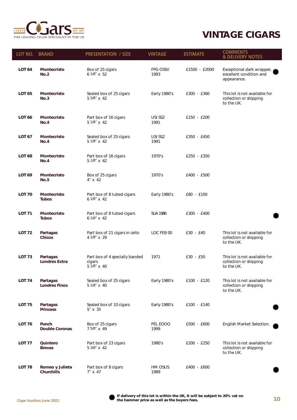

| LOT NO.       | <b>BRAND</b>                          | <b>PRESENTATION / SIZE</b>                              | <b>VINTAGE</b>              | <b>ESTIMATE</b> | <b>COMMENTS</b><br><b>&amp; DELIVERY NOTES</b>                        |
|---------------|---------------------------------------|---------------------------------------------------------|-----------------------------|-----------------|-----------------------------------------------------------------------|
| <b>LOT 64</b> | <b>Montecristo</b><br>No.2            | Box of 25 cigars<br>6 1/8" x 52                         | <b>FPG OSSV</b><br>1993     | £1500 - £2000   | Exceptional dark wrapper,<br>excellent condition and<br>appearance.   |
| <b>LOT 65</b> | <b>Montecristo</b><br><b>No.3</b>     | Sealed box of 25 cigars<br>5 5/8" x 42                  | Early 1980's                | £300 - £360     | This lot is not available for<br>collection or shipping<br>to the UK. |
| <b>LOT 66</b> | <b>Montecristo</b><br><b>No.4</b>     | Part box of 16 cigars<br>5 1/8" x 42                    | USI SS <sub>2</sub><br>1991 | £150 - £200     |                                                                       |
| <b>LOT 67</b> | <b>Montecristo</b><br>No.4            | Sealed box of 25 cigars<br>5 1/8" x 42                  | USI SS <sub>2</sub><br>1991 | £350 - £450     |                                                                       |
| <b>LOT 68</b> | <b>Montecristo</b><br>No.4            | Part box of 16 cigars<br>5 1/8" x 42                    | 1970's                      | £250 - £350     |                                                                       |
| <b>LOT 69</b> | <b>Montecristo</b><br><b>No.5</b>     | Box of 25 cigars<br>4" x 42                             | 1970's                      | £400 - £500     |                                                                       |
| <b>LOT 70</b> | <b>Montecristo</b><br><b>Tubos</b>    | Part box of 8 tubed cigars<br>$61/8$ " x 42             | Early 1980's                | £80 - £100      |                                                                       |
| <b>LOT 71</b> | <b>Montecristo</b><br><b>Tubos</b>    | Part box of 8 tubed cigars<br>6 1/8" x 42               | <b>SUA 1986</b>             | £300 - £400     |                                                                       |
| <b>LOT 72</b> | <b>Partagas</b><br><b>Chicos</b>      | Part box of 21 cigars in cello<br>4 1/8" x 29           | LOC FEB 00                  | $£30 - £40$     | This lot is not available for<br>collection or shipping<br>to the UK. |
| <b>LOT 73</b> | Partagas<br><b>Londres Extra</b>      | Part box of 4 specially banded<br>cigars<br>5 1/8" x 40 | 1971                        | $£30 - £50$     | This lot is not available for<br>collection or shipping<br>to the UK. |
| <b>LOT 74</b> | Partagas<br><b>Londres Finos</b>      | Sealed box of 25 cigars<br>5 1/8" x 40                  | Early 1980's                | £100 - £120     | This lot is not available for<br>collection or shipping<br>to the UK. |
| <b>LOT 75</b> | Partagas<br><b>Princess</b>           | Sealed box of 10 cigars<br>$5'' \times 35$              | Early 1980's                | £100 - £140     |                                                                       |
| <b>LOT 76</b> | <b>Punch</b><br><b>Double Coronas</b> | Box of 25 cigars<br>7 5/8" x 49                         | PEL EOOO<br>1999            | £500 - £600     | English Market Selection.                                             |
| LOT 77        | Quintero<br><b>Brevas</b>             | Part box of 23 cigars<br>5 3/8" x 42                    | 1980's                      | £200 - £250     | This lot is not available for<br>collection or shipping<br>to the UK. |
| LOT 78        | Romeo y Julieta<br><b>Churchills</b>  | Part box of 8 cigars<br>$7'' \times 47$                 | HM OSUS<br>1989             | £400 - £600     |                                                                       |

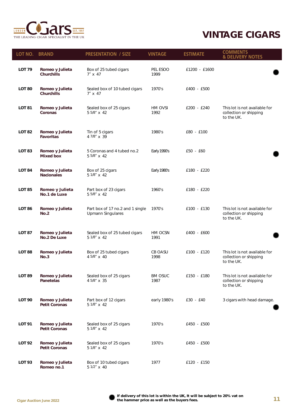

| LOT NO. BRAND |                                         | <b>PRESENTATION / SIZE</b>                                   | <b>VINTAGE</b>         | <b>ESTIMATE</b> | <b>COMMENTS</b><br><b>&amp; DELIVERY NOTES</b>                        |
|---------------|-----------------------------------------|--------------------------------------------------------------|------------------------|-----------------|-----------------------------------------------------------------------|
| <b>LOT 79</b> | Romeo y Julieta<br><b>Churchills</b>    | Box of 25 tubed cigars<br>$7'' \times 47$                    | PEL ESOO<br>1999       | £1200 - £1600   |                                                                       |
| <b>LOT 80</b> | Romeo y Julieta<br><b>Churchills</b>    | Sealed box of 10 tubed cigars<br>$7'' \times 47$             | 1970's                 | £400 - £500     |                                                                       |
| <b>LOT 81</b> | Romeo y Julieta<br>Coronas              | Sealed box of 25 cigars<br>5 5/8" x 42                       | HM OVSI<br>1992        | £200 - £240     | This lot is not available for<br>collection or shipping<br>to the UK. |
| <b>LOT 82</b> | Romeo y Julieta<br><b>Favoritas</b>     | Tin of 5 cigars<br>4 7/8" x 39                               | 1980's                 | £80 - £100      |                                                                       |
| <b>LOT 83</b> | Romeo y Julieta<br><b>Mixed box</b>     | 5 Coronas and 4 tubed no.2<br>$55/8$ " x 42                  | <b>Early 1990's</b>    | $£50 - £60$     |                                                                       |
| <b>LOT 84</b> | Romeo y Julieta<br><b>Nacionales</b>    | Box of 25 cigars<br>5 1/8" x 42                              | <b>Early 1980's</b>    | £180 - £220     |                                                                       |
| LOT 85        | Romeo y Julieta<br>No.1 de Luxe         | Part box of 23 cigars<br>5 5/8" x 42                         | 1960's                 | £180 - £220     |                                                                       |
| <b>LOT 86</b> | Romeo y Julieta<br>No.2                 | Part box of 17 no.2 and 1 single<br><b>Upmann Singulares</b> | 1970's                 | £100 - £130     | This lot is not available for<br>collection or shipping<br>to the UK. |
| <b>LOT 87</b> | Romeo y Julieta<br>No.2 De Luxe         | Sealed box of 25 tubed cigars<br>$51/8$ " x 42               | HM OCSN<br>1991        | £400 - £600     |                                                                       |
| <b>LOT 88</b> | Romeo y Julieta<br><b>No.3</b>          | Box of 25 tubed cigars<br>4 5/8" x 40                        | <b>CB OASU</b><br>1998 | £100 - £120     | This lot is not available for<br>collection or shipping<br>to the UK. |
| LOT 89        | Romeo y Julieta<br><b>Panetelas</b>     | Sealed box of 25 cigars<br>4 5/8" x 35                       | <b>BM OSUC</b><br>1987 | £150 - £180     | This lot is not available for<br>collection or shipping<br>to the UK. |
| <b>LOT 90</b> | Romeo y Julieta<br><b>Petit Coronas</b> | Part box of 12 cigars<br>5 1/8" x 42                         | early 1980's           | £30 - £40       | 3 cigars with head damage.                                            |
| <b>LOT 91</b> | Romeo y Julieta<br><b>Petit Coronas</b> | Sealed box of 25 cigars<br>5 1/8" x 42                       | 1970's                 | £450 - £500     |                                                                       |
| <b>LOT 92</b> | Romeo y Julieta<br><b>Petit Coronas</b> | Sealed box of 25 cigars<br>5 1/8" x 42                       | 1970's                 | £450 - £500     |                                                                       |
| LOT 93        | Romeo y Julieta<br>Romeo no.1           | Box of 10 tubed cigars<br>5 1/2" x 40                        | 1977                   | £120 - £150     |                                                                       |

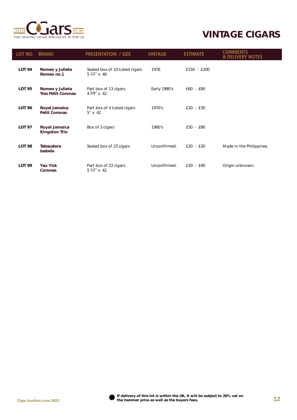

| LOT NO. BRAND |                                              | <b>PRESENTATION / SIZE</b>                    | VINTAGE      | <b>ESTIMATE</b> | <b>COMMENTS</b><br><b>&amp; DELIVERY NOTES</b> |
|---------------|----------------------------------------------|-----------------------------------------------|--------------|-----------------|------------------------------------------------|
| <b>LOT 94</b> | Romeo y Julieta<br>Romeo no.1                | Sealed box of 10 tubed cigars<br>5 1/2" x 40  | 1976         | £150 - £200     |                                                |
| LOT 95        | Romeo y Julieta<br><b>Tres Petit Coronas</b> | Part box of 13 cigars<br>4 5/8" x 42          | Early 1980's | $E60 - E80$     |                                                |
| <b>LOT 96</b> | Royal Jamaica<br><b>Petit Coronas</b>        | Part box of 4 tubed cigars<br>$5'' \times 42$ | 1970's       | $£20 - £30$     |                                                |
| <b>LOT 97</b> | Royal Jamaica<br><b>Kingston Trio</b>        | Box of 3 cigars                               | 1960's       | £50 - £80       |                                                |
| <b>LOT 98</b> | <b>Tabacalera</b><br>Isabela                 | Sealed box of 25 cigars                       | Unconfirmed. | $£20 - £30$     | Made in the Philippines.                       |
| LOT 99        | <b>Yau Yick</b><br>Coronas                   | Part box of 22 cigars<br>5 1/2" x 42          | Unconfirmed. | $£20 - £40$     | Origin unknown.                                |

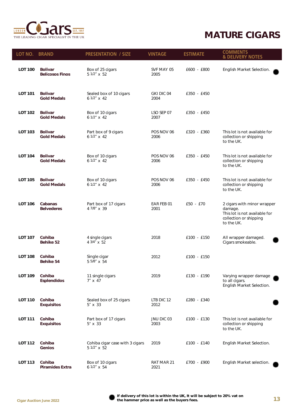

| LOT NO.        | <b>BRAND</b>                             | <b>PRESENTATION / SIZE</b>                     | <b>VINTAGE</b>     | <b>ESTIMATE</b> | <b>COMMENTS</b><br><b>&amp; DELIVERY NOTES</b>                                                                  |
|----------------|------------------------------------------|------------------------------------------------|--------------------|-----------------|-----------------------------------------------------------------------------------------------------------------|
| <b>LOT 100</b> | <b>Bolivar</b><br><b>Belicosos Finos</b> | Box of 25 cigars<br>5 1/2" x 52                | SVF MAY 05<br>2005 | £600 - £800     | English Market Selection.                                                                                       |
| <b>LOT 101</b> | <b>Bolivar</b><br><b>Gold Medals</b>     | Sealed box of 10 cigars<br>$61/2$ " x 42       | GKI DIC 04<br>2004 | £350 - £450     |                                                                                                                 |
| <b>LOT 102</b> | <b>Bolivar</b><br><b>Gold Medals</b>     | Box of 10 cigars<br>6 1/2" x 42                | LSO SEP 07<br>2007 | £350 - £450     |                                                                                                                 |
| <b>LOT 103</b> | <b>Bolivar</b><br><b>Gold Medals</b>     | Part box of 9 cigars<br>$61/2$ " x 42          | POS NOV 06<br>2006 | £320 - £360     | This lot is not available for<br>collection or shipping<br>to the UK.                                           |
| <b>LOT 104</b> | <b>Bolivar</b><br><b>Gold Medals</b>     | Box of 10 cigars<br>6 1/2" x 42                | POS NOV 06<br>2006 | £350 - £450     | This lot is not available for<br>collection or shipping<br>to the UK.                                           |
| <b>LOT 105</b> | <b>Bolivar</b><br><b>Gold Medals</b>     | Box of 10 cigars<br>$61/2$ " x 42              | POS NOV 06<br>2006 | £350 - £450     | This lot is not available for<br>collection or shipping<br>to the UK.                                           |
| <b>LOT 106</b> | Cabanas<br><b>Belvederes</b>             | Part box of 17 cigars<br>4 7/8" x 39           | EAR FEB 01<br>2001 | £50 - £70       | 2 cigars with minor wrapper<br>damage.<br>This lot is not available for<br>collection or shipping<br>to the UK. |
| <b>LOT 107</b> | Cohiba<br><b>Behike 52</b>               | 4 single cigars<br>4 3/4" x 52                 | 2018               | £100 - £150     | All wrapper damaged.<br>Cigars smokeable.                                                                       |
| <b>LOT 108</b> | Cohiba<br><b>Behike 54</b>               | Single cigar<br>5 5/8" x 54                    | 2012               | £100 - £150     |                                                                                                                 |
| <b>LOT 109</b> | Cohiba<br><b>Esplendidos</b>             | 11 single cigars<br>$7'' \times 47$            | 2019               | £130 - £190     | Varying wrapper damage<br>to all cigars.<br>English Market Selection.                                           |
| <b>LOT 110</b> | Cohiba<br><b>Exquisitos</b>              | Sealed box of 25 cigars<br>5" x 33             | LTB DIC 12<br>2012 | £280 - £340     |                                                                                                                 |
| LOT 111        | Cohiba<br><b>Exquisitos</b>              | Part box of 17 cigars<br>$5'' \times 33$       | JNU DIC 03<br>2003 | £100 - £130     | This lot is not available for<br>collection or shipping<br>to the UK.                                           |
| <b>LOT 112</b> | Cohiba<br>Genios                         | Cohiba cigar case with 3 cigars<br>5 1/2" x 52 | 2019               | £100 - £140     | English Market Selection.                                                                                       |
| <b>LOT 113</b> | Cohiba<br>Piramides Extra                | Box of 10 cigars<br>6 1/2" x 54                | RAT MAR 21<br>2021 | £700 - £900     | English Market selection.                                                                                       |

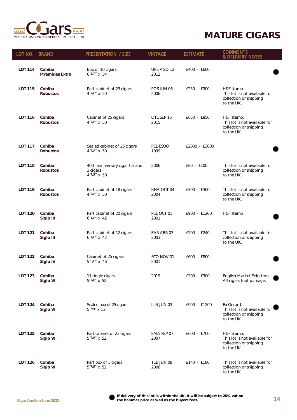

| LOT NO. BRAND  |                                  | <b>PRESENTATION / SIZE</b>                                | <b>VINTAGE</b>     | <b>ESTIMATE</b> | <b>COMMENTS</b><br><b>&amp; DELIVERY NOTES</b>                                      |
|----------------|----------------------------------|-----------------------------------------------------------|--------------------|-----------------|-------------------------------------------------------------------------------------|
| <b>LOT 114</b> | Cohiba<br><b>Piramides Extra</b> | Box of 10 cigars<br>6 1/2" x 54                           | UPE AGO 12<br>2012 | £400 - £600     |                                                                                     |
| <b>LOT 115</b> | Cohiba<br><b>Robustos</b>        | Part cabinet of 23 cigars<br>4 7/8" x 50                  | POS JUN 06<br>2006 | £250 - £300     | H&F stamp.<br>This lot is not available for<br>collection or shipping<br>to the UK. |
| <b>LOT 116</b> | Cohiba<br><b>Robustos</b>        | Cabinet of 25 cigars<br>4 7/8" x 50                       | OTL SEP 15<br>2015 | £650 - £850     | H&F stamp.<br>This lot is not available for<br>collection or shipping<br>to the UK. |
| <b>LOT 117</b> | Cohiba<br><b>Robustos</b>        | Sealed cabinet of 25 cigars<br>4 7/8" x 50                | PEL ESOO<br>1999   | £2000 - £3000   |                                                                                     |
| <b>LOT 118</b> | Cohiba<br><b>Robustos</b>        | 40th anniversary cigar tin and<br>3 cigars<br>4 7/8" x 50 | 2006               | £80 - £100      | This lot is not available for<br>collection or shipping<br>to the UK.               |
| <b>LOT 119</b> | Cohiba<br><b>Robustos</b>        | Part cabinet of 18 cigars<br>4 7/8" x 50                  | KNA OCT 04<br>2004 | £300 - £360     | This lot is not available for<br>collection or shipping<br>to the UK.               |
| <b>LOT 120</b> | Cohiba<br>Siglo III              | Part cabinet of 20 cigars<br>6 1/8" x 42                  | PEL OCT 01<br>2001 | £900 - £1200    | H&F stamp                                                                           |
| <b>LOT 121</b> | Cohiba<br>Siglo III              | Part cabinet of 12 cigars<br>6 1/8" x 42                  | EAR ABR 03<br>2003 | £200 - £240     | This lot is not available for<br>collection or shipping<br>to the UK.               |
| <b>LOT 122</b> | Cohiba<br>Siglo IV               | Cabinet of 25 cigars<br>5 5/8" x 46                       | SCO NOV 01<br>2001 | £600 - £800     |                                                                                     |
| <b>LOT 123</b> | Cohiba<br>Siglo VI               | 11 single cigars<br>5 7/8" x 52                           | 2019               | £200 - £300     | English Market Selection.<br>All cigars foot damage.                                |
| <b>LOT 124</b> | Cohiba<br>Siglo VI               | Sealed box of 25 cigars<br>57/8" x 52                     | LLN JUN 03         | £900 - £1200    | Ex Gerard.<br>This lot is not available for<br>collection or shipping<br>to the UK. |
| <b>LOT 125</b> | Cohiba<br>Siglo VI               | Part cabinet of 23 cigars<br>5 7/8" x 52                  | EMA SEP 07<br>2007 | $£600 - £700$   | H&F stamp.<br>This lot is not available for<br>collection or shipping<br>to the UK. |
| <b>LOT 126</b> | Cohiba<br>Siglo VI               | Part box of 5 cigars<br>5 7/8" x 52                       | TEB JUN 08<br>2008 | £140 - £180     | This lot is not available for<br>collection or shipping<br>to the UK.               |

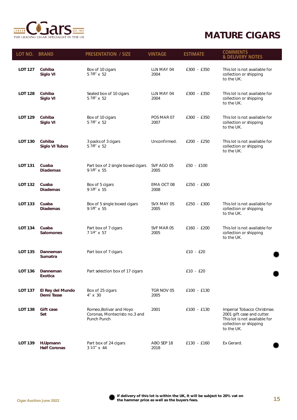

| LOT NO. BRAND  |                                              | <b>PRESENTATION / SIZE</b>                                              | <b>VINTAGE</b>     | <b>ESTIMATE</b> | <b>COMMENTS</b><br><b>&amp; DELIVERY NOTES</b>                                                                                    |
|----------------|----------------------------------------------|-------------------------------------------------------------------------|--------------------|-----------------|-----------------------------------------------------------------------------------------------------------------------------------|
| <b>LOT 127</b> | Cohiba<br>Siglo VI                           | Box of 10 cigars<br>5 7/8" x 52                                         | LLN MAY 04<br>2004 | £300 - £350     | This lot is not available for<br>collection or shipping<br>to the UK.                                                             |
| <b>LOT 128</b> | Cohiba<br>Siglo VI                           | Sealed box of 10 cigars<br>5 7/8" x 52                                  | LLN MAY 04<br>2004 | £300 - £350     | This lot is not available for<br>collection or shipping<br>to the UK.                                                             |
| <b>LOT 129</b> | Cohiba<br>Siglo VI                           | Box of 10 cigars<br>5 7/8" x 52                                         | POS MAR 07<br>2007 | £300 - £350     | This lot is not available for<br>collection or shipping<br>to the UK.                                                             |
| <b>LOT 130</b> | Cohiba<br><b>Siglo VI Tubos</b>              | 3 packs of 3 cigars<br>5 7/8" x 52                                      | Unconfirmed.       | £200 - £250     | This lot is not available for<br>collection or shipping<br>to the UK.                                                             |
| <b>LOT 131</b> | Cuaba<br><b>Diademas</b>                     | Part box of 2 single boxed cigars<br>9 1/8" x 55                        | SVF AGO 05<br>2005 | £50 - £100      |                                                                                                                                   |
| <b>LOT 132</b> | Cuaba<br><b>Diademas</b>                     | Box of 5 cigars<br>9 1/8" x 55                                          | EMA OCT 08<br>2008 | £250 - £300     |                                                                                                                                   |
| LOT 133        | Cuaba<br><b>Diademas</b>                     | Box of 5 single boxed cigars<br>9 1/8" x 55                             | SVX MAY 05<br>2005 | £250 - £300     | This lot is not available for<br>collection or shipping<br>to the UK.                                                             |
| <b>LOT 134</b> | Cuaba<br><b>Salomones</b>                    | Part box of 7 cigars<br>7 1/4" x 57                                     | SVF MAR 05<br>2005 | $£160 - £200$   | This lot is not available for<br>collection or shipping<br>to the UK.                                                             |
| <b>LOT 135</b> | Danneman<br>Sumatra                          | Part box of 7 cigars                                                    |                    | $£10 - £20$     |                                                                                                                                   |
| LOT 136        | Danneman<br>Exotica                          | Part selection box of 17 cigars                                         |                    | £10 - £20       |                                                                                                                                   |
| <b>LOT 137</b> | <b>El Rey del Mundo</b><br><b>Demi Tasse</b> | Box of 25 cigars<br>$4'' \times 30$                                     | TGR NOV 05<br>2005 | £100 - £130     |                                                                                                                                   |
| <b>LOT 138</b> | Gift case<br>Set                             | Romeo, Bolivar and Hoyo<br>Coronas, Montecristo no.3 and<br>Punch Punch | 2001               | £100 - £130     | Imperial Tobacco Christmas<br>2001 gift case and cutter.<br>This lot is not available for<br>collection or shipping<br>to the UK. |
| LOT 139        | H.Upmann<br><b>Half Coronas</b>              | Part box of 24 cigars<br>3 1/2" x 44                                    | ABO SEP 18<br>2018 | £130 - £160     | Ex Gerard.                                                                                                                        |

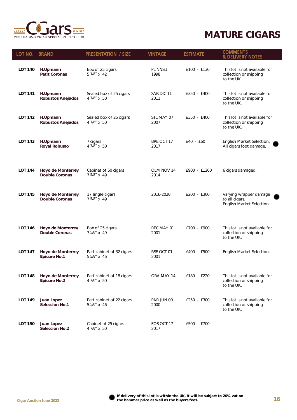

| LOT NO.        | <b>BRAND</b>                                      | <b>PRESENTATION / SIZE</b>               | <b>VINTAGE</b>     | <b>ESTIMATE</b> | <b>COMMENTS</b><br><b>&amp; DELIVERY NOTES</b>                        |
|----------------|---------------------------------------------------|------------------------------------------|--------------------|-----------------|-----------------------------------------------------------------------|
| <b>LOT 140</b> | H.Upmann<br><b>Petit Coronas</b>                  | Box of 25 cigars<br>5 1/8" x 42          | PL NNSU<br>1998    | £100 - £130     | This lot is not available for<br>collection or shipping<br>to the UK. |
| <b>LOT 141</b> | H.Upmann<br><b>Robustos Anejados</b>              | Sealed box of 25 cigars<br>4 7/8" x 50   | SAR DIC 11<br>2011 | £350 - £400     | This lot is not available for<br>collection or shipping<br>to the UK. |
| <b>LOT 142</b> | H.Upmann<br><b>Robustos Anejados</b>              | Sealed box of 25 cigars<br>4 7/8" x 50   | STL MAY 07<br>2007 | £350 - £400     | This lot is not available for<br>collection or shipping<br>to the UK. |
| <b>LOT 143</b> | H.Upmann<br><b>Royal Robusto</b>                  | 7 cigars<br>4 7/8" x 50                  | BRE OCT 17<br>2017 | $E40 - E60$     | English Market Selection.<br>All cigars foot damage.                  |
| <b>LOT 144</b> | <b>Hoyo de Monterrey</b><br><b>Double Coronas</b> | Cabinet of 50 cigars<br>7 5/8" x 49      | OLM NOV 14<br>2014 | £900 - £1200    | 6 cigars damaged.                                                     |
| <b>LOT 145</b> | <b>Hoyo de Monterrey</b><br><b>Double Coronas</b> | 17 single cigars<br>7 5/8" x 49          | 2016-2020          | £200 - £300     | Varying wrapper damage<br>to all cigars.<br>English Market Selection. |
| <b>LOT 146</b> | <b>Hoyo de Monterrey</b><br><b>Double Coronas</b> | Box of 25 cigars<br>7 5/8" x 49          | REC MAY 01<br>2001 | £700 - £900     | This lot is not available for<br>collection or shipping<br>to the UK. |
| <b>LOT 147</b> | <b>Hoyo de Monterrey</b><br><b>Epicure No.1</b>   | Part cabinet of 32 cigars<br>5 5/8" x 46 | RSE OCT 01<br>2001 | £400 - £500     | English Market Selection.                                             |
| LOT 148        | <b>Hoyo de Monterrey</b><br><b>Epicure No.2</b>   | Part cabinet of 18 cigars<br>4 7/8" x 50 | ORA MAY 14         | £180 - £220     | This lot is not available for<br>collection or shipping<br>to the UK. |
| <b>LOT 149</b> | <b>Juan Lopez</b><br><b>Seleccion No.1</b>        | Part cabinet of 22 cigars<br>5 5/8" x 46 | PAR JUN 00<br>2000 | £250 - £300     | This lot is not available for<br>collection or shipping<br>to the UK. |
| <b>LOT 150</b> | <b>Juan Lopez</b><br><b>Seleccion No.2</b>        | Cabinet of 25 cigars<br>4 7/8" x 50      | EOS OCT 17<br>2017 | £500 - £700     |                                                                       |

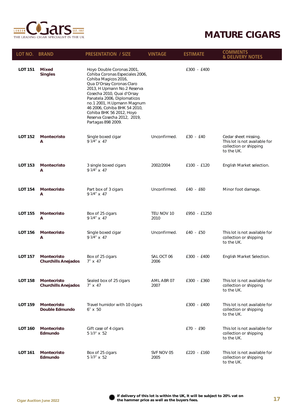

| LOT NO. BRAND  |                                                  | <b>PRESENTATION / SIZE</b>                                                                                                                                                                                                                                                                                                                                   | <b>VINTAGE</b>     | <b>ESTIMATE</b> | <b>COMMENTS</b><br><b>&amp; DELIVERY NOTES</b>                                                |
|----------------|--------------------------------------------------|--------------------------------------------------------------------------------------------------------------------------------------------------------------------------------------------------------------------------------------------------------------------------------------------------------------------------------------------------------------|--------------------|-----------------|-----------------------------------------------------------------------------------------------|
| <b>LOT 151</b> | <b>Mixed</b><br><b>Singles</b>                   | Hoyo Double Coronas 2001,<br>Cohiba Coronas Especiales 2006,<br>Cohiba Magicos 2016,<br>Qua D'Orsay Coronas Claro<br>2013, H Upmann No.2 Reserva<br>Cosecha 2010, Quai d'Orsay<br>Panatela 2006, Diplomaticos<br>no.1 2001, H.Upmann Magnum<br>46 2006, Cohiba BHK 54 2010,<br>Cohiba BHK 56 2012, Hoyo<br>Reserva Cosecha 2012, 2019,<br>Partagas 898 2009. |                    | £300 - £400     |                                                                                               |
| LOT 152        | <b>Montecristo</b><br>Α                          | Single boxed cigar<br>9 1/4" x 47                                                                                                                                                                                                                                                                                                                            | Unconfirmed.       | $£30 - £40$     | Cedar sheet missing.<br>This lot is not available for<br>collection or shipping<br>to the UK. |
| <b>LOT 153</b> | <b>Montecristo</b><br>Α                          | 3 single boxed cigars<br>9 $1/4$ " x 47                                                                                                                                                                                                                                                                                                                      | 2002/2004          | £100 - £120     | English Market selection.                                                                     |
| <b>LOT 154</b> | <b>Montecristo</b><br>Α                          | Part box of 3 cigars<br>9 1/4" x 47                                                                                                                                                                                                                                                                                                                          | Unconfirmed.       | £40 - £60       | Minor foot damage.                                                                            |
| <b>LOT 155</b> | <b>Montecristo</b><br>Α                          | Box of 25 cigars<br>9 $1/4$ " x 47                                                                                                                                                                                                                                                                                                                           | TEU NOV 10<br>2010 | £950 - £1250    |                                                                                               |
| <b>LOT 156</b> | <b>Montecristo</b><br>Α                          | Single boxed cigar<br>9 1/4" x 47                                                                                                                                                                                                                                                                                                                            | Unconfirmed.       | £40 - £50       | This lot is not available for<br>collection or shipping<br>to the UK.                         |
| LOT 157        | <b>Montecristo</b><br><b>Churchills Anejados</b> | Box of 25 cigars<br>$7'' \times 47$                                                                                                                                                                                                                                                                                                                          | SAL OCT 06<br>2006 | £300 - £400     | English Market Selection.                                                                     |
| <b>LOT 158</b> | <b>Montecristo</b><br><b>Churchills Anejados</b> | Sealed box of 25 cigars<br>$7'' \times 47$                                                                                                                                                                                                                                                                                                                   | AML ABR 07<br>2007 | £300 - £360     | This lot is not available for<br>collection or shipping<br>to the UK.                         |
| LOT 159        | <b>Montecristo</b><br>Double Edmundo             | Travel humidor with 10 cigars<br>$6'' \times 50$                                                                                                                                                                                                                                                                                                             |                    | £300 - £400     | This lot is not available for<br>collection or shipping<br>to the UK.                         |
| <b>LOT 160</b> | <b>Montecristo</b><br><b>Edmundo</b>             | Gift case of 4 cigars<br>5 1/3" x 52                                                                                                                                                                                                                                                                                                                         |                    | £70 - £90       | This lot is not available for<br>collection or shipping<br>to the UK.                         |
| <b>LOT 161</b> | <b>Montecristo</b><br><b>Edmundo</b>             | Box of 25 cigars<br>5 1/3" x 52                                                                                                                                                                                                                                                                                                                              | SVF NOV 05<br>2005 | £220 - £160     | This lot is not available for<br>collection or shipping<br>to the UK.                         |

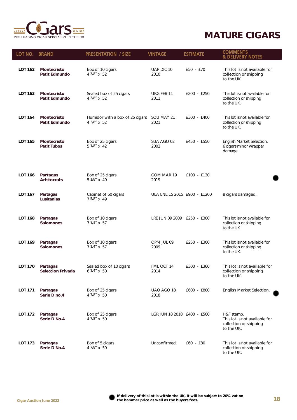

| LOT NO. BRAND  |                                             | <b>PRESENTATION / SIZE</b>                     | <b>VINTAGE</b>                 | <b>ESTIMATE</b> | <b>COMMENTS</b><br><b>&amp; DELIVERY NOTES</b>                                      |
|----------------|---------------------------------------------|------------------------------------------------|--------------------------------|-----------------|-------------------------------------------------------------------------------------|
| <b>LOT 162</b> | <b>Montecristo</b><br><b>Petit Edmundo</b>  | Box of 10 cigars<br>4 3/8" x 52                | UAP DIC 10<br>2010             | £50 - £70       | This lot is not available for<br>collection or shipping<br>to the UK.               |
| <b>LOT 163</b> | <b>Montecristo</b><br><b>Petit Edmundo</b>  | Sealed box of 25 cigars<br>4 3/8" x 52         | URG FEB 11<br>2011             | £200 - £250     | This lot is not available for<br>collection or shipping<br>to the UK.               |
| <b>LOT 164</b> | <b>Montecristo</b><br><b>Petit Edmundo</b>  | Humidor with a box of 25 cigars<br>4 3/8" x 52 | SOU MAY 21<br>2021             | £300 - £400     | This lot is not available for<br>collection or shipping<br>to the UK.               |
| <b>LOT 165</b> | <b>Montecristo</b><br><b>Petit Tubos</b>    | Box of 25 cigars<br>5 1/8" x 42                | SUA AGO 02<br>2002             | £450 - £550     | English Market Selection.<br>6 cigars minor wrapper<br>damage.                      |
| <b>LOT 166</b> | Partagas<br><b>Aristocrats</b>              | Box of 25 cigars<br>5 1/8" x 40                | GOM MAR 19<br>2019             | £100 - £130     |                                                                                     |
| <b>LOT 167</b> | Partagas<br>Lusitanias                      | Cabinet of 50 cigars<br>7 5/8" x 49            | ULA ENE 15 2015 £900 - £1200   |                 | 8 cigars damaged.                                                                   |
| <b>LOT 168</b> | Partagas<br><b>Salomones</b>                | Box of 10 cigars<br>7 1/4" x 57                | LRE JUN 09 2009   £250 - £300  |                 | This lot is not available for<br>collection or shipping<br>to the UK.               |
| <b>LOT 169</b> | Partagas<br><b>Salomones</b>                | Box of 10 cigars<br>7 1/4" x 57                | OPM JUL 09<br>2009             | £250 - £300     | This lot is not available for<br>collection or shipping<br>to the UK.               |
| <b>LOT 170</b> | <b>Partagas</b><br><b>Seleccion Privada</b> | Sealed box of 10 cigars<br>$61/4"$ x 50        | FML OCT 14<br>2014             | £300 - £360     | This lot is not available for<br>collection or shipping<br>to the UK.               |
| <b>LOT 171</b> | Partagas<br>Serie D no.4                    | Box of 25 cigars<br>4 7/8" x 50                | UAO AGO 18<br>2018             | $£600 - £800$   | English Market Selection.                                                           |
| <b>LOT 172</b> | Partagas<br>Serie D No.4                    | Box of 25 cigars<br>4 7/8" x 50                | LGR JUN 18 2018    £400 - £500 |                 | H&F stamp.<br>This lot is not available for<br>collection or shipping<br>to the UK. |
| LOT 173        | Partagas<br>Serie D No.4                    | Box of 5 cigars<br>4 7/8" x 50                 | Unconfirmed.                   | $£60 - £80$     | This lot is not available for<br>collection or shipping<br>to the UK.               |

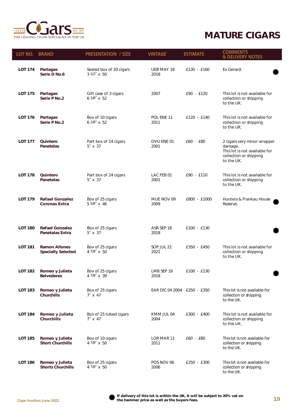

| LOT NO. BRAND  |                                                   | <b>PRESENTATION / SIZE</b>                | <b>VINTAGE</b>                | <b>ESTIMATE</b> | <b>COMMENTS</b><br><b>&amp; DELIVERY NOTES</b>                                                                  |
|----------------|---------------------------------------------------|-------------------------------------------|-------------------------------|-----------------|-----------------------------------------------------------------------------------------------------------------|
| <b>LOT 174</b> | Partagas<br>Serie D No.6                          | Sealed box of 20 cigars<br>3 1/2" x 50    | UEB MAY 18<br>2018            | £130 - £160     | Ex Gerard.                                                                                                      |
| <b>LOT 175</b> | Partagas<br>Serie P No.2                          | Gift case of 3 cigars<br>6 1/8" x 52      | 2007                          | £90 - £120      | This lot is not available for<br>collection or shipping<br>to the UK.                                           |
| LOT 176        | Partagas<br>Serie P No.2                          | Box of 10 cigars<br>6 1/8" x 52           | POL ENE 11<br>2011            | £120 - £140     | This lot is not available for<br>collection or shipping<br>to the UK.                                           |
| <b>LOT 177</b> | Quintero<br>Panetelas                             | Part box of 14 cigars<br>$5'' \times 37$  | OVU ENE 01<br>2001            | $£60 - £80$     | 2 cigars very minor wrapper<br>damage.<br>This lot is not available for<br>collection or shipping<br>to the UK. |
| <b>LOT 178</b> | <b>Quintero</b><br><b>Panetelas</b>               | Part box of 24 cigars<br>$5'' \times 37$  | LAC FEB 01<br>2001            | £90 - £110      | This lot is not available for<br>collection or shipping<br>to the UK.                                           |
| <b>LOT 179</b> | <b>Rafael Gonzalez</b><br>Coronas Extra           | Box of 25 cigars<br>5 5/8" x 46           | MUE NOV 09<br>2009            | £800 - £1000    | Hunters & Frankau House<br>Reserve.                                                                             |
| <b>LOT 180</b> | <b>Rafael Gonzalez</b><br><b>Panetalas Extra</b>  | Box of 25 cigars<br>$5'' \times 37$       | ASR SEP 18<br>2018            | £100 - £130     |                                                                                                                 |
| <b>LOT 181</b> | <b>Ramon Allones</b><br><b>Specially Selected</b> | Box of 25 cigars<br>4 7/8" x 50           | SOP JUL 21<br>2021            | £350 - £450     | This lot is not available for<br>collection or shipping<br>to the UK.                                           |
| LOT 182        | Romeo y Julieta<br><b>Belvederes</b>              | Box of 25 cigars<br>4 7/8" x 39           | LMB SEP 18<br>2018            | £100 - £130     |                                                                                                                 |
| <b>LOT 183</b> | Romeo y Julieta<br><b>Churchills</b>              | Box of 25 cigars<br>$7'' \times 47$       | EAR DIC 04 2004   £250 - £350 |                 | This lot is not available for<br>collection or shipping<br>to the UK.                                           |
| LOT 184        | Romeo y Julieta<br><b>Churchills</b>              | Box of 25 tubed cigars<br>$7'' \times 47$ | KMM JUL 04<br>2004            | £300 - £400     | This lot is not available for<br>collection or shipping<br>to the UK.                                           |
| <b>LOT 185</b> | Romeo y Julieta<br><b>Short Churchills</b>        | Box of 10 cigars<br>4 7/8" x 50           | LOR MAR 11<br>2011            | $£60 - £80$     | This lot is not available for<br>collection or shipping<br>to the UK.                                           |
| <b>LOT 186</b> | Romeo y Julieta<br><b>Shorts Churchills</b>       | Box of 25 cigars<br>4 7/8" x 50           | POS NOV 06<br>2006            | £250 - £300     | This lot is not available for<br>collection or shipping<br>to the UK.                                           |

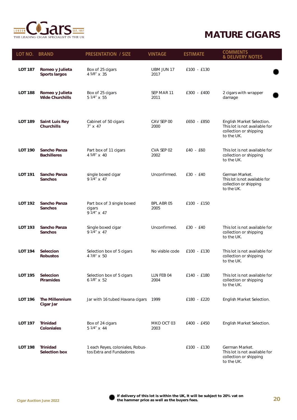

| LOT NO. BRAND  |                                            | <b>PRESENTATION / SIZE</b>                                   | <b>VINTAGE</b>     | <b>ESTIMATE</b> | <b>COMMENTS</b><br><b>&amp; DELIVERY NOTES</b>                                                     |
|----------------|--------------------------------------------|--------------------------------------------------------------|--------------------|-----------------|----------------------------------------------------------------------------------------------------|
| <b>LOT 187</b> | Romeo y Julieta<br><b>Sports largos</b>    | Box of 25 cigars<br>4 5/8" x 35                              | UBM JUN 17<br>2017 | £100 - £130     |                                                                                                    |
| <b>LOT 188</b> | Romeo y Julieta<br><b>Wide Churchills</b>  | Box of 25 cigars<br>5 1/4" x 55                              | SEP MAR 11<br>2011 | £300 - £400     | 2 cigars with wrapper<br>damage                                                                    |
| <b>LOT 189</b> | <b>Saint Luis Rey</b><br><b>Churchills</b> | Cabinet of 50 cigars<br>$7'' \times 47$                      | CAV SEP 00<br>2000 | £650 - £850     | English Market Selection.<br>This lot is not available for<br>collection or shipping<br>to the UK. |
| <b>LOT 190</b> | Sancho Panza<br><b>Bachilleres</b>         | Part box of 11 cigars<br>4 5/8" x 40                         | CVA SEP 02<br>2002 | $E40 - E60$     | This lot is not available for<br>collection or shipping<br>to the UK.                              |
| <b>LOT 191</b> | Sancho Panza<br><b>Sanchos</b>             | single boxed cigar<br>9 1/4" x 47                            | Unconfirmed.       | $£30 - £40$     | German Market.<br>This lot is not available for<br>collection or shipping<br>to the UK.            |
| <b>LOT 192</b> | Sancho Panza<br><b>Sanchos</b>             | Part box of 3 single boxed<br>cigars<br>9 1/4" x 47          | BPL ABR 05<br>2005 | £100 - £150     |                                                                                                    |
| <b>LOT 193</b> | Sancho Panza<br><b>Sanchos</b>             | Single boxed cigar<br>9 1/4" x 47                            | Unconfirmed.       | $£30 - £40$     | This lot is not available for<br>collection or shipping<br>to the UK.                              |
| <b>LOT 194</b> | <b>Seleccion</b><br><b>Robustos</b>        | Selection box of 5 cigars<br>4 7/8" x 50                     | No visible code    | £100 - £130     | This lot is not available for<br>collection or shipping<br>to the UK.                              |
| <b>LOT 195</b> | <b>Seleccion</b><br><b>Piramides</b>       | Selection box of 5 cigars<br>6 1/8" x 52                     | LLN FEB 04<br>2004 | £140 - £180     | This lot is not available for<br>collection or shipping<br>to the UK.                              |
| <b>LOT 196</b> | <b>The Millennium</b><br>Cigar Jar         | Jar with 16 tubed Havana cigars                              | 1999               | £180 - £220     | English Market Selection.                                                                          |
| <b>LOT 197</b> | <b>Trinidad</b><br><b>Coloniales</b>       | Box of 24 cigars<br>5 1/4" x 44                              | MKO OCT 03<br>2003 | £400 - £450     | English Market Selection.                                                                          |
| <b>LOT 198</b> | <b>Trinidad</b><br><b>Selection box</b>    | 1 each Reyes, coloniales, Robus-<br>tos Extra and Fundadores |                    | £100 - £130     | German Market.<br>This lot is not available for<br>collection or shipping<br>to the UK.            |

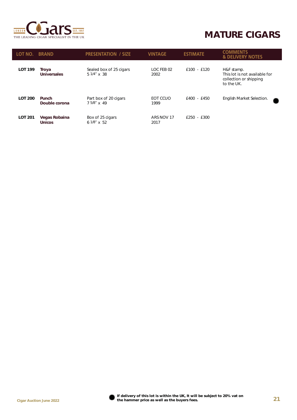

| LOT NO.        | <b>BRAND</b>                   | <b>PRESENTATION / SIZE</b>             | VINTAGE            | <b>ESTIMATE</b> | COI<br><b>&amp; DELIVERY NOTES</b>                                                  |
|----------------|--------------------------------|----------------------------------------|--------------------|-----------------|-------------------------------------------------------------------------------------|
| <b>LOT 199</b> | Troya<br><b>Universales</b>    | Sealed box of 25 cigars<br>5 1/4" x 38 | LOC FEB 02<br>2002 | $£100 - £120$   | H&F stamp.<br>This lot is not available for<br>collection or shipping<br>to the UK. |
| <b>LOT 200</b> | Punch<br>Double corona         | Part box of 20 cigars<br>7 5/8" x 49   | EOT CCUO<br>1999   | £400 - £450     | English Market Selection.                                                           |
| <b>LOT 201</b> | Vegas Robaina<br><b>Unicos</b> | Box of 25 cigars<br>$61/8$ " x 52      | ARS NOV 17<br>2017 | £250 - £300     |                                                                                     |

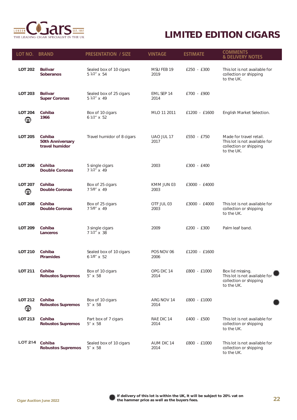

| LOT NO. BRAND       |                                                     | <b>PRESENTATION / SIZE</b>                 | <b>VINTAGE</b>     | <b>ESTIMATE</b> | <b>COMMENTS</b><br><b>&amp; DELIVERY NOTES</b>                                                   |
|---------------------|-----------------------------------------------------|--------------------------------------------|--------------------|-----------------|--------------------------------------------------------------------------------------------------|
| <b>LOT 202</b>      | <b>Bolivar</b><br><b>Soberanos</b>                  | Sealed box of 10 cigars<br>5 1/2" x 54     | MSU FEB 19<br>2019 | $£250 - £300$   | This lot is not available for<br>collection or shipping<br>to the UK.                            |
| <b>LOT 203</b>      | <b>Bolivar</b><br><b>Super Coronas</b>              | Sealed box of 25 cigars<br>5 1/2" x 49     | EML SEP 14<br>2014 | £700 - £900     |                                                                                                  |
| <b>LOT 204</b><br>❻ | Cohiba<br>1966                                      | Box of 10 cigars<br>6 1/2" x 52            | MLO 11 2011        | £1200 - £1600   | English Market Selection.                                                                        |
| <b>LOT 205</b>      | Cohiba<br><b>50th Anniversary</b><br>travel humidor | Travel humidor of 8 cigars                 | UAO JUL 17<br>2017 | £550 - £750     | Made for travel retail.<br>This lot is not available for<br>collection or shipping<br>to the UK. |
| <b>LOT 206</b>      | Cohiba<br><b>Double Coronas</b>                     | 5 single cigars<br>7 1/2" x 49             | 2003               | £300 - £400     |                                                                                                  |
| <b>LOT 207</b><br>❻ | Cohiba<br><b>Double Coronas</b>                     | Box of 25 cigars<br>7 5/8" x 49            | KMM JUN 03<br>2003 | £3000 - £4000   |                                                                                                  |
| <b>LOT 208</b>      | Cohiba<br><b>Double Coronas</b>                     | Box of 25 cigars<br>7 5/8" x 49            | OTF JUL 03<br>2003 | £3000 - £4000   | This lot is not available for<br>collection or shipping<br>to the UK.                            |
| <b>LOT 209</b>      | Cohiba<br>Lanceros                                  | 3 single cigars<br>7 1/2" x 38             | 2009               | £200 - £300     | Palm leaf band.                                                                                  |
| <b>LOT 210</b>      | Cohiba<br><b>Piramides</b>                          | Sealed box of 10 cigars<br>6 1/8" x 52     | POS NOV 06<br>2006 | £1200 - £1600   |                                                                                                  |
| LOT 211             | Cohiba<br><b>Robustos Supremos</b>                  | Box of 10 cigars<br>$5'' \times 58$        | OPG DIC 14<br>2014 | £800 - £1000    | Box lid missing.<br>This lot is not available for<br>collection or shipping<br>to the UK.        |
| LOT 212<br><u>ල</u> | Cohiba<br><b>Robustos Supremos</b>                  | Box of 10 cigars<br>5″ x 58                | ARG NOV 14<br>2014 | £800 - £1000    |                                                                                                  |
| LOT 213             | Cohiba<br><b>Robustos Supremos</b>                  | Part box of 7 cigars<br>$5'' \times 58$    | RAE DIC 14<br>2014 | £400 - £500     | This lot is not available for<br>collection or shipping<br>to the UK.                            |
| <b>LOT 214</b>      | Cohiba<br><b>Robustos Supremos</b>                  | Sealed box of 10 cigars<br>$5'' \times 58$ | AUM DIC 14<br>2014 | £800 - £1000    | This lot is not available for<br>collection or shipping<br>to the UK.                            |

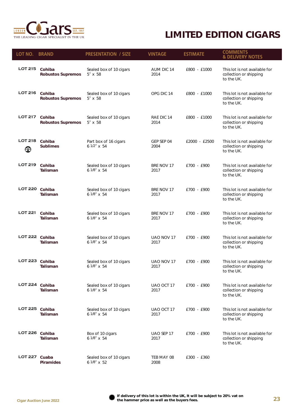

| <b>LOT NO.</b>      | <b>BRAND</b>                       | <b>PRESENTATION / SIZE</b>                 | <b>VINTAGE</b>     | <b>ESTIMATE</b> | <b>COMMENTS</b><br><b>&amp; DELIVERY NOTES</b>                        |
|---------------------|------------------------------------|--------------------------------------------|--------------------|-----------------|-----------------------------------------------------------------------|
| <b>LOT 215</b>      | Cohiba<br><b>Robustos Supremos</b> | Sealed box of 10 cigars<br>$5'' \times 58$ | AUM DIC 14<br>2014 | £800 - £1000    | This lot is not available for<br>collection or shipping<br>to the UK. |
| LOT 216 Cohiba      | <b>Robustos Supremos</b>           | Sealed box of 10 cigars<br>$5'' \times 58$ | OPG DIC 14         | £800 - £1000    | This lot is not available for<br>collection or shipping<br>to the UK. |
| <b>LOT 217</b>      | Cohiba<br><b>Robustos Supremos</b> | Sealed box of 10 cigars<br>$5'' \times 58$ | RAE DIC 14<br>2014 | £800 - £1000    | This lot is not available for<br>collection or shipping<br>to the UK. |
| <b>LOT 218</b><br>❻ | Cohiba<br><b>Sublimes</b>          | Part box of 16 cigars<br>6 1/2" x 54       | GEP SEP 04<br>2004 | £2000 - £2500   | This lot is not available for<br>collection or shipping<br>to the UK. |
| <b>LOT 219</b>      | Cohiba<br><b>Talisman</b>          | Sealed box of 10 cigars<br>6 1/8" x 54     | BRE NOV 17<br>2017 | £700 - £900     | This lot is not available for<br>collection or shipping<br>to the UK. |
| LOT 220 Cohiba      | <b>Talisman</b>                    | Sealed box of 10 cigars<br>6 1/8" x 54     | BRE NOV 17<br>2017 | £700 - £900     | This lot is not available for<br>collection or shipping<br>to the UK. |
| <b>LOT 221</b>      | Cohiba<br>Talisman                 | Sealed box of 10 cigars<br>6 1/8" x 54     | BRE NOV 17<br>2017 | £700 - £900     | This lot is not available for<br>collection or shipping<br>to the UK. |
| LOT 222 Cohiba      | Talisman                           | Sealed box of 10 cigars<br>6 1/8" x 54     | UAO NOV 17<br>2017 | £700 - £900     | This lot is not available for<br>collection or shipping<br>to the UK. |
| LOT 223 Cohiba      | Talisman                           | Sealed box of 10 cigars<br>6 1/8" x 54     | UAO NOV 17<br>2017 | £700 - £900     | This lot is not available for<br>collection or shipping<br>to the UK. |
| LOT 224 Cohiba      | <b>Talisman</b>                    | Sealed box of 10 cigars<br>6 1/8" x 54     | UAO OCT 17<br>2017 | £700 - £900     | This lot is not available for<br>collection or shipping<br>to the UK. |
| LOT 225 Cohiba      | <b>Talisman</b>                    | Sealed box of 10 cigars<br>6 1/8" x 54     | UAO OCT 17<br>2017 | £700 - £900     | This lot is not available for<br>collection or shipping<br>to the UK. |
| LOT 226 Cohiba      | <b>Talisman</b>                    | Box of 10 cigars<br>6 1/8" x 54            | UAO SEP 17<br>2017 | £700 - £900     | This lot is not available for<br>collection or shipping<br>to the UK. |
| <b>LOT 227</b>      | Cuaba<br><b>Piramides</b>          | Sealed box of 10 cigars<br>6 1/8" x 52     | TEB MAY 08<br>2008 | £300 - £360     |                                                                       |

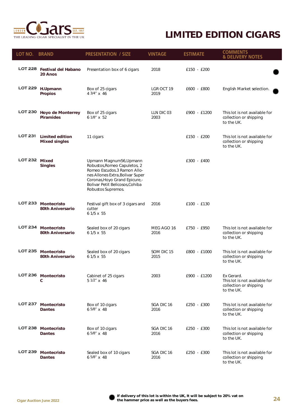

| <b>LOT NO. BRAND</b> |                                                | <b>PRESENTATION / SIZE</b>                                                                                                                                                                                           | <b>VINTAGE</b>     | <b>ESTIMATE</b> | <b>COMMENTS</b><br><b>&amp; DELIVERY NOTES</b>                                      |
|----------------------|------------------------------------------------|----------------------------------------------------------------------------------------------------------------------------------------------------------------------------------------------------------------------|--------------------|-----------------|-------------------------------------------------------------------------------------|
|                      | LOT 228 Festival del Habano<br>20 Anos         | Presentation box of 6 cigars                                                                                                                                                                                         | 2018               | £150 - £200     |                                                                                     |
| <b>LOT 229</b>       | H.Upmann<br><b>Propios</b>                     | Box of 25 cigars<br>4 3/4" x 46                                                                                                                                                                                      | LGR OCT 19<br>2019 | £600 - £800     | English Market selection.                                                           |
| <b>LOT 230</b>       | <b>Hoyo de Monterrey</b><br><b>Piramides</b>   | Box of 25 cigars<br>6 1/8" x 52                                                                                                                                                                                      | LLN DIC 03<br>2003 | £900 - £1200    | This lot is not available for<br>collection or shipping<br>to the UK.               |
| <b>LOT 231</b>       | <b>Limited edition</b><br><b>Mixed singles</b> | 11 cigars                                                                                                                                                                                                            |                    | £150 - £200     | This lot is not available for<br>collection or shipping<br>to the UK.               |
| LOT 232 Mixed        | <b>Singles</b>                                 | Upmann Magnum56, Upmann<br>Robustos, Romeo Capuletos, 2<br>Romeo Escudos.3 Ramon Allo-<br>nes Allones Extra, Bolivar Super<br>Coronas, Hoyo Grand Epicure,-<br>Bolivar Petit Belicosos, Cohiba<br>Robustos Supremos. |                    | £300 - £400     |                                                                                     |
|                      | LOT 233 Montecristo<br>80th Aniversario        | Festival gift box of 3 cigars and<br>cutter<br>6 1/5 x 55                                                                                                                                                            | 2016               | £100 - £130     |                                                                                     |
|                      | LOT 234 Montecristo<br>80th Aniversario        | Sealed box of 20 cigars<br>$61/5 \times 55$                                                                                                                                                                          | MEG AGO 16<br>2016 | £750 - £950     | This lot is not available for<br>collection or shipping<br>to the UK.               |
| <b>LOT 235</b>       | <b>Montecristo</b><br>80th Aniversario         | Sealed box of 20 cigars<br>$61/5 \times 55$                                                                                                                                                                          | SOM DIC 15<br>2015 | £800 - £1000    | This lot is not available for<br>collection or shipping<br>to the UK.               |
|                      | LOT 236 Montecristo<br>С                       | Cabinet of 25 cigars<br>5 1/2" x 46                                                                                                                                                                                  | 2003               | £900 - £1200    | Ex Gerard.<br>This lot is not available for<br>collection or shipping<br>to the UK. |
|                      | LOT 237 Montecristo<br><b>Dantes</b>           | Box of 10 cigars<br>6 5/8" x 48                                                                                                                                                                                      | SGA DIC 16<br>2016 | £250 - £300     | This lot is not available for<br>collection or shipping<br>to the UK.               |
|                      | LOT 238 Montecristo<br><b>Dantes</b>           | Box of 10 cigars<br>$65/8"$ x 48                                                                                                                                                                                     | SGA DIC 16<br>2016 | £250 - £300     | This lot is not available for<br>collection or shipping<br>to the UK.               |
| <b>LOT 239</b>       | <b>Montecristo</b><br><b>Dantes</b>            | Sealed box of 10 cigars<br>6 5/8" x 48                                                                                                                                                                               | SGA DIC 16<br>2016 | £250 - £300     | This lot is not available for<br>collection or shipping<br>to the UK.               |

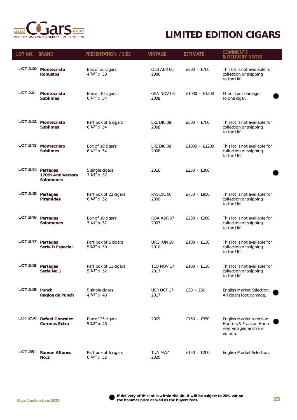

| LOT NO. BRAND  |                                                           | <b>PRESENTATION / SIZE</b>            | <b>VINTAGE</b>         | <b>ESTIMATE</b> | <b>COMMENTS</b><br><b>&amp; DELIVERY NOTES</b>                                            |
|----------------|-----------------------------------------------------------|---------------------------------------|------------------------|-----------------|-------------------------------------------------------------------------------------------|
| <b>LOT 240</b> | <b>Montecristo</b><br><b>Robustos</b>                     | Box of 25 cigars<br>4 7/8" x 50       | OEB ABR 06<br>2006     | £500 - £700     | This lot is not available for<br>collection or shipping<br>to the UK.                     |
| <b>LOT 241</b> | <b>Montecristo</b><br><b>Sublimes</b>                     | Box of 10 cigars<br>6 1/2" x 54       | GEA NOV 08<br>2008     | £1000 - £1200   | Minor foot damage<br>to one cigar.                                                        |
|                | LOT 242 Montecristo<br><b>Sublimes</b>                    | Part box of 6 cigars<br>$61/2$ " x 54 | LRE DIC 08<br>2008     | £500 - £700     | This lot is not available for<br>collection or shipping<br>to the UK.                     |
|                | LOT 243 Montecristo<br><b>Sublimes</b>                    | Box of 10 cigars<br>$61/2$ " x 54     | LRE DIC 08<br>2008     | £1000 - £1200   | This lot is not available for<br>collection or shipping<br>to the UK.                     |
|                | LOT 244 Partagas<br>170th Anniversary<br><b>Salomones</b> | 5 single cigars<br>7 1/4" x 57        | 2016                   | £250 - £300     |                                                                                           |
|                | LOT 245 Partagas<br><b>Piramides</b>                      | Part box of 22 cigars<br>6 1/8" x 52  | PAS DIC 00<br>2000     | £750 - £950     | This lot is not available for<br>collection or shipping<br>to the UK.                     |
|                | LOT 246 Partagas<br><b>Salomones</b>                      | Box of 10 cigars<br>7 1/4" x 57       | ROA ABR 07<br>2007     | £230 - £280     | This lot is not available for<br>collection or shipping<br>to the UK.                     |
|                | LOT 247 Partagas<br><b>Serie D Especial</b>               | Part box of 6 cigars<br>5 5/8" x 50   | URG JUN 10<br>2010     | £100 - £130     | This lot is not available for<br>collection or shipping<br>to the UK.                     |
|                | LOT 248 Partagas<br>Serie No.1                            | Part box of 11 cigars<br>5 1/4" x 52  | TEO NOV 17<br>2017     | £100 - £130     | This lot is not available for<br>collection or shipping<br>to the UK.                     |
| LOT 249 Punch  | <b>Regios de Punch</b>                                    | 5 single cigars<br>4 3/4" x 48        | UER OCT 17<br>2017     | $£30 - £50$     | English Market Selection.<br>All cigars foot damage.                                      |
| <b>LOT 250</b> | <b>Rafael Gonzalez</b><br>Coronas Extra                   | Box of 25 cigars<br>5 5/8" x 46       | 2009                   | £750 - £950     | English Market selection.<br>Hunters & Frankau House<br>reserve aged and rare<br>edition. |
| <b>LOT 251</b> | <b>Ramon Allones</b><br>No.2                              | Part box of 6 cigars<br>6 1/8" x 52   | <b>TUA MAY</b><br>2020 | £150 - £200     | English Market Selection.                                                                 |

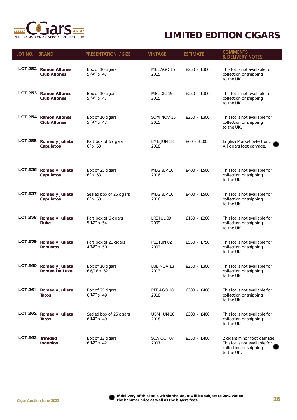

| LOT NO. BRAND  |                                                 | <b>PRESENTATION / SIZE</b>                 | <b>VINTAGE</b>            | <b>ESTIMATE</b> | <b>COMMENTS</b><br><b>&amp; DELIVERY NOTES</b>                                                       |
|----------------|-------------------------------------------------|--------------------------------------------|---------------------------|-----------------|------------------------------------------------------------------------------------------------------|
|                | LOT 252 Ramon Allones<br><b>Club Allones</b>    | Box of 10 cigars<br>5 3/8" x 47            | MEL AGO 15<br>2015        | £250 - £300     | This lot is not available for<br>collection or shipping<br>to the UK.                                |
|                | LOT 253 Ramon Allones<br><b>Club Allones</b>    | Box of 10 cigars<br>5 3/8" x 47            | MEL DIC 15<br>2015        | £250 - £300     | This lot is not available for<br>collection or shipping<br>to the UK.                                |
|                | LOT 254 Ramon Allones<br><b>Club Allones</b>    | Box of 10 cigars<br>5 3/8" x 47            | SOM NOV 15<br>2015        | £250 - £300     | This lot is not available for<br>collection or shipping<br>to the UK.                                |
|                | LOT 255 Romeo y Julieta<br>Capuletos            | Part box of 6 cigars<br>$6'' \times 53$    | LMB JUN 18<br>2018        | £60 - £100      | English Market Selection.<br>All cigars foot damage.                                                 |
|                | LOT 256 Romeo y Julieta<br>Capuletos            | Box of 25 cigars<br>$6'' \times 53$        | MEG SEP 16<br>2016        | £400 - £500     | This lot is not available for<br>collection or shipping<br>to the UK.                                |
| <b>LOT 257</b> | Romeo y Julieta<br>Capuletos                    | Sealed box of 25 cigars<br>$6'' \times 53$ | MEG SEP 16<br>2016        | £400 - £500     | This lot is not available for<br>collection or shipping<br>to the UK.                                |
| <b>LOT 258</b> | Romeo y Julieta<br><b>Duke</b>                  | Part box of 6 cigars<br>5 1/2" x 54        | LRE JUL 09<br>2009        | £150 - £200     | This lot is not available for<br>collection or shipping<br>to the UK.                                |
| <b>LOT 259</b> | Romeo y Julieta<br><b>Robustos</b>              | Part box of 23 cigars<br>4 7/8" x 50       | PEL JUN 02<br>2002        | £550 - £750     | This lot is not available for<br>collection or shipping<br>to the UK.                                |
|                | LOT 260 Romeo y Julieta<br><b>Romeo De Luxe</b> | Box of 10 cigars<br>6 6/16 x 52            | LUB NOV 13<br>2013        | £250 - £300     | This lot is not available for<br>collection or shipping<br>to the UK.                                |
| <b>LOT 261</b> | Romeo y Julieta<br>Tacos                        | Box of 25 cigars<br>6 1/2" x 49            | REF AGO 18<br>2018        | £300 - £400     | This lot is not available for<br>collection or shipping<br>to the UK.                                |
| LOT 262        | Romeo y Julieta<br>Tacos                        | Sealed box of 25 cigars<br>6 1/2" x 49     | <b>UBM JUN 18</b><br>2018 | £300 - £400     | This lot is not available for<br>collection or shipping<br>to the UK.                                |
| <b>LOT 263</b> | Trinidad<br><b>Ingenios</b>                     | Box of 12 cigars<br>$61/2$ " x 42          | SOA OCT 07<br>2007        | £350 - £400     | 2 cigars minor foot damage.<br>This lot is not available for<br>collection or shipping<br>to the UK. |

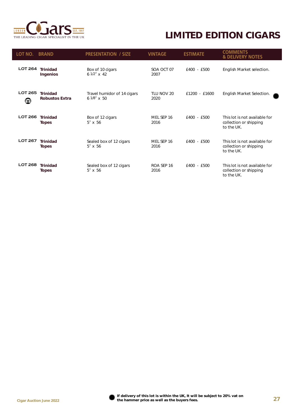

| LOT NO.             | <b>BRAND</b>                             | <b>PRESENTATION / SIZE</b>                   | <b>VINTAGE</b>     | <b>ESTIMATE</b> | <b>COMMENTS</b><br><b>&amp; DELIVERY NOTES</b>                        |
|---------------------|------------------------------------------|----------------------------------------------|--------------------|-----------------|-----------------------------------------------------------------------|
| <b>LOT 264</b>      | <b>Trinidad</b><br><b>Ingenios</b>       | Box of 10 cigars<br>$61/2$ " x 42            | SOA OCT 07<br>2007 | £400 - £500     | English Market selection.                                             |
| <b>LOT 265</b><br>൫ | <b>Trinidad</b><br><b>Robustos Extra</b> | Travel humidor of 14 cigars<br>$61/8$ " x 50 | TLU NOV 20<br>2020 | $£1200 - £1600$ | English Market Selection.                                             |
| <b>LOT 266</b>      | <b>Trinidad</b><br><b>Topes</b>          | Box of 12 cigars<br>$5'' \times 56$          | MEL SEP 16<br>2016 | £400 - £500     | This lot is not available for<br>collection or shipping<br>to the UK. |
| <b>LOT 267</b>      | <b>Trinidad</b><br><b>Topes</b>          | Sealed box of 12 cigars<br>$5'' \times 56$   | MEL SEP 16<br>2016 | £400 - £500     | This lot is not available for<br>collection or shipping<br>to the UK. |
| <b>LOT 268</b>      | <b>Trinidad</b><br><b>Topes</b>          | Sealed box of 12 cigars<br>$5'' \times 56$   | ROA SEP 16<br>2016 | £400 - £500     | This lot is not available for<br>collection or shipping<br>to the UK. |

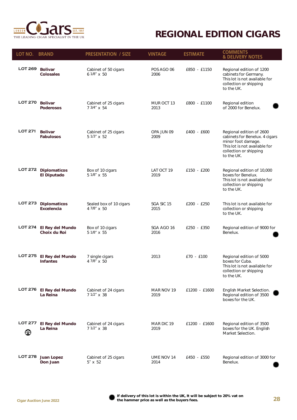

| <b>LOT NO. BRAND</b> |                                            | <b>PRESENTATION / SIZE</b>              | <b>VINTAGE</b>     | <b>ESTIMATE</b> | <b>COMMENTS</b><br><b>&amp; DELIVERY NOTES</b>                                                                                                            |
|----------------------|--------------------------------------------|-----------------------------------------|--------------------|-----------------|-----------------------------------------------------------------------------------------------------------------------------------------------------------|
| <b>LOT 269</b>       | <b>Bolivar</b><br><b>Colosales</b>         | Cabinet of 50 cigars<br>6 1/8" x 50     | POS AGO 06<br>2006 | £850 - £1150    | Regional edition of 1200<br>cabinets for Germany.<br>This lot is not available for<br>collection or shipping<br>to the UK.                                |
| <b>LOT 270</b>       | <b>Bolivar</b><br><b>Poderosos</b>         | Cabinet of 25 cigars<br>7 3/4" x 54     | MUR OCT 13<br>2013 | £800 - £1100    | Regional edition<br>of 2000 for Benelux.                                                                                                                  |
| <b>LOT 271</b>       | <b>Bolivar</b><br><b>Fabulosos</b>         | Cabinet of 25 cigars<br>5 1/3" x 52     | OPA JUN 09<br>2009 | £400 - £600     | Regional edition of 2600<br>cabinets for Benelux. 4 cigars<br>minor foot damage.<br>This lot is not available for<br>collection or shipping<br>to the UK. |
|                      | LOT 272 Diplomaticos<br><b>El Diputado</b> | Box of 10 cigars<br>5 1/8" x 55         | LAT OCT 19<br>2019 | £150 - £200     | Regional edition of 10,000<br>boxes for Benelux.<br>This lot is not available for<br>collection or shipping<br>to the UK.                                 |
| <b>LOT 273</b>       | <b>Diplomaticos</b><br><b>Excelencia</b>   | Sealed box of 10 cigars<br>4 7/8" x 50  | SGA SIC 15<br>2015 | $£200 - £250$   | This lot is not available for<br>collection or shipping<br>to the UK.                                                                                     |
| <b>LOT 274</b>       | El Rey del Mundo<br>Choix du Roi           | Box of 10 cigars<br>5 1/8" x 55         | SGA AGO 16<br>2016 | £250 - £350     | Regional edition of 9000 for<br>Benelux.                                                                                                                  |
| <b>LOT 275</b>       | <b>El Rey del Mundo</b><br><b>Infantes</b> | 7 single cigars<br>4 7/8" x 50          | 2013               | £70 - £100      | Regional edition of 5000<br>boxes for Cuba.<br>This lot is not available for<br>collection or shipping<br>to the UK.                                      |
| <b>LOT 276</b>       | <b>El Rey del Mundo</b><br>La Reina        | Cabinet of 24 cigars<br>7 1/2" x 38     | MAR NOV 19<br>2019 | £1200 - £1600   | English Market Selection.<br>Regional edition of 3500<br>boxes for the UK.                                                                                |
| <b>LOT 277</b><br>❺  | <b>El Rey del Mundo</b><br>La Reina        | Cabinet of 24 cigars<br>7 1/2" x 38     | MAR DIC 19<br>2019 | £1200 - £1600   | Regional edition of 3500<br>boxes for the UK. English<br>Market Selection.                                                                                |
| <b>LOT 278</b>       | <b>Juan Lopez</b><br>Don Juan              | Cabinet of 25 cigars<br>$5'' \times 52$ | UME NOV 14<br>2014 | £450 - £550     | Regional edition of 3000 for<br>Benelux.                                                                                                                  |

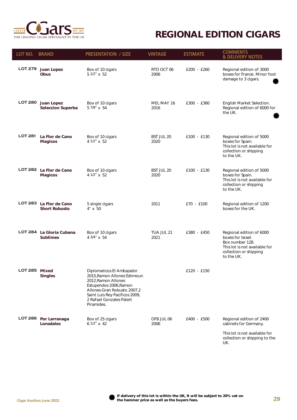

| LOT NO. BRAND  |                                                 | <b>PRESENTATION / SIZE</b>                                                                                                                                                                                           | <b>VINTAGE</b>            | <b>ESTIMATE</b> | <b>COMMENTS</b><br><b>&amp; DELIVERY NOTES</b>                                                                                            |
|----------------|-------------------------------------------------|----------------------------------------------------------------------------------------------------------------------------------------------------------------------------------------------------------------------|---------------------------|-----------------|-------------------------------------------------------------------------------------------------------------------------------------------|
| <b>LOT 279</b> | Juan Lopez<br><b>Obus</b>                       | Box of 10 cigars<br>5 1/2" x 52                                                                                                                                                                                      | RTO OCT 06<br>2006        | $£200 - £260$   | Regional edition of 3000<br>boxes for France. Minor foot<br>damage to 3 cigars.                                                           |
| <b>LOT 280</b> | <b>Juan Lopez</b><br><b>Seleccion Superba</b>   | Box of 10 cigars<br>5 7/8" x 54                                                                                                                                                                                      | MEL MAY 16<br>2016        | £300 - £360     | English Market Selection.<br>Regional edition of 6000 for<br>the UK.                                                                      |
| <b>LOT 281</b> | La Flor de Cano<br><b>Magicos</b>               | Box of 10 cigars<br>4 1/2" x 52                                                                                                                                                                                      | <b>BST JUL 20</b><br>2020 | £100 - £130     | Regional edition of 5000<br>boxes for Spain.<br>This lot is not available for<br>collection or shipping<br>to the UK.                     |
|                | LOT 282 La Flor de Cano<br><b>Magicos</b>       | Box of 10 cigars<br>4 1/2" x 52                                                                                                                                                                                      | <b>BST JUL 20</b><br>2020 | £100 - £130     | Regional edition of 5000<br>boxes for Spain.<br>This lot is not available for<br>collection or shipping<br>to the UK.                     |
|                | LOT 283 La Flor de Cano<br><b>Short Robusto</b> | 5 single cigars<br>4" x 50                                                                                                                                                                                           | 2011                      | £70 - £100      | Regional edition of 1200<br>boxes for the UK.                                                                                             |
| <b>LOT 284</b> | La Gloria Cubana<br><b>Sublimes</b>             | Box of 10 cigars<br>4 3/4" x 54                                                                                                                                                                                      | TUA JUL 21<br>2021        | £380 - £450     | Regional edition of 6000<br>boxes for Israel.<br>Box number 128.<br>This lot is not available for<br>collection or shipping<br>to the UK. |
| LOT 285 Mixed  | <b>Singles</b>                                  | Diplomaticos El Ambajador<br>2015, Ramon Allones Eshmoun<br>2012, Ramon Allones<br>Estupendos 2006, Ramon<br>Allones Gran Robusto 2007,2<br>Saint Luis Rey Pacificos 2009,<br>2 Rafael Gonzales Pateit<br>Piramides. |                           | £120 - £150     |                                                                                                                                           |
|                | LOT 286 Por Larranaga<br>Lonsdales              | Box of 25 cigars<br>6 1/2" x 42                                                                                                                                                                                      | OFB JUL 06<br>2006        | £400 - £500     | Regional edition of 2400<br>cabinets for Germany.                                                                                         |
|                |                                                 |                                                                                                                                                                                                                      |                           |                 | This lot is not available for<br>collection or shipping to the<br>UK.                                                                     |

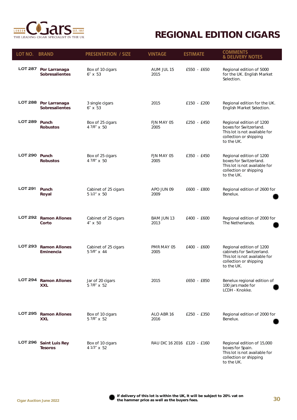

| LOT NO. BRAND  |                                                | <b>PRESENTATION / SIZE</b>          | <b>VINTAGE</b>              | <b>ESTIMATE</b> | <b>COMMENTS</b><br><b>&amp; DELIVERY NOTES</b>                                                                                 |
|----------------|------------------------------------------------|-------------------------------------|-----------------------------|-----------------|--------------------------------------------------------------------------------------------------------------------------------|
| <b>LOT 287</b> | Por Larranaga<br><b>Sobresalientes</b>         | Box of 10 cigars<br>$6'' \times 53$ | AUM JUL 15<br>2015          | £550 - £650     | Regional edition of 5000<br>for the UK. English Market<br>Selection.                                                           |
|                | LOT 288 Por Larranaga<br><b>Sobresalientes</b> | 3 single cigars<br>$6'' \times 53$  | 2015                        | £150 - £200     | Regional edition for the UK.<br>English Market Selection.                                                                      |
| <b>LOT 289</b> | Punch<br><b>Robustos</b>                       | Box of 25 cigars<br>4 7/8" x 50     | FJN MAY 05<br>2005          | £250 - £450     | Regional edition of 1200<br>boxes for Switzerland.<br>This lot is not available for<br>collection or shipping<br>to the UK.    |
| LOT 290 Punch  | <b>Robustos</b>                                | Box of 25 cigars<br>4 7/8" x 50     | FJN MAY 05<br>2005          | £350 - £450     | Regional edition of 1200<br>boxes for Switzerland.<br>This lot is not available for<br>collection or shipping<br>to the UK.    |
| <b>LOT 291</b> | <b>Punch</b><br>Royal                          | Cabinet of 25 cigars<br>5 1/2" x 50 | APO JUN 09<br>2009          | £600 - £800     | Regional edition of 2600 for<br>Benelux.                                                                                       |
|                | LOT 292 Ramon Allones<br>Corto                 | Cabinet of 25 cigars<br>4" x 50     | BAM JUN 13<br>2013          | £400 - £600     | Regional edition of 2000 for<br>The Netherlands.                                                                               |
| <b>LOT 293</b> | <b>Ramon Allones</b><br>Eminencia              | Cabinet of 25 cigars<br>5 5/8" x 44 | PMR MAY 05<br>2005          | £400 - £600     | Regional edition of 1200<br>cabinets for Switzerland.<br>This lot is not available for<br>collection or shipping<br>to the UK. |
|                | LOT 294 Ramon Allones<br><b>XXL</b>            | Jar of 20 cigars<br>5 7/8" x 52     | 2015                        | £650 - £850     | Benelux regional edition of<br>100 jars made for<br>LCDH - Knokke.                                                             |
|                | LOT 295 Ramon Allones<br><b>XXL</b>            | Box of 10 cigars<br>5 7/8" x 52     | ALO ABR 16<br>2016          | £250 - £350     | Regional edition of 2000 for<br>Benelux.                                                                                       |
| LOT 296        | <b>Saint Luis Rey</b><br><b>Tesoros</b>        | Box of 10 cigars<br>4 1/3" x 52     | RAU DIC 16 2016 £120 - £160 |                 | Regional edition of 15,000<br>boxes for Spain.<br>This lot is not available for<br>collection or shipping<br>to the UK.        |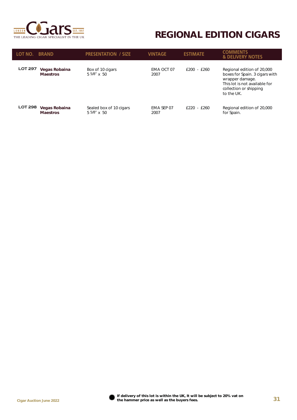

| LOT NO.        | <b>BRAND</b>                     | <b>PRESENTATION / SIZE</b>               | <b>VINTAGE</b>     | <b>ESTIMATE</b> | <b>COMMENIS</b><br><b>&amp; DELIVERY NOTES</b>                                                                                                           |
|----------------|----------------------------------|------------------------------------------|--------------------|-----------------|----------------------------------------------------------------------------------------------------------------------------------------------------------|
| <b>LOT 297</b> | Vegas Robaina<br><b>Maestros</b> | Box of 10 cigars<br>$55/8$ " x 50        | EMA OCT 07<br>2007 | $f200 - f260$   | Regional edition of 20,000<br>boxes for Spain. 3 cigars with<br>wrapper damage.<br>This lot is not available for<br>collection or shipping<br>to the UK. |
| <b>LOT 298</b> | Vegas Robaina<br><b>Maestros</b> | Sealed box of 10 cigars<br>$55/8$ " x 50 | EMA SEP 07<br>2007 | $f220 - f260$   | Regional edition of 20,000<br>for Spain.                                                                                                                 |

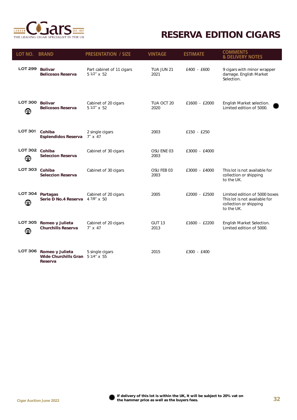

### *RESERVA EDITION CIGARS*

| LOT NO. BRAND       |                                                                | <b>PRESENTATION / SIZE</b>               | <b>VINTAGE</b>        | <b>ESTIMATE</b> | <b>COMMENTS</b><br><b>&amp; DELIVERY NOTES</b>                                                         |
|---------------------|----------------------------------------------------------------|------------------------------------------|-----------------------|-----------------|--------------------------------------------------------------------------------------------------------|
| <b>LOT 299</b>      | <b>Bolivar</b><br><b>Belicosos Reserva</b>                     | Part cabinet of 11 cigars<br>5 1/2" x 52 | TUA JUN 21<br>2021    | £400 - £600     | 9 cigars with minor wrapper<br>damage. English Market<br>Selection.                                    |
| <b>LOT 300</b><br>❺ | <b>Bolivar</b><br><b>Belicosos Reserva</b>                     | Cabinet of 20 cigars<br>5 1/2" x 52      | TUA OCT 20<br>2020    | £1600 - £2000   | English Market selection.<br>Limited edition of 5000.                                                  |
| <b>LOT 301</b>      | Cohiba<br><b>Esplendidos Reserva</b>                           | 2 single cigars<br>$7'' \times 47$       | 2003                  | $£150 - £250$   |                                                                                                        |
| <b>LOT 302</b><br>❺ | Cohiba<br><b>Seleccion Reserva</b>                             | Cabinet of 30 cigars                     | OSU ENE 03<br>2003    | £3000 - £4000   |                                                                                                        |
| <b>LOT 303</b>      | Cohiba<br><b>Seleccion Reserva</b>                             | Cabinet of 30 cigars                     | OSU FEB 03<br>2003    | £3000 - £4000   | This lot is not available for<br>collection or shipping<br>to the UK.                                  |
| <b>LOT 304</b><br>❻ | Partagas<br>Serie D No.4 Reserva 4 7/8" x 50                   | Cabinet of 20 cigars                     | 2005                  | £2000 - £2500   | Limited edition of 5000 boxes<br>This lot is not available for<br>collection or shipping<br>to the UK. |
| <b>LOT 305</b><br>❺ | Romeo y Julieta<br><b>Churchills Reserva</b>                   | Cabinet of 20 cigars<br>$7'' \times 47$  | <b>GUT 13</b><br>2013 | £1600 - £2200   | English Market Selection.<br>Limited edition of 5000.                                                  |
| <b>LOT 306</b>      | Romeo y Julieta<br>Wide Churchills Gran 5 1/4" x 55<br>Reserva | 5 single cigars                          | 2015                  | £300 - £400     |                                                                                                        |

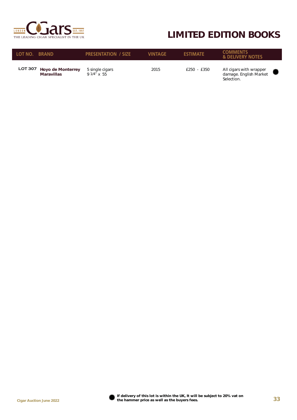

#### *LIMITED EDITION BOOKS*

| LOT NO. BRAND  |                                               | <b>PRESENTATION / SIZE</b>       | <b>VINTAGE</b> | <b>ESTIMATE</b> | <b>COMMENTS</b><br><b>&amp; DELIVERY NOTES</b>                  |
|----------------|-----------------------------------------------|----------------------------------|----------------|-----------------|-----------------------------------------------------------------|
| <b>LOT 307</b> | <b>Hoyo de Monterrey</b><br><b>Maravillas</b> | 5 single cigars<br>$91/4''$ x 55 | 2015           | £250 - £350     | All cigars with wrapper<br>damage. English Market<br>Selection. |



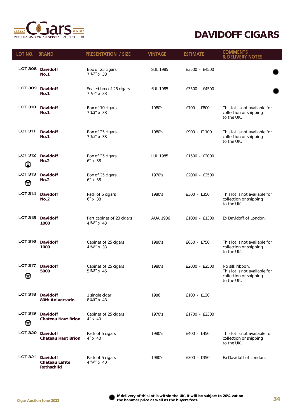

#### *DAVIDOFF CIGARS*

| LOT NO. BRAND       |                                                               | <b>PRESENTATION / SIZE</b>               | <b>VINTAGE</b>  | <b>ESTIMATE</b> | <b>COMMENTS</b><br><b>&amp; DELIVERY NOTES</b>                                           |
|---------------------|---------------------------------------------------------------|------------------------------------------|-----------------|-----------------|------------------------------------------------------------------------------------------|
|                     | LOT 308 Davidoff<br>No.1                                      | Box of 25 cigars<br>7 1/2" x 38          | <b>SUL 1985</b> | £3500 - £4500   |                                                                                          |
| LOT 309             | <b>Davidoff</b><br>No.1                                       | Sealed box of 25 cigars<br>7 1/2" x 38   | <b>SUL 1985</b> | £3500 - £4500   |                                                                                          |
| <b>LOT 310</b>      | <b>Davidoff</b><br><b>No.1</b>                                | Box of 10 cigars<br>7 1/2" x 38          | 1980's          | £700 - £800     | This lot is not available for<br>collection or shipping<br>to the UK.                    |
| <b>LOT 311</b>      | <b>Davidoff</b><br><b>No.1</b>                                | Box of 25 cigars<br>7 1/2" x 38          | 1980's          | £900 - £1100    | This lot is not available for<br>collection or shipping<br>to the UK.                    |
| <b>LOT 312</b><br>ල | <b>Davidoff</b><br>No.2                                       | Box of 25 cigars<br>6" x 38              | <b>LUL 1985</b> | £1500 - £2000   |                                                                                          |
| <b>LOT 313</b><br>❻ | <b>Davidoff</b><br>No.2                                       | Box of 25 cigars<br>6" x 38              | 1970's          | £2000 - £2500   |                                                                                          |
| <b>LOT 314</b>      | <b>Davidoff</b><br>No.2                                       | Pack of 5 cigars<br>6" x 38              | 1980's          | £300 - £350     | This lot is not available for<br>collection or shipping<br>to the UK.                    |
| <b>LOT 315</b>      | <b>Davidoff</b><br>1000                                       | Part cabinet of 23 cigars<br>4 5/8" x 43 | <b>AUA 1986</b> | £1000 - £1300   | Ex Davidoff of London.                                                                   |
| <b>LOT 316</b>      | <b>Davidoff</b><br>1000                                       | Cabinet of 25 cigars<br>4 5/8" x 33      | 1980's          | £650 - £750     | This lot is not available for<br>collection or shipping<br>to the UK.                    |
| <b>LOT 317</b><br>❻ | <b>Davidoff</b><br><i><b>5000</b></i>                         | Cabinet of 25 cigars<br>5 5/8" x 46      | 1980's          | £2000 - £2500   | No silk ribbon.<br>This lot is not available for<br>collection or shipping<br>to the UK. |
| <b>LOT 318</b>      | <b>Davidoff</b><br>80th Aniversario                           | 1 single cigar<br>8 5/8" x 48            | 1986            | £100 - £130     |                                                                                          |
| <b>LOT 319</b><br>ල | <b>Davidoff</b><br><b>Chateau Haut Brion</b>                  | Cabinet of 25 cigars<br>4" x 40          | 1970's          | £1700 - £2300   |                                                                                          |
| <b>LOT 320</b>      | <b>Davidoff</b><br><b>Chateau Haut Brion</b>                  | Pack of 5 cigars<br>$4'' \times 40$      | 1980's          | £400 - £450     | This lot is not available for<br>collection or shipping<br>to the UK.                    |
| <b>LOT 321</b>      | <b>Davidoff</b><br><b>Chateau Lafite</b><br><b>Rothschild</b> | Pack of 5 cigars<br>4 5/8" x 40          | 1980's          | £300 - £350     | Ex Davidoff of London.                                                                   |

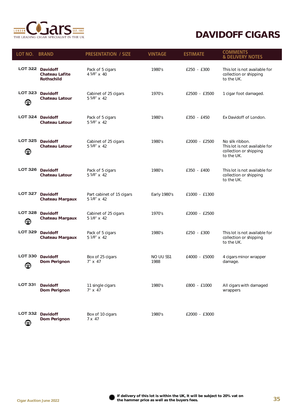

### *DAVIDOFF CIGARS*

| LOT NO.                    | <b>BRAND</b>                                                   | <b>PRESENTATION / SIZE</b>               | <b>VINTAGE</b>    | <b>ESTIMATE</b> | <b>COMMENTS</b><br><b>&amp; DELIVERY NOTES</b>                                           |
|----------------------------|----------------------------------------------------------------|------------------------------------------|-------------------|-----------------|------------------------------------------------------------------------------------------|
|                            | LOT 322 Davidoff<br><b>Chateau Lafite</b><br><b>Rothschild</b> | Pack of 5 cigars<br>4 5/8" x 40          | 1980's            | £250 - £300     | This lot is not available for<br>collection or shipping<br>to the UK.                    |
| LOT 323<br>❻               | <b>Davidoff</b><br><b>Chateau Latour</b>                       | Cabinet of 25 cigars<br>5 5/8" x 42      | 1970's            | £2500 - £3500   | 1 cigar foot damaged.                                                                    |
|                            | LOT 324 Davidoff<br><b>Chateau Latour</b>                      | Pack of 5 cigars<br>5 5/8" x 42          | 1980's            | £350 - £450     | Ex Davidoff of London.                                                                   |
| <u>ල</u>                   | LOT 325 Davidoff<br><b>Chateau Latour</b>                      | Cabinet of 25 cigars<br>5 5/8" x 42      | 1980's            | £2000 - £2500   | No silk ribbon.<br>This lot is not available for<br>collection or shipping<br>to the UK. |
|                            | LOT 326 Davidoff<br><b>Chateau Latour</b>                      | Pack of 5 cigars<br>5 5/8" x 42          | 1980's            | £350 - £400     | This lot is not available for<br>collection or shipping<br>to the UK.                    |
|                            | LOT 327 Davidoff<br><b>Chateau Margaux</b>                     | Part cabinet of 15 cigars<br>5 1/8" x 42 | Early 1980's      | £1000 - £1300   |                                                                                          |
| <b>LOT 328</b><br><u>ල</u> | <b>Davidoff</b><br><b>Chateau Margaux</b>                      | Cabinet of 25 cigars<br>5 1/8" x 42      | 1970's            | £2000 - £2500   |                                                                                          |
|                            | LOT 329 Davidoff<br><b>Chateau Margaux</b>                     | Pack of 5 cigars<br>5 1/8" x 42          | 1980's            | £250 - £300     | This lot is not available for<br>collection or shipping<br>to the UK.                    |
| <b>LOT 330</b><br>ල        | <b>Davidoff</b><br><b>Dom Perignon</b>                         | Box of 25 cigars<br>$7'' \times 47$      | NO UU SS1<br>1988 | £4000 - £5000   | 4 cigars minor wrapper<br>damage.                                                        |
| <b>LOT 331</b>             | <b>Davidoff</b><br><b>Dom Perignon</b>                         | 11 single cigars<br>$7'' \times 47$      | 1980's            | £800 - £1000    | All cigars with damaged<br>wrappers                                                      |
| ൫                          | LOT 332 Davidoff<br><b>Dom Perignon</b>                        | Box of 10 cigars<br>7 x 47               | 1980's            | £2000 - £3000   |                                                                                          |

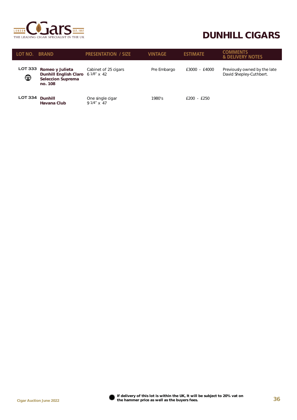

#### *DUNHILL CIGARS*

| LOT NO.        | <b>BRAND</b>                                                                                       | <b>PRESENTATION / SIZE</b>         | <b>VINTAGE</b> | <b>ESTIMATE</b> | <b>COMMENTS</b><br><b>&amp; DELIVERY NOTES</b>          |
|----------------|----------------------------------------------------------------------------------------------------|------------------------------------|----------------|-----------------|---------------------------------------------------------|
| LOT 333<br>❻   | Romeo y Julieta<br><b>Dunhill English Claro</b> 6 1/8" x 42<br><b>Seleccion Suprema</b><br>no. 108 | Cabinet of 25 cigars               | Pre Embargo    | £3000 - £4000   | Previously owned by the late<br>David Shepley-Cuthbert. |
| <b>LOT 334</b> | <b>Dunhill</b><br>Havana Club                                                                      | One single cigar<br>9 $1/4$ " x 47 | 1980's         | $f200 - f250$   |                                                         |



*Cigar Auction June 2022 <sup>36</sup> If delivery of this lot is within the UK, It will be subject to 20% vat on the hammer price as well as the buyers fees.*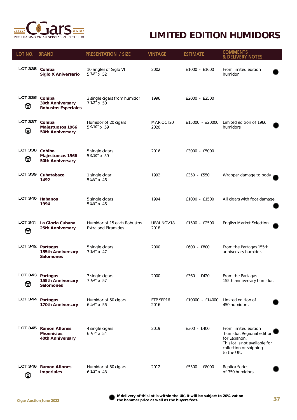

#### *LIMITED EDITION HUMIDORS*

| LOT NO. BRAND              |                                                                       | <b>PRESENTATION / SIZE</b>                                | <b>VINTAGE</b>           | <b>ESTIMATE</b> | <b>COMMENTS</b><br><b>&amp; DELIVERY NOTES</b>                                                                                             |
|----------------------------|-----------------------------------------------------------------------|-----------------------------------------------------------|--------------------------|-----------------|--------------------------------------------------------------------------------------------------------------------------------------------|
| <b>LOT 335</b>             | Cohiba<br>Siglo X Aniversario                                         | 10 singles of Siglo VI<br>5 7/8" x 52                     | 2002                     | £1000 - £1600   | From limited edition<br>humidor.                                                                                                           |
| LOT 336 Cohiba<br>❻        | <b>30th Anniversary</b><br><b>Robustos Especiales</b>                 | 3 single cigars from humidor<br>7 1/2" x 50               | 1996                     | £2000 - £2500   |                                                                                                                                            |
| LOT 337 Cohiba<br>ඏ        | Majestuosos 1966<br><b>50th Anniversary</b>                           | Humidor of 20 cigars<br>5 9/10" x 59                      | MAR OCT20<br>2020        | £15000 - £20000 | Limited edition of 1966<br>humidors.                                                                                                       |
| <b>LOT 338</b><br>❺        | Cohiba<br>Majestuosos 1966<br><b>50th Anniversary</b>                 | 5 single cigars<br>5 9/10" x 59                           | 2016                     | £3000 - £5000   |                                                                                                                                            |
| LOT 339                    | Cubatabaco<br>1492                                                    | 1 single cigar<br>5 5/8" x 46                             | 1992                     | £350 - £550     | Wrapper damage to body.                                                                                                                    |
| <b>LOT 340</b>             | <b>Habanos</b><br>1994                                                | 5 single cigars<br>5 5/8" x 46                            | 1994                     | £1000 - £1500   | All cigars with foot damage.                                                                                                               |
| <b>LOT 341</b><br><u>ල</u> | La Gloria Cubana<br><b>25th Anniversary</b>                           | Humidor of 15 each Robustos<br><b>Extra and Piramides</b> | <b>UBM NOV18</b><br>2018 | £1500 - £2500   | English Market Selection.                                                                                                                  |
|                            | LOT 342 Partagas<br>155th Anniversary<br><b>Salomones</b>             | 5 single cigars<br>7 1/4" x 47                            | 2000                     | £600 - £800     | From the Partagas 155th<br>anniversary humidor.                                                                                            |
| LOT 343 Partagas<br>ඏ      | <b>155th Anniversary</b><br><b>Salomones</b>                          | 3 single cigars<br>7 1/4" x 57                            | 2000                     | £360 - £420     | From the Partagas<br>155th anniversary humidor.                                                                                            |
| LOT 344 Partagas           | <b>170th Anniversary</b>                                              | Humidor of 50 cigars<br>6 3/4" x 56                       | ETP SEP16<br>2016        | £10000 - £14000 | Limited edition of<br>450 humidors.                                                                                                        |
|                            | LOT 345 Ramon Allones<br><b>Phoenicios</b><br><b>40th Anniversary</b> | 4 single cigars<br>6 1/2" x 54                            | 2019                     | £300 - £400     | From limited edition<br>humidor. Regional edition<br>for Lebanon.<br>This lot is not available for<br>collection or shipping<br>to the UK. |
| LOT 346<br>❻               | <b>Ramon Allones</b><br><b>Imperiales</b>                             | Humidor of 50 cigars<br>$61/2$ " x 48                     | 2012                     | £5500 - £8000   | Replica Series<br>of 350 humidors.                                                                                                         |

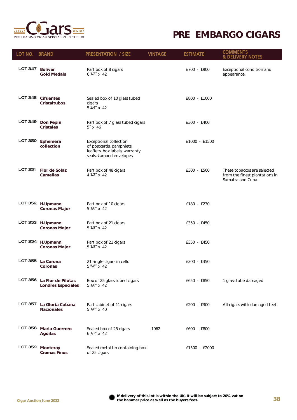

#### *PRE EMBARGO CIGARS*

| LOT NO. BRAND  |                                                         | <b>PRESENTATION / SIZE</b>                                                                                               | <b>VINTAGE</b> | <b>ESTIMATE</b> | <b>COMMENTS</b><br><b>&amp; DELIVERY NOTES</b>                                     |
|----------------|---------------------------------------------------------|--------------------------------------------------------------------------------------------------------------------------|----------------|-----------------|------------------------------------------------------------------------------------|
| <b>LOT 347</b> | <b>Bolivar</b><br><b>Gold Medals</b>                    | Part box of 8 cigars<br>6 1/2" x 42                                                                                      |                | £700 - £900     | Exceptional condition and<br>appearance.                                           |
| <b>LOT 348</b> | <b>Cifuentes</b><br>Cristaltubos                        | Sealed box of 10 glass tubed<br>cigars<br>$5\,3/4''$ x 42                                                                |                | £800 - £1000    |                                                                                    |
| <b>LOT 349</b> | <b>Don Pepin</b><br><b>Cristales</b>                    | Part box of 7 glass tubed cigars<br>$5'' \times 46$                                                                      |                | £300 - £400     |                                                                                    |
| <b>LOT 350</b> | Ephemera<br>collection                                  | <b>Exceptional collection</b><br>of postcards, pamphlets,<br>leaflets, box labels, warranty<br>seals, stamped envelopes. |                | £1000 - £1500   |                                                                                    |
| <b>LOT 351</b> | <b>Flor de Solaz</b><br><b>Camelias</b>                 | Part box of 48 cigars<br>4 1/2" x 42                                                                                     |                | £300 - £500     | These tobaccos are selected<br>from the finest plantations in<br>Sumatra and Cuba. |
|                | LOT 352 H.Upmann<br>Coronas Major                       | Part box of 10 cigars<br>5 1/8" x 42                                                                                     |                | £180 - £230     |                                                                                    |
|                | LOT 353 H.Upmann<br><b>Coronas Major</b>                | Part box of 21 cigars<br>5 1/8" x 42                                                                                     |                | £350 - £450     |                                                                                    |
|                | LOT 354 H.Upmann<br><b>Coronas Major</b>                | Part box of 21 cigars<br>5 1/8" x 42                                                                                     |                | £350 - £450     |                                                                                    |
|                | LOT 355 La Corona<br>Coronas                            | 21 single cigars in cello<br>5 5/8" x 42                                                                                 |                | £300 - £350     |                                                                                    |
|                | LOT 356 La Flor de Pilotas<br><b>Londres Especiales</b> | Box of 25 glass tubed cigars<br>5 1/8" x 42                                                                              |                | £650 - £850     | 1 glass tube damaged.                                                              |
| LOT 357        | La Gloria Cubana<br><b>Nacionales</b>                   | Part cabinet of 11 cigars<br>5 1/8" x 40                                                                                 |                | £200 - £300     | All cigars with damaged feet.                                                      |
| <b>LOT 358</b> | <b>Maria Guerrero</b><br><b>Aguilas</b>                 | Sealed box of 25 cigars<br>6 $1/2$ " x 42                                                                                | 1962           | £600 - £800     |                                                                                    |
| LOT 359        | <b>Monteray</b><br><b>Cremas Finos</b>                  | Sealed metal tin containing box<br>of 25 cigars                                                                          |                | £1500 - £2000   |                                                                                    |

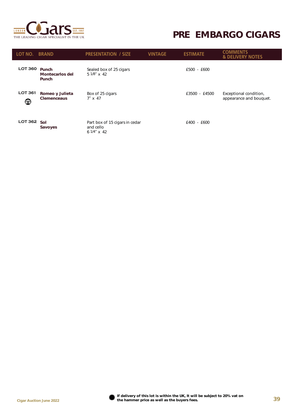

#### *PRE EMBARGO CIGARS*

| LOT NO.             | <b>BRAND</b>                          | <b>PRESENTATION / SIZE</b>                                   | <b>VINTAGE</b> | <b>ESTIMATE</b> | <b>COMMENTS</b><br><b>&amp; DELIVERY NOTES</b>    |
|---------------------|---------------------------------------|--------------------------------------------------------------|----------------|-----------------|---------------------------------------------------|
| <b>LOT 360</b>      | Punch<br>Montecarlos del<br>Punch     | Sealed box of 25 cigars<br>5 1/8" x 42                       |                | £500 - £600     |                                                   |
| <b>LOT 361</b><br>❺ | Romeo y Julieta<br><b>Clemenceaus</b> | Box of 25 cigars<br>$7'' \times 47$                          |                | £3500 - £4500   | Exceptional condition,<br>appearance and bouquet. |
| <b>LOT 362</b>      | <b>Sol</b><br>Savoyes                 | Part box of 15 cigars in cedar<br>and cello<br>$61/4$ " x 42 |                | £400 - £600     |                                                   |

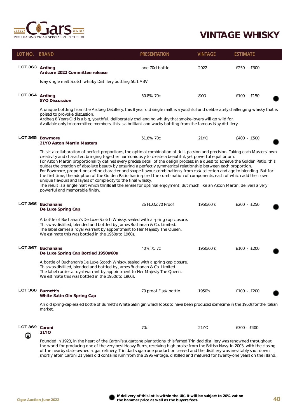

| LOT NO. BRAND  |                                                                                                                                                                                                                                                                                                                                                                                                     | <b>PRESENTATION</b>                                                                                                                                                                                                                                                                                                                                                                                                                                                                                                                                                                                                                                                                                                                                                                                                                                                                                 | <b>VINTAGE</b> | <b>ESTIMATE</b> |  |  |
|----------------|-----------------------------------------------------------------------------------------------------------------------------------------------------------------------------------------------------------------------------------------------------------------------------------------------------------------------------------------------------------------------------------------------------|-----------------------------------------------------------------------------------------------------------------------------------------------------------------------------------------------------------------------------------------------------------------------------------------------------------------------------------------------------------------------------------------------------------------------------------------------------------------------------------------------------------------------------------------------------------------------------------------------------------------------------------------------------------------------------------------------------------------------------------------------------------------------------------------------------------------------------------------------------------------------------------------------------|----------------|-----------------|--|--|
| LOT 363 Ardbeg | Ardcore 2022 Committee release                                                                                                                                                                                                                                                                                                                                                                      | one 70cl bottle                                                                                                                                                                                                                                                                                                                                                                                                                                                                                                                                                                                                                                                                                                                                                                                                                                                                                     | 2022           | £250 - £300     |  |  |
|                | Islay single malt Scotch whisky Distillery bottling 50.1 ABV                                                                                                                                                                                                                                                                                                                                        |                                                                                                                                                                                                                                                                                                                                                                                                                                                                                                                                                                                                                                                                                                                                                                                                                                                                                                     |                |                 |  |  |
| LOT 364 Ardbeg | <b>8YO Discussion</b>                                                                                                                                                                                                                                                                                                                                                                               | 50.8% 70cl                                                                                                                                                                                                                                                                                                                                                                                                                                                                                                                                                                                                                                                                                                                                                                                                                                                                                          | 8YO            | £100 - £150     |  |  |
|                | A unique bottling from the Ardbeg Distillery, this 8 year old single malt is a youthful and deliberately challenging whisky that is<br>poised to provoke discussion.<br>Ardbeg 8 Years Old is a big, youthful, deliberately challenging whisky that smoke-lovers will go wild for.<br>Available only to committee members, this is a brilliant and wacky bottling from the famous Islay distillery. |                                                                                                                                                                                                                                                                                                                                                                                                                                                                                                                                                                                                                                                                                                                                                                                                                                                                                                     |                |                 |  |  |
|                | LOT 365 Bowmore<br><b>21YO Aston Martin Masters</b>                                                                                                                                                                                                                                                                                                                                                 | 51.8% 70cl                                                                                                                                                                                                                                                                                                                                                                                                                                                                                                                                                                                                                                                                                                                                                                                                                                                                                          | 21YO           | £400 - £500     |  |  |
|                | unique flavours and layers of complexity to the final whisky.<br>powerful and memorable finish.                                                                                                                                                                                                                                                                                                     | This is a collaboration of perfect proportions, the optimal combination of skill, passion and precision. Taking each Masters' own<br>creativity and character; bringing together harmoniously to create a beautiful, yet powerful equilibrium.<br>For Aston Martin proportionality defines every precise detail of the design process; in a quest to achieve the Golden Ratio, this<br>guides the creation of absolute beauty by ensuring a perfectly symmetrical relationship between each proportion.<br>For Bowmore, proportions define character and shape flavour combinations; from cask selection and age to blending. But for<br>the first time, the adoption of the Golden Ratio has inspired the combination of components, each of which add their own<br>The result is a single malt which thrills all the senses for optimal enjoyment. But much like an Aston Martin, delivers a very |                |                 |  |  |
|                | LOT 366 Buchanans<br>De Luxe Spring Cap                                                                                                                                                                                                                                                                                                                                                             | 26 FL.OZ 70 Proof                                                                                                                                                                                                                                                                                                                                                                                                                                                                                                                                                                                                                                                                                                                                                                                                                                                                                   | 1950/60's      | £200 - £250     |  |  |
|                | We estimate this was bottled in the 1950s to 1960s.                                                                                                                                                                                                                                                                                                                                                 | A bottle of Buchanan's De Luxe Scotch Whisky, sealed with a spring cap closure.<br>This was distilled, blended and bottled by James Buchanan & Co. Limited.<br>The label carries a royal warrant by appointment to Her Majesty The Queen.                                                                                                                                                                                                                                                                                                                                                                                                                                                                                                                                                                                                                                                           |                |                 |  |  |
| <b>LOT 367</b> | <b>Buchanans</b><br>De Luxe Spring Cap Bottled 1950s/60s                                                                                                                                                                                                                                                                                                                                            | 40% 75.7cl                                                                                                                                                                                                                                                                                                                                                                                                                                                                                                                                                                                                                                                                                                                                                                                                                                                                                          | 1950/60's      | $£100 - £200$   |  |  |
|                | A bottle of Buchanan's De Luxe Scotch Whisky, sealed with a spring cap closure.<br>This was distilled, blended and bottled by James Buchanan & Co. Limited.<br>The label carries a royal warrant by appointment to Her Majesty The Queen.<br>We estimate this was bottled in the 1950s to 1960s.                                                                                                    |                                                                                                                                                                                                                                                                                                                                                                                                                                                                                                                                                                                                                                                                                                                                                                                                                                                                                                     |                |                 |  |  |
| LOT 368        | <b>Burnett's</b><br><b>White Satin Gin Spring Cap</b>                                                                                                                                                                                                                                                                                                                                               | 70 proof Flask bottle                                                                                                                                                                                                                                                                                                                                                                                                                                                                                                                                                                                                                                                                                                                                                                                                                                                                               | 1950's         | £100 - £200     |  |  |
|                | An old spring-cap-sealed bottle of Burnett's White Satin gin which looks to have been produced sometime in the 1950s for the Italian<br>market.                                                                                                                                                                                                                                                     |                                                                                                                                                                                                                                                                                                                                                                                                                                                                                                                                                                                                                                                                                                                                                                                                                                                                                                     |                |                 |  |  |
| LOT 369 Caroni |                                                                                                                                                                                                                                                                                                                                                                                                     | 70cl                                                                                                                                                                                                                                                                                                                                                                                                                                                                                                                                                                                                                                                                                                                                                                                                                                                                                                | 21YO           | £300 - £400     |  |  |

 $\bigcirc$ 

*21YO*

Founded in 1923, in the heart of the Caroni's sugarcane plantations, this famed Trinidad distillery was renowned throughout the world for producing one of the very best Heavy Rums, receiving high praise from the British Navy. In 2003, with the closing of the nearby state-owned sugar refinery, Trinidad sugarcane production ceased and the distillery was inevitably shut down shortly after. Caroni 21 years old contains rum from the 1996 vintage, distilled and matured for twenty-one years on the island.

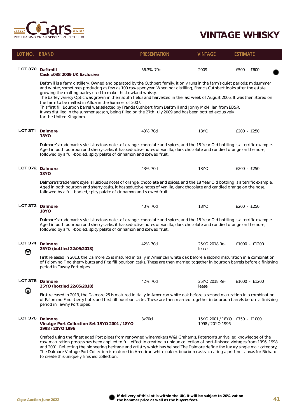

| LOT NO. BRAND       |                                                                                                                                                                                                                                                                                                                                                                                                                                                                                                                                                                                                                                                                                                                                                                                | <b>PRESENTATION</b> | <b>VINTAGE</b>                                    | <b>ESTIMATE</b> |  |
|---------------------|--------------------------------------------------------------------------------------------------------------------------------------------------------------------------------------------------------------------------------------------------------------------------------------------------------------------------------------------------------------------------------------------------------------------------------------------------------------------------------------------------------------------------------------------------------------------------------------------------------------------------------------------------------------------------------------------------------------------------------------------------------------------------------|---------------------|---------------------------------------------------|-----------------|--|
| LOT 370 Daftmill    | Cask #038 2009 UK Exclusive                                                                                                                                                                                                                                                                                                                                                                                                                                                                                                                                                                                                                                                                                                                                                    | 56.3% 70cl          | 2009                                              | £500 - £600     |  |
|                     | Daftmill is a farm distillery. Owned and operated by the Cuthbert family, it only runs in the farm's quiet periods; midsummer<br>and winter, sometimes producing as few as 100 casks per year. When not distilling, Francis Cuthbert looks after the estate,<br>growing the malting barley used to make this Lowland whisky.<br>The barley variety Optic was grown in their south fields and harvested in the last week of August 2006. It was then stored on<br>the farm to be malted in Alloa in the Summer of 2007.<br>This first fill Bourbon barrel was selected by Francis Cuthbert from Daftmill and Jonny McMillan from BB&R.<br>It was distilled in the summer season, being filled on the 27th July 2009 and has been bottled exclusively<br>for the United Kingdom. |                     |                                                   |                 |  |
| <b>LOT 371</b>      | <b>Dalmore</b><br>18YO                                                                                                                                                                                                                                                                                                                                                                                                                                                                                                                                                                                                                                                                                                                                                         | 43% 70cl            | 18YO                                              | $£200 - £250$   |  |
|                     | Dalmore's trademark style is luscious notes of orange, chocolate and spices, and the 18 Year Old bottling is a terrific example.<br>Aged in both bourbon and sherry casks, it has seductive notes of vanilla, dark chocolate and candied orange on the nose,<br>followed by a full-bodied, spicy palate of cinnamon and stewed fruit.                                                                                                                                                                                                                                                                                                                                                                                                                                          |                     |                                                   |                 |  |
|                     | LOT 372 Dalmore<br><b>18YO</b>                                                                                                                                                                                                                                                                                                                                                                                                                                                                                                                                                                                                                                                                                                                                                 | 43% 70cl            | 18YO                                              | $£200 - £250$   |  |
|                     | Dalmore's trademark style is luscious notes of orange, chocolate and spices, and the 18 Year Old bottling is a terrific example.<br>Aged in both bourbon and sherry casks, it has seductive notes of vanilla, dark chocolate and candied orange on the nose,<br>followed by a full-bodied, spicy palate of cinnamon and stewed fruit.                                                                                                                                                                                                                                                                                                                                                                                                                                          |                     |                                                   |                 |  |
| LOT 373 Dalmore     | 18YO                                                                                                                                                                                                                                                                                                                                                                                                                                                                                                                                                                                                                                                                                                                                                                           | 43% 70cl            | <b>18YO</b>                                       | £200 - £250     |  |
|                     | Dalmore's trademark style is luscious notes of orange, chocolate and spices, and the 18 Year Old bottling is a terrific example.<br>Aged in both bourbon and sherry casks, it has seductive notes of vanilla, dark chocolate and candied orange on the nose,<br>followed by a full-bodied, spicy palate of cinnamon and stewed fruit.                                                                                                                                                                                                                                                                                                                                                                                                                                          |                     |                                                   |                 |  |
| <b>LOT 374</b><br>ල | <b>Dalmore</b><br>25YO (bottled 22/05/2018)                                                                                                                                                                                                                                                                                                                                                                                                                                                                                                                                                                                                                                                                                                                                    | 42% 70cl            | 25YO 2018 Re-<br>lease                            | £1000 - £1200   |  |
|                     | First released in 2013, the Dalmore 25 is matured initially in American white oak before a second maturation in a combination<br>of Palomino Fino sherry butts and first fill bourbon casks. These are then married together in bourbon barrels before a finishing<br>period in Tawny Port pipes.                                                                                                                                                                                                                                                                                                                                                                                                                                                                              |                     |                                                   |                 |  |
| LOT 375 Dalmore     | 25YO (bottled 22/05/2018)                                                                                                                                                                                                                                                                                                                                                                                                                                                                                                                                                                                                                                                                                                                                                      | 42% 70cl            | 25YO 2018 Re-<br>lease                            | £1000 - £1200   |  |
| ળિ                  | First released in 2013, the Dalmore 25 is matured initially in American white oak before a second maturation in a combination<br>of Palomino Fino sherry butts and first fill bourbon casks. These are then married together in bourbon barrels before a finishing<br>period in Tawny Port pipes.                                                                                                                                                                                                                                                                                                                                                                                                                                                                              |                     |                                                   |                 |  |
| LOT 376             | <b>Dalmore</b><br>Vinatge Port Collection Set 15YO 2001 / 18YO<br>1998 / 20YO 1996                                                                                                                                                                                                                                                                                                                                                                                                                                                                                                                                                                                                                                                                                             | 3x70cl              | 15YO 2001 / 18YO £750 - £1000<br>1998 / 20YO 1996 |                 |  |
|                     | Crafted using the finest aged Port pipes from renowned winemakers W&J Graham's, Paterson's unrivalled knowledge of the<br>cask maturation process has been applied to full effect in creating a unique collection of port-finished vintages from 1996, 1998<br>and 2001. Reflecting the pioneering heritage and artistry which has helped The Dalmore define the luxury single malt category,<br>The Dalmore Vintage Port Collection is matured in American white oak ex-bourbon casks, creating a pristine canvas for Richard<br>to create this uniquely finished collection.                                                                                                                                                                                                 |                     |                                                   |                 |  |

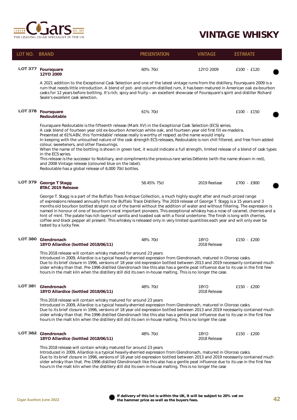

I

| LOT NO. BRAND  |                                                                                                                                                                                                                                                                                                                                                                                                                                                                                                                                                                                                                                                                                                                                                                                                                                                                                                                              | <b>PRESENTATION</b> | <b>VINTAGE</b>              | <b>ESTIMATE</b> |  |
|----------------|------------------------------------------------------------------------------------------------------------------------------------------------------------------------------------------------------------------------------------------------------------------------------------------------------------------------------------------------------------------------------------------------------------------------------------------------------------------------------------------------------------------------------------------------------------------------------------------------------------------------------------------------------------------------------------------------------------------------------------------------------------------------------------------------------------------------------------------------------------------------------------------------------------------------------|---------------------|-----------------------------|-----------------|--|
|                | LOT 377 Foursquare<br>12YO 2009                                                                                                                                                                                                                                                                                                                                                                                                                                                                                                                                                                                                                                                                                                                                                                                                                                                                                              | 60% 70cl            | 12YO 2009                   | £100 - £120     |  |
|                | A 2021 addition to the Exceptional Cask Selection and one of the latest vintage rums from the distillery, Foursquare 2009 is a<br>rum that needs little introduction. A blend of pot- and column-distilled rum, it has been matured in American oak ex-bourbon<br>casks for 12 years before bottling. It's rich, spicy and fruity - an excellent showcase of Foursquare's spirit and distiller Richard<br>Seale's excellent cask selection.                                                                                                                                                                                                                                                                                                                                                                                                                                                                                  |                     |                             |                 |  |
|                | LOT 378 Foursquare<br>Redoubtable                                                                                                                                                                                                                                                                                                                                                                                                                                                                                                                                                                                                                                                                                                                                                                                                                                                                                            | 61% 70cl            |                             | £100 - £150     |  |
|                | Foursquare Redoutable is the fifteenth release (Mark XV) in the Exceptional Cask Selection (ECS) series.<br>A cask blend of fourteen year old ex-bourbon American white oak, and fourteen year old first fill ex-madeira.<br>Presented at 61%ABV, this 'formidable' release really is worthy of respect as the name would imply.<br>In keeping with the untouched nature of the cask strength ECS releases, Redoutable is non chill filtered, and free from added<br>colour, sweeteners, and other flavourings.<br>When the name of the bottling is shown in green text, it would indicate a full strength, limited release of a blend of cask types<br>in the ECS series.<br>This release is the successor to Nobiliary, and compliments the previous rare series Détente (with the name shown in red),<br>and 2008 Vintage release (coloured blue on the label).<br>Redoutable has a global release of 6,000 70cl bottles. |                     |                             |                 |  |
| LOT 379        | George T Stagg<br><b>BTAC 2019 Release</b>                                                                                                                                                                                                                                                                                                                                                                                                                                                                                                                                                                                                                                                                                                                                                                                                                                                                                   | 58.45% 75cl         | 2019 Reelase                | £700 - £900     |  |
|                | George T. Stagg is a part of the Buffalo Trace Antique Collection, a much highly sought after and much prized range<br>of expressions released annually from the Buffalo Trace Distillery. The 2019 release of George T. Stagg is a 15 years and 3<br>months old bourbon bottled straight out of the barrel without the addition of water and without filtering. The expression is<br>named in honour of one of bourbon's most important pioneers. This exceptional whiskey has a nose of caramel, cherries and a<br>hint of mint. The palate has rich layers of vanilla and toasted oak with a floral undertone. The finish is long with cherries,<br>coffee and black pepper all present. This whiskey is released only in very limited quantities each year and will only ever be<br>tasted by a lucky few.                                                                                                               |                     |                             |                 |  |
| <b>LOT 380</b> | Glendronach<br>18YO Allardice (bottled 2018/06/11)                                                                                                                                                                                                                                                                                                                                                                                                                                                                                                                                                                                                                                                                                                                                                                                                                                                                           | 48% 70cl            | <b>18YO</b><br>2018 Release | £150 - £200     |  |
|                | This 2018 release will contain whisky matured for around 23 years<br>Introduced in 2009, Allardice is a typical heavily-sherried expression from Glendronach, matured in Oloroso casks.<br>Due to its brief closure in 1996, versions of 18 year old expression bottled between 2013 and 2019 necessarily contained much<br>older whisky than that. Pre-1996 distilled Glendronach like this also has a gentle peat influence due to its use in the first few<br>hours in the malt kiln when the distillery still did its own in-house malting. This is no longer the case.                                                                                                                                                                                                                                                                                                                                                  |                     |                             |                 |  |
| <b>LOT 381</b> | Glendronach<br>18YO Allardice (bottled 2018/06/11)                                                                                                                                                                                                                                                                                                                                                                                                                                                                                                                                                                                                                                                                                                                                                                                                                                                                           | 48% 70cl            | 18YO<br>2018 Release        | £150 - £200     |  |
|                | This 2018 release will contain whisky matured for around 23 years<br>Introduced in 2009, Allardice is a typical heavily-sherried expression from Glendronach, matured in Oloroso casks.<br>Due to its brief closure in 1996, versions of 18 year old expression bottled between 2013 and 2019 necessarily contained much<br>older whisky than that. Pre-1996 distilled Glendronach like this also has a gentle peat influence due to its use in the first few<br>hours in the malt kiln when the distillery still did its own in-house malting. This is no longer the case                                                                                                                                                                                                                                                                                                                                                   |                     |                             |                 |  |
|                | LOT 382 Glendronach<br>18YO Allardice (bottled 2018/06/11)                                                                                                                                                                                                                                                                                                                                                                                                                                                                                                                                                                                                                                                                                                                                                                                                                                                                   | 48% 70cl            | 18YO<br>2018 Release        | £150 - £200     |  |
|                | This 2018 release will contain whisky matured for around 23 years<br>Introduced in 2009, Allardice is a typical heavily-sherried expression from Glendronach, matured in Oloroso casks.<br>Due to its brief closure in 1996, versions of 18 year old expression bottled between 2013 and 2019 necessarily contained much<br>older whisky than that. Pre-1996 distilled Glendronach like this also has a gentle peat influence due to its use in the first few<br>hours in the malt kiln when the distillery still did its own in-house malting. This is no longer the case                                                                                                                                                                                                                                                                                                                                                   |                     |                             |                 |  |

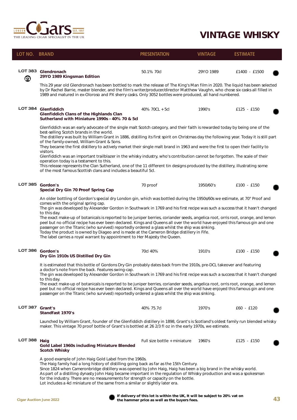

| LOT NO. BRAND  |                                                                                                                                                                                                                                                                                                                                                                                                                                                                                                                                                                                                                                                                                                                                                                                                                                                                                                     | <b>PRESENTATION</b>                                                                                                                                                                                                                                                                                                                                                                                                                                                                                                                                                                                                                                                                                                                                                                                            | <b>VINTAGE</b> | <b>ESTIMATE</b> |  |
|----------------|-----------------------------------------------------------------------------------------------------------------------------------------------------------------------------------------------------------------------------------------------------------------------------------------------------------------------------------------------------------------------------------------------------------------------------------------------------------------------------------------------------------------------------------------------------------------------------------------------------------------------------------------------------------------------------------------------------------------------------------------------------------------------------------------------------------------------------------------------------------------------------------------------------|----------------------------------------------------------------------------------------------------------------------------------------------------------------------------------------------------------------------------------------------------------------------------------------------------------------------------------------------------------------------------------------------------------------------------------------------------------------------------------------------------------------------------------------------------------------------------------------------------------------------------------------------------------------------------------------------------------------------------------------------------------------------------------------------------------------|----------------|-----------------|--|
|                | LOT 383 Glendronach<br>29YO 1989 Kingsman Edition                                                                                                                                                                                                                                                                                                                                                                                                                                                                                                                                                                                                                                                                                                                                                                                                                                                   | 50.1% 70cl                                                                                                                                                                                                                                                                                                                                                                                                                                                                                                                                                                                                                                                                                                                                                                                                     | 29YO 1989      | £1400 - £1500   |  |
| ❻              | This 29 year old Glendronach has been bottled to mark the release of The King's Man film in 2020. The liquid has been selected<br>by Dr Rachel Barrie, master blender, and the film's writer/producer/director Matthew Vaughn, who chose six casks all filled in<br>1989 and matured in ex-Oloroso and PX sherry casks. Only 3052 bottles were produced, all hand numbered.                                                                                                                                                                                                                                                                                                                                                                                                                                                                                                                         |                                                                                                                                                                                                                                                                                                                                                                                                                                                                                                                                                                                                                                                                                                                                                                                                                |                |                 |  |
| <b>LOT 384</b> | Glenfiddich<br><b>Glenfiddich Clans of the Highlands Clan</b><br>Sutherland with Miniature 1990s - 40% 70 & 5cl                                                                                                                                                                                                                                                                                                                                                                                                                                                                                                                                                                                                                                                                                                                                                                                     | 40% 70CL + 5cl                                                                                                                                                                                                                                                                                                                                                                                                                                                                                                                                                                                                                                                                                                                                                                                                 | 1990's         | £125 - £150     |  |
|                | Glenfiddich was an early advocate of the single malt Scotch category, and their faith is rewarded today by being one of the<br>best-selling Scotch brands in the world.<br>The distillery was built by William Grant in 1886, distilling its first spirit on Christmas day the following year. Today it is still part<br>of the family-owned, William Grant & Sons.<br>They became the first distillery to actively market their single malt brand in 1963 and were the first to open their facility to<br>visitors.<br>Glenfiddich was an important trailblazer in the whisky industry, who's contribution cannot be forgotten. The scale of their<br>operation today is a testament to this.<br>This release represents the Clan Sutherland, one of the 11 different tin designs produced by the distillery, illustrating some<br>of the most famous Scottish clans and includes a beautiful 5cl. |                                                                                                                                                                                                                                                                                                                                                                                                                                                                                                                                                                                                                                                                                                                                                                                                                |                |                 |  |
|                | LOT 385 Gordon's<br>Special Dry Gin 70 Proof Spring Cap                                                                                                                                                                                                                                                                                                                                                                                                                                                                                                                                                                                                                                                                                                                                                                                                                                             | 70 proof                                                                                                                                                                                                                                                                                                                                                                                                                                                                                                                                                                                                                                                                                                                                                                                                       | 1950/60's      | £100 - £150     |  |
|                | comes with the original spring cap.<br>to this day.                                                                                                                                                                                                                                                                                                                                                                                                                                                                                                                                                                                                                                                                                                                                                                                                                                                 | An older bottling of Gordon's special dry London gin, which was bottled during the 1950s/60s we estimate, at 70° Proof and<br>The gin was developed by Alexander Gordon in Southwark in 1769 and his first recipe was such a success that it hasn't changed<br>The exact make-up of botanicals is reported to be juniper berries, coriander seeds, angelica root, orris root, orange, and lemon<br>peel but no official recipe has ever been declared. Kings and Queens all over the world have enjoyed this famous gin and one<br>passenger on the Titanic (who survived) reportedly ordered a glass whilst the ship was sinking.<br>Today the product is owned by Diageo and is made at the Cameron Bridge distillery in Fife.<br>The label carries a royal warrant by appointment to Her Majesty the Queen. |                |                 |  |
|                | LOT 386 Gordon's<br>Dry Gin 1910s US Distilled Dry Gin                                                                                                                                                                                                                                                                                                                                                                                                                                                                                                                                                                                                                                                                                                                                                                                                                                              | 70cl 40%                                                                                                                                                                                                                                                                                                                                                                                                                                                                                                                                                                                                                                                                                                                                                                                                       | 1910's         | £100 - £150     |  |
|                | It is estimated that this bottle of Gordons Dry Gin probably dates back from the 1910s, pre-DCL takeover and featuring<br>a doctor's note from the back. Features swing-cap.<br>The gin was developed by Alexander Gordon in Southwark in 1769 and his first recipe was such a success that it hasn't changed<br>to this day.<br>The exact make-up of botanicals is reported to be juniper berries, coriander seeds, angelica root, orris root, orange, and lemon<br>peel but no official recipe has ever been declared. Kings and Queens all over the world have enjoyed this famous gin and one<br>passenger on the Titanic (who survived) reportedly ordered a glass whilst the ship was sinking.                                                                                                                                                                                                |                                                                                                                                                                                                                                                                                                                                                                                                                                                                                                                                                                                                                                                                                                                                                                                                                |                |                 |  |
| <b>LOT 387</b> | Grant's<br>Standfast 1970's                                                                                                                                                                                                                                                                                                                                                                                                                                                                                                                                                                                                                                                                                                                                                                                                                                                                         | 40% 75.7cl                                                                                                                                                                                                                                                                                                                                                                                                                                                                                                                                                                                                                                                                                                                                                                                                     | 1970's         | $£60 - £120$    |  |
|                | Launched by William Grant, founder of the Glenfiddich distillery in 1898, Grant's is Scotland's oldest family run blended whisky<br>maker. This vintage 70 proof bottle of Grant's is bottled at 26 2/3 fl oz in the early 1970s, we estimate.                                                                                                                                                                                                                                                                                                                                                                                                                                                                                                                                                                                                                                                      |                                                                                                                                                                                                                                                                                                                                                                                                                                                                                                                                                                                                                                                                                                                                                                                                                |                |                 |  |
| LOT 388 Haig   | Gold Label 1960s including Miniature Blended<br><b>Scotch Whisky</b>                                                                                                                                                                                                                                                                                                                                                                                                                                                                                                                                                                                                                                                                                                                                                                                                                                | Full size bottle + miniature                                                                                                                                                                                                                                                                                                                                                                                                                                                                                                                                                                                                                                                                                                                                                                                   | 1960's         | $£125 - £150$   |  |
|                | A good example of John Haig Gold Label from the 1960s.<br>The Haig family had a long history of distilling going back as far as the 15th Century.<br>Since 1824 when Cameronbridge distillery was opened by John Haig, Haig has been a big brand in the whisky world.<br>As part of a distilling dynasty John Haig became important in the regulation of Whisky production and was a spokesman<br>for the industry. There are no measurements for strength or capacity on the bottle.<br>Lot includes a 4cl miniature of the same from a similar or slightly later era.                                                                                                                                                                                                                                                                                                                             |                                                                                                                                                                                                                                                                                                                                                                                                                                                                                                                                                                                                                                                                                                                                                                                                                |                |                 |  |

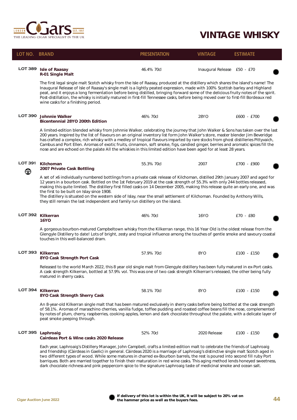

 $\overline{\phantom{a}}$ 

| <b>LOT NO. BRAND</b> |                                                                                                                                                                                                                                                                                                                                                                                                                                                                                                                                                                                                                                                                  | <b>PRESENTATION</b> | <b>VINTAGE</b>              | <b>ESTIMATE</b> |  |
|----------------------|------------------------------------------------------------------------------------------------------------------------------------------------------------------------------------------------------------------------------------------------------------------------------------------------------------------------------------------------------------------------------------------------------------------------------------------------------------------------------------------------------------------------------------------------------------------------------------------------------------------------------------------------------------------|---------------------|-----------------------------|-----------------|--|
| <b>LOT 389</b>       | <b>Isle of Raasay</b><br><b>R-01 Single Malt</b>                                                                                                                                                                                                                                                                                                                                                                                                                                                                                                                                                                                                                 | 46.4% 70cl          | Inaugural Release £50 - £70 |                 |  |
|                      | The first legal single malt Scotch whisky from the Isle of Raasay, produced at the distillery which shares the island's name! The<br>Inaugural Release of Isle of Raasay's single malt is a lightly peated expression, made with 100% Scottish barley and Highland<br>peat, and it enjoys a long fermentation before being distilled, bringing forward some of the delicious fruity notes of the spirit.<br>Post-distillation, the whisky is initially matured in first-fill Tennessee casks, before being moved over to first-fill Bordeaux red<br>wine casks for a finishing period.                                                                           |                     |                             |                 |  |
| <b>LOT 390</b>       | Johnnie Walker<br><b>Bicentennial 28YO 200th Edition</b>                                                                                                                                                                                                                                                                                                                                                                                                                                                                                                                                                                                                         | 46% 70cl            | 28YO                        | £600 - £700     |  |
|                      | A limited-edition blended whisky from Johnnie Walker, celebrating the journey that John Walker & Sons has taken over the last<br>200 years. Inspired by the list of flavours on an original inventory list form John Walker's store, master blender Jim Beveridge<br>has crafted a complex, rich whisky with a medley of tropical flavours imparted by rare stocks from ghost distilleries Pittyvaich,<br>Cambus and Port Ellen. Aromas of exotic fruits, cinnamon, soft smoke, figs, candied ginger, berries and aromatic spices fill the<br>nose and are echoed on the palate All the whiskies in this limited edition have been aged for at least 28 years.   |                     |                             |                 |  |
| <b>LOT 391</b><br>❻  | <b>Kilchoman</b><br>2007 Private Cask Bottling                                                                                                                                                                                                                                                                                                                                                                                                                                                                                                                                                                                                                   | 55.3% 70cl          | 2007                        | £700 - £900     |  |
|                      | A set of x6 individually numbered bottlings from a private cask release of Kilchoman, distilled 29th January 2007 and aged for<br>12 years in a bourbon cask. Bottled on the 1st February 2019 at the cask strength of 55.3% with only 244 bottles released,<br>making this quite limited. The distillery first filled casks on 14 December 2005, making this release quite an early one, and was<br>the first to be built on Islay since 1908.<br>The distillery is situated on the western side of Islay, near the small settlement of Kilchoman. Founded by Anthony Wills,<br>they still remain the last independent and family run distillery on the island. |                     |                             |                 |  |
|                      | LOT 392 Kilkerran<br>16YO                                                                                                                                                                                                                                                                                                                                                                                                                                                                                                                                                                                                                                        | 46% 70cl            | <b>16YO</b>                 | £70 - £80       |  |
|                      | A gorgeous bourbon-matured Campbeltown whisky from the Kilkerran range, this 16 Year Old is the oldest release from the<br>Glengyle Distillery to date! Lots of bright, zesty and tropical influence among the touches of gentle smoke and savoury coastal<br>touches in this well-balanced dram.                                                                                                                                                                                                                                                                                                                                                                |                     |                             |                 |  |
|                      | LOT 393 Kilkerran<br>8YO Cask Strength Port Cask                                                                                                                                                                                                                                                                                                                                                                                                                                                                                                                                                                                                                 | 57.9% 70cl          | 8YO                         | £100 - £150     |  |
|                      | Released to the world March 2022, this 8 year old single malt from Glengyle distillery has been fully matured in ex-Port casks.<br>A cask strength Kilkerran, bottled at 57.9% vol. This was one of two cask strength Kilkerran's released, the other being fully<br>matured in sherry casks.                                                                                                                                                                                                                                                                                                                                                                    |                     |                             |                 |  |
|                      | LOT 394 Kilkerran<br>8YO Cask Strength Sherry Cask                                                                                                                                                                                                                                                                                                                                                                                                                                                                                                                                                                                                               | 58.1% 70cl          | 8YO                         | £100 - £150     |  |
|                      | An 8-year-old Kilkerran single malt that has been matured exclusively in sherry casks before being bottled at the cask strength<br>of 58.1%. Aromas of maraschino cherries, vanilla fudge, toffee pudding and roasted coffee beans fill the nose, complemented<br>by notes of plum, cherry, raspberries, cooking apples, lemon and dark chocolate throughout the palate, with a delicate layer of<br>peat smoke peeping through.                                                                                                                                                                                                                                 |                     |                             |                 |  |
|                      | LOT 395 Laphroaig<br>Cairdeas Port & Wine casks 2020 Release                                                                                                                                                                                                                                                                                                                                                                                                                                                                                                                                                                                                     | 52% 70cl            | 2020 Release                | £100 - £150     |  |
|                      | Each year, Laphroaig's Distillery Manager, John Campbell, crafts a limited-edition malt to celebrate the friends of Laphroaig<br>and friendship (Càirdeas in Gaelic) in general. Càirdeas 2020 is a marriage of Laphroaig's distinctive single malt Scotch aged in<br>two different types of wood. While some matures in charred ex-Bourbon barrels, the rest is poured into second fill ruby Port<br>barriques. Both are married together to finish their maturation in red wine casks. This aging method lends honeyed sweetness,<br>dark chocolate richness and pink peppercorn spice to the signature Laphroaig taste of medicinal smoke and ocean salt.     |                     |                             |                 |  |

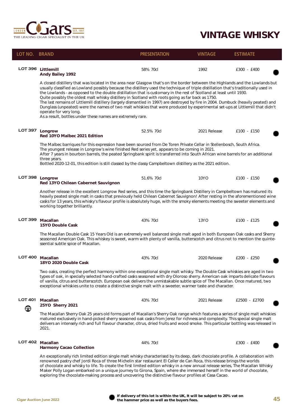

| LOT NO.             | <b>BRAND</b>                                                                                                                                                                                                                                                                                                                                                                                                                                                                                                                                                                                                                                                                                                                                                                                                                                                     | <b>PRESENTATION</b> | <b>VINTAGE</b> | <b>ESTIMATE</b> |  |
|---------------------|------------------------------------------------------------------------------------------------------------------------------------------------------------------------------------------------------------------------------------------------------------------------------------------------------------------------------------------------------------------------------------------------------------------------------------------------------------------------------------------------------------------------------------------------------------------------------------------------------------------------------------------------------------------------------------------------------------------------------------------------------------------------------------------------------------------------------------------------------------------|---------------------|----------------|-----------------|--|
|                     | LOT 396 Littlemill<br><b>Andy Bailey 1992</b>                                                                                                                                                                                                                                                                                                                                                                                                                                                                                                                                                                                                                                                                                                                                                                                                                    | 58% 70cl            | 1992           | £300 - £400     |  |
|                     | A closed distillery that was located in the area near Glasgow that's on the border between the Highlands and the Lowlands but<br>usually classified as Lowland possibly because the distillery used the technique of triple distillation that's traditionally used in<br>the Lowlands - as opposed to the double distillation that is customary in the rest of Scotland at least until 1930.<br>Quite possibly the oldest malt whisky distillery in Scotland with roots going as far back as 1750.<br>The last remains of Littlemill distillery (largely dismantled in 1997) are destroyed by fire in 2004. Dumbuck (heavily peated) and<br>Dunglass (unpeated) were the names of two malt whiskies that were produced by experimental set-ups at Littlemill that didn't<br>operate for very long.<br>As a result, bottles under these names are extremely rare. |                     |                |                 |  |
| LOT 397             | Longrow<br>Red 10YO Malbec 2021 Edition                                                                                                                                                                                                                                                                                                                                                                                                                                                                                                                                                                                                                                                                                                                                                                                                                          | 52.5% 70cl          | 2021 Release   | £100 - £150     |  |
|                     | The Malbec barriques for this expression have been sourced from De Toren Private Cellar in Stellenbosch, South Africa.<br>The youngest release in Longrow's wine finished Red series yet, appears to be coming in 2021.<br>After 7 years in bourbon barrels, the peated Springbank spirit is transferred into South African wine barrels for an additional<br>three years.<br>Bottled 2020-12-01, this edition is still classed by the classy Campbeltown distillery as the 2021 edition.                                                                                                                                                                                                                                                                                                                                                                        |                     |                |                 |  |
|                     | LOT 398 Longrow<br>Red 13YO Chilean Cabernet Sauvignon                                                                                                                                                                                                                                                                                                                                                                                                                                                                                                                                                                                                                                                                                                                                                                                                           | 51.6% 70cl          | 10YO           | £100 - £150     |  |
|                     | Another release in the excellent Longrow Red series, and this time the Springbank Distillery in Campbeltown has matured its<br>heavily peated single malt in casks that previously held Chilean Cabernet Sauvignon! After resting in the aforementioned wine<br>casks for 13 years, this whisky's flavour profile is absolutely huge, with the smoky elements meeting the sweeter elements and<br>working together brilliantly.                                                                                                                                                                                                                                                                                                                                                                                                                                  |                     |                |                 |  |
| <b>LOT 399</b>      | Macallan<br>15YO Double Cask                                                                                                                                                                                                                                                                                                                                                                                                                                                                                                                                                                                                                                                                                                                                                                                                                                     | 43% 70cl            | 13YO           | $£100 - £125$   |  |
|                     | The Macallan Double Cask 15 Years Old is an extremely well balanced single malt aged in both European Oak casks and Sherry<br>seasoned American Oak. This whiskey is sweet, warm with plenty of vanilla, butterscotch and citrus not to mention the quinte-<br>ssential subtle spice of Macallan.                                                                                                                                                                                                                                                                                                                                                                                                                                                                                                                                                                |                     |                |                 |  |
| <b>LOT 400</b>      | Macallan<br>18YO 2020 Double Cask                                                                                                                                                                                                                                                                                                                                                                                                                                                                                                                                                                                                                                                                                                                                                                                                                                | 43% 70cl            | 2020 Release   | £200 - £250     |  |
|                     | Two oaks, creating the perfect harmony within one exceptional single malt whisky. The Double Cask whiskies are aged in two<br>types of oak, in specially selected hand-crafted casks seasoned with dry Oloroso sherry. American oak imparts delicate flavours<br>of vanilla, citrus and butterscotch. European oak delivers the unmistakable subtle spice of The Macallan. Once matured, two<br>exceptional whiskies unite to create a distinctive single malt with a sweeter, warmer taste and character.                                                                                                                                                                                                                                                                                                                                                       |                     |                |                 |  |
| <b>LOT 401</b><br>❻ | Macallan<br>25YO Sherry 2021                                                                                                                                                                                                                                                                                                                                                                                                                                                                                                                                                                                                                                                                                                                                                                                                                                     | 43% 70cl            | 2021 Release   | £2500 - £2700   |  |
|                     | The Macallan Sherry Oak 25 years old forms part of Macallan's Sherry Oak range which features a series of single malt whiskies<br>matured exclusively in hand-picked sherry seasoned oak casks from Jerez for richness and complexity. This special single malt<br>delivers an intensely rich and full flavour character, citrus, dried fruits and wood smoke. This particular bottling was released in<br>2021.                                                                                                                                                                                                                                                                                                                                                                                                                                                 |                     |                |                 |  |
|                     | LOT 402 Macallan<br><b>Harmony Cacao Collection</b>                                                                                                                                                                                                                                                                                                                                                                                                                                                                                                                                                                                                                                                                                                                                                                                                              | 44% 70cl            |                | £300 - £400     |  |
|                     | An exceptionally rich limited edition single malt whisky characterised by its deep, dark chocolate profile. A collaboration with<br>renowned pastry chef Jordi Roca of three Michelin star restaurant El Celler de Can Roca, this release brings the worlds<br>of chocolate and whisky to life. To create the first limited edition whisky in a new annual release series, The Macallan Whisky<br>Maker Polly Logan embarked on a unique journey to Girona, Spain, where she immersed herself in the world of chocolate,<br>exploring the chocolate-making process and uncovering the distinctive flavour profiles at Casa Cacao.                                                                                                                                                                                                                                |                     |                |                 |  |

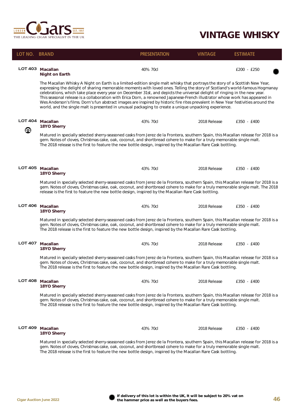

| LOT NO. BRAND  |                                                                                                                                                                                                                                                                                                                                                                                                                                                                                                                                                                                                                                                                                                                                                                      | <b>PRESENTATION</b> | <b>VINTAGE</b> | <b>ESTIMATE</b> |  |
|----------------|----------------------------------------------------------------------------------------------------------------------------------------------------------------------------------------------------------------------------------------------------------------------------------------------------------------------------------------------------------------------------------------------------------------------------------------------------------------------------------------------------------------------------------------------------------------------------------------------------------------------------------------------------------------------------------------------------------------------------------------------------------------------|---------------------|----------------|-----------------|--|
|                | LOT 403 Macallan<br><b>Night on Earth</b>                                                                                                                                                                                                                                                                                                                                                                                                                                                                                                                                                                                                                                                                                                                            | 40% 70cl            |                | £200 - £250     |  |
|                | The Macallan Whisky A Night on Earth is a limited-edition single malt whisky that portrays the story of a Scottish New Year,<br>expressing the delight of sharing memorable moments with loved ones. Telling the story of Scotland's world-famous Hogmanay<br>celebrations, which take place every year on December 31st, and depicts the universal delight of ringing in the new year.<br>This seasonal release is a collaboration with Erica Dorn, a renowned Japanese-French illustrator whose work has appeared in<br>Wes Anderson's films. Dorn's fun abstract images are inspired by historic fire rites prevalent in New Year festivities around the<br>world, and the single malt is presented in unusual packaging to create a unique unpacking experience. |                     |                |                 |  |
| <b>LOT 404</b> | <b>Macallan</b><br>18YO Sherry                                                                                                                                                                                                                                                                                                                                                                                                                                                                                                                                                                                                                                                                                                                                       | 43% 70cl            | 2018 Release   | £350 - £400     |  |
| ❻              | Matured in specially selected sherry-seasoned casks from Jerez de la Frontera, southern Spain, this Macallan release for 2018 is a<br>gem. Notes of cloves, Christmas cake, oak, coconut, and shortbread cohere to make for a truly memorable single malt.<br>The 2018 release is the first to feature the new bottle design, inspired by the Macallan Rare Cask bottling.                                                                                                                                                                                                                                                                                                                                                                                           |                     |                |                 |  |
|                | LOT 405 Macallan<br>18YO Sherry                                                                                                                                                                                                                                                                                                                                                                                                                                                                                                                                                                                                                                                                                                                                      | 43% 70cl            | 2018 Release   | £350 - £400     |  |
|                | Matured in specially selected sherry-seasoned casks from Jerez de la Frontera, southern Spain, this Macallan release for 2018 is a<br>gem. Notes of cloves, Christmas cake, oak, coconut, and shortbread cohere to make for a truly memorable single malt. The 2018<br>release is the first to feature the new bottle design, inspired by the Macallan Rare Cask bottling.                                                                                                                                                                                                                                                                                                                                                                                           |                     |                |                 |  |
|                | LOT 406 Macallan<br>18YO Sherry                                                                                                                                                                                                                                                                                                                                                                                                                                                                                                                                                                                                                                                                                                                                      | 43% 70cl            | 2018 Release   | £350 - £400     |  |
|                | Matured in specially selected sherry-seasoned casks from Jerez de la Frontera, southern Spain, this Macallan release for 2018 is a<br>gem. Notes of cloves, Christmas cake, oak, coconut, and shortbread cohere to make for a truly memorable single malt.<br>The 2018 release is the first to feature the new bottle design, inspired by the Macallan Rare Cask bottling.                                                                                                                                                                                                                                                                                                                                                                                           |                     |                |                 |  |
|                | LOT 407 Macallan<br>18YO Sherry                                                                                                                                                                                                                                                                                                                                                                                                                                                                                                                                                                                                                                                                                                                                      | 43% 70cl            | 2018 Release   | £350 - £400     |  |
|                | Matured in specially selected sherry-seasoned casks from Jerez de la Frontera, southern Spain, this Macallan release for 2018 is a<br>gem. Notes of cloves, Christmas cake, oak, coconut, and shortbread cohere to make for a truly memorable single malt.<br>The 2018 release is the first to feature the new bottle design, inspired by the Macallan Rare Cask bottling.                                                                                                                                                                                                                                                                                                                                                                                           |                     |                |                 |  |
|                | LOT 408 Macallan<br>18YO Sherry                                                                                                                                                                                                                                                                                                                                                                                                                                                                                                                                                                                                                                                                                                                                      | 43% 70cl            | 2018 Release   | £350 - £400     |  |
|                | Matured in specially selected sherry-seasoned casks from Jerez de la Frontera, southern Spain, this Macallan release for 2018 is a<br>gem. Notes of cloves, Christmas cake, oak, coconut, and shortbread cohere to make for a truly memorable single malt.<br>The 2018 release is the first to feature the new bottle design, inspired by the Macallan Rare Cask bottling.                                                                                                                                                                                                                                                                                                                                                                                           |                     |                |                 |  |
| <b>LOT 409</b> | Macallan<br>18YO Sherry                                                                                                                                                                                                                                                                                                                                                                                                                                                                                                                                                                                                                                                                                                                                              | 43% 70cl            | 2018 Release   | £350 - £400     |  |
|                | Matured in specially selected sherry-seasoned casks from Jerez de la Frontera, southern Spain, this Macallan release for 2018 is a<br>gem. Notes of cloves, Christmas cake, oak, coconut, and shortbread cohere to make for a truly memorable single malt.                                                                                                                                                                                                                                                                                                                                                                                                                                                                                                           |                     |                |                 |  |



The 2018 release is the first to feature the new bottle design, inspired by the Macallan Rare Cask bottling.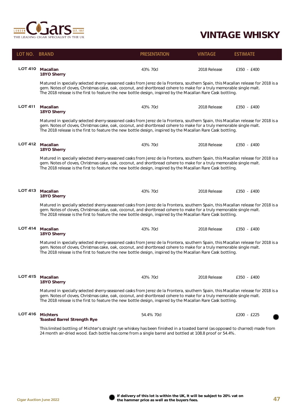

| LOT NO. BRAND  |                                                                                                                                                                                                                                                                                                                                                                            | <b>PRESENTATION</b>                                                                                                                                                                                                                  | <b>VINTAGE</b> | <b>ESTIMATE</b> |  |
|----------------|----------------------------------------------------------------------------------------------------------------------------------------------------------------------------------------------------------------------------------------------------------------------------------------------------------------------------------------------------------------------------|--------------------------------------------------------------------------------------------------------------------------------------------------------------------------------------------------------------------------------------|----------------|-----------------|--|
| <b>LOT 410</b> | <b>Macallan</b><br>18YO Sherry                                                                                                                                                                                                                                                                                                                                             | 43% 70cl                                                                                                                                                                                                                             | 2018 Release   | £350 - £400     |  |
|                | Matured in specially selected sherry-seasoned casks from Jerez de la Frontera, southern Spain, this Macallan release for 2018 is a<br>gem. Notes of cloves, Christmas cake, oak, coconut, and shortbread cohere to make for a truly memorable single malt.<br>The 2018 release is the first to feature the new bottle design, inspired by the Macallan Rare Cask bottling. |                                                                                                                                                                                                                                      |                |                 |  |
| <b>LOT 411</b> | <b>Macallan</b><br>18YO Sherry                                                                                                                                                                                                                                                                                                                                             | 43% 70cl                                                                                                                                                                                                                             | 2018 Release   | £350 - £400     |  |
|                | Matured in specially selected sherry-seasoned casks from Jerez de la Frontera, southern Spain, this Macallan release for 2018 is a<br>gem. Notes of cloves, Christmas cake, oak, coconut, and shortbread cohere to make for a truly memorable single malt.<br>The 2018 release is the first to feature the new bottle design, inspired by the Macallan Rare Cask bottling. |                                                                                                                                                                                                                                      |                |                 |  |
|                | LOT 412 Macallan<br>18YO Sherry                                                                                                                                                                                                                                                                                                                                            | 43% 70cl                                                                                                                                                                                                                             | 2018 Release   | £350 - £400     |  |
|                | Matured in specially selected sherry-seasoned casks from Jerez de la Frontera, southern Spain, this Macallan release for 2018 is a<br>gem. Notes of cloves, Christmas cake, oak, coconut, and shortbread cohere to make for a truly memorable single malt.<br>The 2018 release is the first to feature the new bottle design, inspired by the Macallan Rare Cask bottling. |                                                                                                                                                                                                                                      |                |                 |  |
|                | LOT 413 Macallan<br>18YO Sherry<br>Matured in specially selected sherry-seasoned casks from Jerez de la Frontera, southern Spain, this Macallan release for 2018 is a                                                                                                                                                                                                      | 43% 70cl                                                                                                                                                                                                                             | 2018 Release   | £350 - £400     |  |
|                |                                                                                                                                                                                                                                                                                                                                                                            | gem. Notes of cloves, Christmas cake, oak, coconut, and shortbread cohere to make for a truly memorable single malt.<br>The 2018 release is the first to feature the new bottle design, inspired by the Macallan Rare Cask bottling. |                |                 |  |
| <b>LOT 414</b> | <b>Macallan</b><br>18YO Sherry                                                                                                                                                                                                                                                                                                                                             | 43% 70cl                                                                                                                                                                                                                             | 2018 Release   | £350 - £400     |  |
|                | Matured in specially selected sherry-seasoned casks from Jerez de la Frontera, southern Spain, this Macallan release for 2018 is a<br>gem. Notes of cloves, Christmas cake, oak, coconut, and shortbread cohere to make for a truly memorable single malt.<br>The 2018 release is the first to feature the new bottle design, inspired by the Macallan Rare Cask bottling. |                                                                                                                                                                                                                                      |                |                 |  |
|                | LOT 415 Macallan<br>18YO Sherry                                                                                                                                                                                                                                                                                                                                            | 43% 70cl                                                                                                                                                                                                                             | 2018 Release   | £350 - £400     |  |
|                | Matured in specially selected sherry-seasoned casks from Jerez de la Frontera, southern Spain, this Macallan release for 2018 is a<br>gem. Notes of cloves, Christmas cake, oak, coconut, and shortbread cohere to make for a truly memorable single malt.<br>The 2018 release is the first to feature the new bottle design, inspired by the Macallan Rare Cask bottling. |                                                                                                                                                                                                                                      |                |                 |  |
| <b>LOT 416</b> | <b>Michters</b><br><b>Toasted Barrel Strength Rye</b>                                                                                                                                                                                                                                                                                                                      | 54.4% 70cl                                                                                                                                                                                                                           |                | £200 - £225     |  |

This limited bottling of Michter's straight rye whiskey has been finished in a toasted barrel (as opposed to charred) made from 24 month air-dried wood. Each bottle has come from a single barrel and bottled at 108.8 proof or 54.4%.

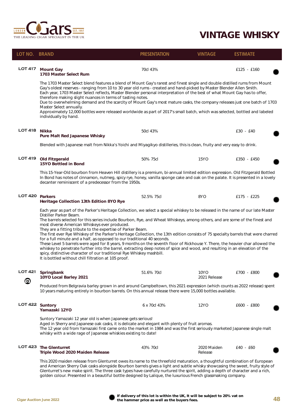

| LOT NO. BRAND   |                                                                                                                                                                                                                                                                                                                                                                                                                                                | <b>PRESENTATION</b>                                                                                                                                                                                                                                                                                                                                                                                                                                                                                                                                                                                                                                                                                                                                                                                                                                                                        | <b>VINTAGE</b>         | <b>ESTIMATE</b> |  |
|-----------------|------------------------------------------------------------------------------------------------------------------------------------------------------------------------------------------------------------------------------------------------------------------------------------------------------------------------------------------------------------------------------------------------------------------------------------------------|--------------------------------------------------------------------------------------------------------------------------------------------------------------------------------------------------------------------------------------------------------------------------------------------------------------------------------------------------------------------------------------------------------------------------------------------------------------------------------------------------------------------------------------------------------------------------------------------------------------------------------------------------------------------------------------------------------------------------------------------------------------------------------------------------------------------------------------------------------------------------------------------|------------------------|-----------------|--|
| <b>LOT 417</b>  | <b>Mount Gay</b><br>1703 Master Select Rum                                                                                                                                                                                                                                                                                                                                                                                                     | 70cl 43%                                                                                                                                                                                                                                                                                                                                                                                                                                                                                                                                                                                                                                                                                                                                                                                                                                                                                   |                        | £125 - £160     |  |
|                 | The 1703 Master Select blend features a blend of Mount Gay's rarest and finest single and double distilled rums from Mount<br>Gay's oldest reserves - ranging from 10 to 30 year old rums - created and hand-picked by Master Blender Allen Smith.<br>Each year, 1703 Master Select reflects, Master Blender personal interpretation of the best of what Mount Gay has to offer,<br>therefore making slight nuances in terms of tasting notes. |                                                                                                                                                                                                                                                                                                                                                                                                                                                                                                                                                                                                                                                                                                                                                                                                                                                                                            |                        |                 |  |
|                 | Due to overwhelming demand and the scarcity of Mount Gay's most mature casks, the company releases just one batch of 1703<br>Master Select annually.<br>Approximately 12,000 bottles were released worldwide as part of 2017's small batch, which was selected, bottled and labeled<br>individually by hand.                                                                                                                                   |                                                                                                                                                                                                                                                                                                                                                                                                                                                                                                                                                                                                                                                                                                                                                                                                                                                                                            |                        |                 |  |
| <b>LOT 418</b>  | Nikka<br><b>Pure Malt Red Japanese Whisky</b>                                                                                                                                                                                                                                                                                                                                                                                                  | 50cl 43%                                                                                                                                                                                                                                                                                                                                                                                                                                                                                                                                                                                                                                                                                                                                                                                                                                                                                   |                        | £30 - £40       |  |
|                 | Blended with Japanese malt from Nikka's Yoichi and Miyagikyo distilleries, this is clean, fruity and very easy to drink.                                                                                                                                                                                                                                                                                                                       |                                                                                                                                                                                                                                                                                                                                                                                                                                                                                                                                                                                                                                                                                                                                                                                                                                                                                            |                        |                 |  |
| <b>LOT 419</b>  | <b>Old Fitzgerald</b><br>15YO Bottled in Bond                                                                                                                                                                                                                                                                                                                                                                                                  | 50% 75cl                                                                                                                                                                                                                                                                                                                                                                                                                                                                                                                                                                                                                                                                                                                                                                                                                                                                                   | 15YO                   | £350 - £450     |  |
|                 | This 15-Year-Old bourbon from Heaven Hill distillery is a premium, bi-annual limited edition expression. Old Fitzgerald Bottled<br>In Bond has notes of cinnamon, nutmeg, spicy rye, honey, vanilla sponge cake and oak on the palate. It is presented in a lovely<br>decanter reminiscent of a predecessor from the 1950s.                                                                                                                    |                                                                                                                                                                                                                                                                                                                                                                                                                                                                                                                                                                                                                                                                                                                                                                                                                                                                                            |                        |                 |  |
| <b>LOT 420</b>  | <b>Parkers</b><br>Heritage Collection 13th Edition 8YO Rye                                                                                                                                                                                                                                                                                                                                                                                     | 52.5% 75cl                                                                                                                                                                                                                                                                                                                                                                                                                                                                                                                                                                                                                                                                                                                                                                                                                                                                                 | 8YO                    | £175 - £225     |  |
|                 | Distiller Parker Beam.<br>most diverse American Whiskeys ever produced.<br>It is bottled without chill filtration at 105 proof.                                                                                                                                                                                                                                                                                                                | Each year as part of the Parker's Heritage Collection, we select a special whiskey to be released in the name of our late Master<br>The barrels selected for this series include Bourbon, Rye, and Wheat Whiskeys, among others, and are some of the finest and<br>They are a fitting tribute to the expertise of Parker Beam.<br>The first ever Rye Whiskey of the Parker's Heritage Collection, the 13th edition consists of 75 specialty barrels that were charred<br>for a full minute and a half, as opposed to our traditional 40 seconds.<br>These Level 5 barrels were aged for 8 years, 9 months on the seventh floor of Rickhouse Y. There, the heavier char allowed the<br>whiskey to penetrate further into the barrel, extracting deep notes of spice and wood, and resulting in an elevation of the<br>spicy, distinctive character of our traditional Rye Whiskey mashbill. |                        |                 |  |
| LOT 421<br>്റീ  | Springbank<br>10YO Local Barley 2021                                                                                                                                                                                                                                                                                                                                                                                                           | 51.6% 70cl                                                                                                                                                                                                                                                                                                                                                                                                                                                                                                                                                                                                                                                                                                                                                                                                                                                                                 | 10YO<br>2021 Release   | £700 - £800     |  |
|                 | Produced from Belgravia barley grown in and around Campbeltown, this 2021 expression (which counts as 2022 release) spent<br>10 years maturing entirely in bourbon barrels. On this annual release there were 15,000 bottles available.                                                                                                                                                                                                        |                                                                                                                                                                                                                                                                                                                                                                                                                                                                                                                                                                                                                                                                                                                                                                                                                                                                                            |                        |                 |  |
| LOT 422 Suntory | Yamazaki 12YO                                                                                                                                                                                                                                                                                                                                                                                                                                  | 6 x 70cl 43%                                                                                                                                                                                                                                                                                                                                                                                                                                                                                                                                                                                                                                                                                                                                                                                                                                                                               | 12YO                   | £600 - £800     |  |
|                 | Suntory Yamazaki 12 year old is when Japanese gets serious!<br>Aged in Sherry and Japanese oak casks, it is delicate and elegant with plenty of fruit aromas.<br>The 12 year old from Yamazaki first came onto the market in 1984 and was the first seriously marketed Japanese single malt<br>whisky with a wide rage of Japanese whiskies existing to date!                                                                                  |                                                                                                                                                                                                                                                                                                                                                                                                                                                                                                                                                                                                                                                                                                                                                                                                                                                                                            |                        |                 |  |
| LOT 423         | <b>The Glenturret</b><br>Triple Wood 2020 Maiden Release                                                                                                                                                                                                                                                                                                                                                                                       | 43% 70cl                                                                                                                                                                                                                                                                                                                                                                                                                                                                                                                                                                                                                                                                                                                                                                                                                                                                                   | 2020 Maiden<br>Release | £40 - £60       |  |
|                 | This 2020 maiden release from Glenturret owes its name to the threefold maturation, a thoughtful combination of European<br>and American Sherry Oak casks alongside Routhon barrols gives a light and subtle whisky showcasing the sweet, fruity style of                                                                                                                                                                                      |                                                                                                                                                                                                                                                                                                                                                                                                                                                                                                                                                                                                                                                                                                                                                                                                                                                                                            |                        |                 |  |

and American Sherry Oak casks alongside Bourbon barrels gives a light and subtle whisky showcasing the sweet, fruity style of Glenturret's new make spirit. The three cask types have carefully nurtured the spirit, adding a depth of character and a rich, golden colour. Presented in a beautiful bottle designed by Lalique, the luxurious French glassmaking company.

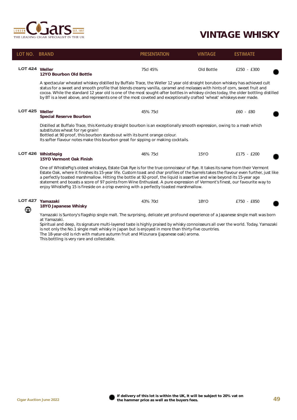

| LOT NO. BRAND  |                                                                                                                                                                                                                                                                                                                                                                                                                                                                                                                                                                                                                                | <b>PRESENTATION</b>                                                                                                                                                                                                                                                                        | <b>VINTAGE</b> | <b>ESTIMATE</b> |  |  |
|----------------|--------------------------------------------------------------------------------------------------------------------------------------------------------------------------------------------------------------------------------------------------------------------------------------------------------------------------------------------------------------------------------------------------------------------------------------------------------------------------------------------------------------------------------------------------------------------------------------------------------------------------------|--------------------------------------------------------------------------------------------------------------------------------------------------------------------------------------------------------------------------------------------------------------------------------------------|----------------|-----------------|--|--|
| <b>LOT 424</b> | Weller<br>12YO Bourbon Old Bottle                                                                                                                                                                                                                                                                                                                                                                                                                                                                                                                                                                                              | 75cl 45%                                                                                                                                                                                                                                                                                   | Old Bottle     | $£250 - £300$   |  |  |
|                | A spectacular wheated whiskey distilled by Buffalo Trace, the Weller 12 year old straight borubon whiskey has achieved cult<br>status for a sweet and smooth profile that blends creamy vanilla, caramel and molasses with hints of corn, sweet fruit and<br>cocoa. While the standard 12 year old is one of the most sought-after bottles in whiskey circles today, the older bottling distilled<br>by BT is a level above, and represents one of the most coveted and exceptionally crafted 'wheat' whiskeys ever made.                                                                                                      |                                                                                                                                                                                                                                                                                            |                |                 |  |  |
| <b>LOT 425</b> | Weller<br><b>Special Reserve Bourbon</b>                                                                                                                                                                                                                                                                                                                                                                                                                                                                                                                                                                                       | 45% 75cl                                                                                                                                                                                                                                                                                   |                | $£60 - £80$     |  |  |
|                | substitutes wheat for rye grain!                                                                                                                                                                                                                                                                                                                                                                                                                                                                                                                                                                                               | Distilled at Buffalo Trace, this Kentucky straight bourbon is an exceptionally smooth expression, owing to a mash which<br>Bottled at 90 proof, this bourbon stands out with its burnt orange colour.<br>Its softer flavour notes make this bourbon great for sipping or making cocktails. |                |                 |  |  |
| <b>LOT 426</b> | Whistlepig<br>15YO Vermont Oak Finish                                                                                                                                                                                                                                                                                                                                                                                                                                                                                                                                                                                          | 46% 75cl                                                                                                                                                                                                                                                                                   | 15YO           | £175 - £200     |  |  |
|                | One of WhistlePig's oldest whiskeys, Estate Oak Rye is for the true connoisseur of Rye. It takes its name from their Vermont<br>Estate Oak, where it finishes its 15-year life. Custom toast and char profiles of the barrels takes the flavour even further, just like<br>a perfectly toasted marshmallow. Hitting the bottle at 92-proof, the liquid is assertive and wise beyond its 15-year age<br>statement and boasts a score of 97 points from Wine Enthusiast. A pure expression of Vermont's finest, our favourite way to<br>enjoy WhistlePig 15 is fireside on a crisp evening with a perfectly toasted marshmallow. |                                                                                                                                                                                                                                                                                            |                |                 |  |  |

| <b>LOT 427</b> | Yamazaki             | 43% 70cl<br>. | 18YC | <b>£750</b><br>£850<br>. |
|----------------|----------------------|---------------|------|--------------------------|
|                | 18YO Japanese Whisky |               |      |                          |



Yamazaki is Suntory's flagship single malt. The surprising, delicate yet profound experience of a Japanese single malt was born at Yamazaki.

Spiritual and deep, its signature multi-layered taste is highly praised by whisky connoisseurs all over the world. Today, Yamazaki is not only the No.1 single malt whisky in Japan but is enjoyed in more than thirty-five countries. The 18-year-old is rich with mature autumn fruit and Mizunara (Japanese oak) aroma. This bottling is very rare and collectable.

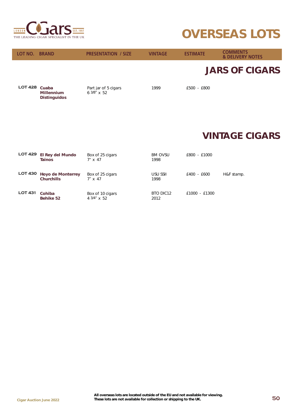

# *OVERSEAS LOTS*

| LOT NO. I      | <b>BRAND</b>                                      | <b>PRESENTATION / SIZE</b>           | <b>VINTAGE</b>         | <b>ESTIMATE</b> | <b>COMMENTS</b><br><b>&amp; DELIVERY NOTES</b> |
|----------------|---------------------------------------------------|--------------------------------------|------------------------|-----------------|------------------------------------------------|
|                |                                                   |                                      |                        |                 | <b>JARS OF CIGARS</b>                          |
| <b>LOT 428</b> | Cuaba<br><b>Millennium</b><br><b>Distinguidos</b> | Part jar of 5 cigars<br>$63/8"$ x 52 | 1999                   | £500 - £800     |                                                |
|                |                                                   |                                      |                        |                 | <b><i>VINTAGE CIGARS</i></b>                   |
| <b>LOT 429</b> | <b>El Rey del Mundo</b><br><b>Tainos</b>          | Box of 25 cigars<br>$7'' \times 47$  | <b>BM OVSU</b><br>1998 | £800 - £1000    |                                                |
| <b>LOT 430</b> | <b>Hoyo de Monterrey</b><br><b>Churchills</b>     | Box of 25 cigars<br>$7'' \times 47$  | USU SSII<br>1998       | £400 - £600     | H&F stamp.                                     |

BTO DIC12 2012

£1000 - £1300

**LOT 431** *Cohiba Behike 52* Box of 10 cigars 4 3/4" x 52

| All overseas lots are located outside of the EU and not available for viewing. |    |
|--------------------------------------------------------------------------------|----|
| These lots are not available for collection or shipping to the UK.             | 50 |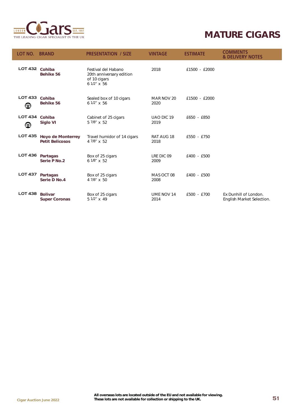

| LOT NO.             | <b>BRAND</b>                                       | <b>PRESENTATION / SIZE</b>                                                       | <b>VINTAGE</b>     | <b>ESTIMATE</b> | <b>COMMENTS</b><br><b>&amp; DELIVERY NOTES</b>     |
|---------------------|----------------------------------------------------|----------------------------------------------------------------------------------|--------------------|-----------------|----------------------------------------------------|
| <b>LOT 432</b>      | Cohiba<br><b>Behike 56</b>                         | Festival del Habano<br>20th anniversary edition<br>of 10 cigars<br>$61/2$ " x 56 | 2018               | £1500 - £2000   |                                                    |
| <b>LOT 433</b><br>❻ | Cohiba<br><b>Behike 56</b>                         | Sealed box of 10 cigars<br>$61/2$ " x 56                                         | MAR NOV 20<br>2020 | £1500 - £2000   |                                                    |
| <b>LOT 434</b><br>❺ | Cohiba<br>Siglo VI                                 | Cabinet of 25 cigars<br>5 7/8" x 52                                              | UAO DIC 19<br>2019 | £650 - £850     |                                                    |
| <b>LOT 435</b>      | <b>Hoyo de Monterrey</b><br><b>Petit Belicosos</b> | Travel humidor of 14 cigars<br>4 7/8" x 52                                       | RAT AUG 18<br>2018 | £550 - £750     |                                                    |
| <b>LOT 436</b>      | Partagas<br>Serie P No.2                           | Box of 25 cigars<br>6 1/8" x 52                                                  | LRE DIC 09<br>2009 | £400 - £500     |                                                    |
| <b>LOT 437</b>      | Partagas<br>Serie D No.4                           | Box of 25 cigars<br>4 7/8" x 50                                                  | MAS OCT 08<br>2008 | £400 - £500     |                                                    |
| <b>LOT 438</b>      | <b>Bolivar</b><br><b>Super Coronas</b>             | Box of 25 cigars<br>$51/2$ " x 49                                                | UME NOV 14<br>2014 | £500 - £700     | Ex Dunhill of London.<br>English Market Selection. |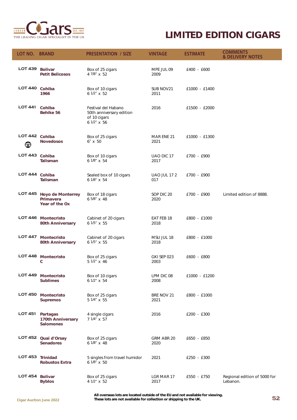

| LOT NO.             | <b>BRAND</b>                                             | <b>PRESENTATION / SIZE</b>                                                     | <b>VINTAGE</b>            | <b>ESTIMATE</b> | <b>COMMENTS</b><br><b>&amp; DELIVERY NOTES</b> |
|---------------------|----------------------------------------------------------|--------------------------------------------------------------------------------|---------------------------|-----------------|------------------------------------------------|
| LOT 439 Bolivar     | <b>Petit Belicosos</b>                                   | Box of 25 cigars<br>4 7/8" x 52                                                | MPE JUL 09<br>2009        | £400 - £600     |                                                |
| LOT 440 Cohiba      | 1966                                                     | Box of 10 cigars<br>$61/2$ " x 52                                              | SUB NOV21<br>2011         | £1000 - £1400   |                                                |
| LOT 441 Cohiba      | <b>Behike 56</b>                                         | Festival del Habano<br>50th anniversary edition<br>of 10 cigars<br>6 1/2" x 56 | 2016                      | £1500 - £2000   |                                                |
| LOT 442 Cohiba<br>❻ | <b>Novedosos</b>                                         | Box of 25 cigars<br>$6'' \times 50$                                            | MAR ENE 21<br>2021        | £1000 - £1300   |                                                |
| <b>LOT 443</b>      | Cohiba<br><b>Talisman</b>                                | Box of 10 cigars<br>6 1/8" x 54                                                | UAO DIC 17<br>2017        | £700 - £900     |                                                |
| LOT 444 Cohiba      | <b>Talisman</b>                                          | Sealed box of 10 cigars<br>6 1/8" x 54                                         | <b>UAO JUL 172</b><br>017 | £700 - £900     |                                                |
|                     | LOT 445 Hoyo de Monterrey<br>Primavera<br>Year of the Ox | Box of 18 cigars<br>6 5/8" x 48                                                | SOP DIC 20<br>2020        | £700 - £900     | Limited edition of 8888.                       |
|                     | LOT 446 Montecristo<br><b>80th Anniversary</b>           | Cabinet of 20 cigars<br>6 1/5" x 55                                            | EAT FEB 18<br>2018        | £800 - £1000    |                                                |
| <b>LOT 447</b>      | Montecristo<br><b>80th Anniversary</b>                   | Cabinet of 20 cigars<br>$61/5$ " x 55                                          | MSU JUL 18<br>2018        | £800 - £1000    |                                                |
|                     | LOT 448 Montecristo<br>C                                 | Box of 25 cigars<br>5 1/2" x 46                                                | GKI SEP 023<br>2003       | £600 - £800     |                                                |
|                     | LOT 449 Montecristo<br><b>Sublimes</b>                   | Box of 10 cigars<br>6 1/2" x 54                                                | LPM DIC 08<br>2008        | £1000 - £1200   |                                                |
|                     | LOT 450 Montecristo<br><b>Supremos</b>                   | Box of 25 cigars<br>5 1/4" x 55                                                | BRE NOV 21<br>2021        | £800 - £1000    |                                                |
| <b>LOT 451</b>      | Partagas<br>170th Anniversary<br><b>Salomones</b>        | 4 single cigars<br>7 1/4" x 57                                                 | 2016                      | £200 - £300     |                                                |
|                     | LOT 452 Quai d'Orsay<br><b>Senadores</b>                 | Box of 25 cigars<br>6 1/8" x 48                                                | GRM ABR 20<br>2020        | £650 - £850     |                                                |
| <b>LOT 453</b>      | <b>Trinidad</b><br><b>Robustos Extra</b>                 | 5 singles from travel humidor<br>6 1/8" x 50                                   | 2021                      | £250 - £300     |                                                |
| LOT 454 Bolivar     | <b>Byblos</b>                                            | Box of 25 cigars<br>4 1/2" x 52                                                | LGR MAR 17<br>2017        | £550 - £750     | Regional edition of 5000 for<br>Lebanon.       |

**52** *All overseas lots are located outside of the EU and not available for viewing. These lots are not available for collection or shipping to the UK.*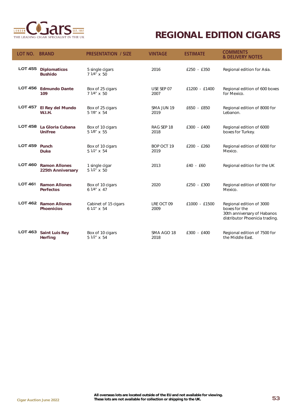

| LOT NO.        | <b>BRAND</b>                                     | <b>PRESENTATION / SIZE</b>            | <b>VINTAGE</b>     | <b>ESTIMATE</b> | <b>COMMENTS</b><br><b>&amp; DELIVERY NOTES</b>                                                             |
|----------------|--------------------------------------------------|---------------------------------------|--------------------|-----------------|------------------------------------------------------------------------------------------------------------|
| <b>LOT 455</b> | <b>Diplomaticos</b><br><b>Bushido</b>            | 5 single cigars<br>7 1/4" x 50        | 2016               | £250 - £350     | Regional edition for Asia.                                                                                 |
| <b>LOT 456</b> | <b>Edmundo Dante</b><br>109                      | Box of 25 cigars<br>$71/4''$ x 50     | USE SEP 07<br>2007 | £1200 - £1400   | Regional edition of 600 boxes<br>for Mexico.                                                               |
| <b>LOT 457</b> | <b>El Rey del Mundo</b><br>W.I.H.                | Box of 25 cigars<br>5 7/8" x 54       | SMA JUN 19<br>2019 | £650 - £850     | Regional edition of 8000 for<br>Lebanon.                                                                   |
| <b>LOT 458</b> | La Gloria Cubana<br><b>Unifree</b>               | Box of 10 cigars<br>5 1/8" x 55       | RAG SEP 18<br>2018 | £300 - £400     | Regional edition of 6000<br>boxes for Turkey.                                                              |
| <b>LOT 459</b> | Punch<br><b>Duke</b>                             | Box of 10 cigars<br>5 1/2" x 54       | BOP OCT 19<br>2019 | $£200 - £260$   | Regional edition of 6000 for<br>Mexico.                                                                    |
| <b>LOT 460</b> | <b>Ramon Allones</b><br><b>225th Anniversary</b> | 1 single cigar<br>5 1/2" x 50         | 2013               | $E40 - E60$     | Regional edition for the UK                                                                                |
| <b>LOT 461</b> | <b>Ramon Allones</b><br><b>Perfectos</b>         | Box of 10 cigars<br>6 1/4" x 47       | 2020               | £250 - £300     | Regional edition of 6000 for<br>Mexico.                                                                    |
| <b>LOT 462</b> | <b>Ramon Allones</b><br><b>Phoenicios</b>        | Cabinet of 15 cigars<br>$61/2$ " x 54 | LRE OCT 09<br>2009 | £1000 - £1500   | Regional edition of 3000<br>boxes for the<br>30th anniversary of Habanos<br>distributor Phoenicia trading. |
| <b>LOT 463</b> | <b>Saint Luis Rey</b><br><b>Herfing</b>          | Box of 10 cigars<br>$51/2$ " x 54     | SMA AGO 18<br>2018 | £300 - £400     | Regional edition of 7500 for<br>the Middle East.                                                           |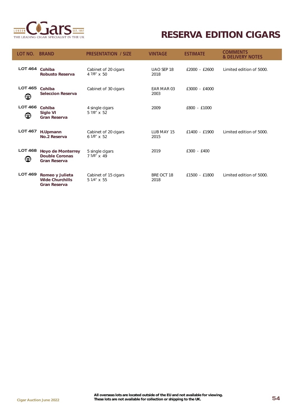

### *RESERVA EDITION CIGARS*

| LOT NO.             | <b>BRAND</b>                                                             | <b>PRESENTATION / SIZE</b>                 | <b>VINTAGE</b>     | <b>ESTIMATE</b> | <b>COMMENTS</b><br><b>&amp; DELIVERY NOTES</b> |
|---------------------|--------------------------------------------------------------------------|--------------------------------------------|--------------------|-----------------|------------------------------------------------|
| <b>LOT 464</b>      | Cohiba<br><b>Robusto Reserva</b>                                         | Cabinet of 20 cigars<br>$47/8'' \times 50$ | UAO SEP 18<br>2018 | £2000 - £2600   | Limited edition of 5000.                       |
| <b>LOT 465</b><br>❻ | Cohiba<br><b>Seleccion Reserva</b>                                       | Cabinet of 30 cigars                       | EAR MAR 03<br>2003 | £3000 - £4000   |                                                |
| <b>LOT 466</b><br>ௌ | Cohiba<br>Siglo VI<br><b>Gran Reserva</b>                                | 4 single cigars<br>$57/8$ " x 52           | 2009               | £800 - £1000    |                                                |
| <b>LOT 467</b>      | H.Upmann<br>No.2 Reserva                                                 | Cabinet of 20 cigars<br>$61/8''$ x 52      | LUB MAY 15<br>2015 | £1400 - £1900   | Limited edition of 5000.                       |
| <b>LOT 468</b><br>❻ | <b>Hoyo de Monterrey</b><br><b>Double Coronas</b><br><b>Gran Reserva</b> | 5 single cigars<br>7 5/8" x 49             | 2019               | £300 - £400     |                                                |
| <b>LOT 469</b>      | Romeo y Julieta<br><b>Wide Churchills</b><br><b>Gran Reserva</b>         | Cabinet of 15 cigars<br>$51/4''$ x 55      | BRE OCT 18<br>2018 | £1500 - £1800   | Limited edition of 5000.                       |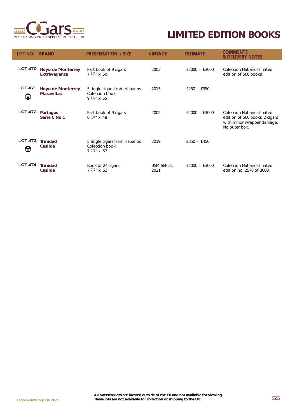

### *LIMITED EDITION BOOKS*

| LOT NO.             | <b>BRAND</b>                                  | <b>PRESENTATION / SIZE</b>                                           | <b>VINTAGE</b>            | <b>ESTIMATE</b> | <b>COMMENTS</b><br><b>&amp; DELIVERY NOTES</b>                                                                    |
|---------------------|-----------------------------------------------|----------------------------------------------------------------------|---------------------------|-----------------|-------------------------------------------------------------------------------------------------------------------|
| <b>LOT 470</b>      | <b>Hoyo de Monterrey</b><br>Extravaganza      | Part book of 9 cigars<br>7 1/8" x 50                                 | 2003                      | £2000 - £3000   | <b>Coleccion Habanos limited</b><br>edition of 500 books.                                                         |
| <b>LOT 471</b><br>❺ | <b>Hoyo de Monterrey</b><br><b>Maravillas</b> | 5 single cigars from Habanos<br>Coleccion book<br>$91/4'' \times 55$ | 2015                      | £250 - £350     |                                                                                                                   |
| <b>LOT 472</b>      | Partagas<br>Serie C No.1                      | Part book of 9 cigars<br>$63/4''$ x 48                               | 2002                      | £2000 - £3000   | <b>Coleccion Habanos limited</b><br>edition of 500 books. 2 cigars<br>with minor wrapper damage.<br>No outer box. |
| <b>LOT 473</b><br>ඏ | <b>Trinidad</b><br>Casilda                    | 5 single cigars from Habanos<br>Coleccion book<br>$72/7$ " x 53      | 2019                      | £350 - £450     |                                                                                                                   |
| <b>LOT 474</b>      | <b>Trinidad</b><br>Casilda                    | Book of 24 cigars<br>$72/7$ " x 53                                   | <b>BSM SEP 21</b><br>2021 | £2000 - £3000   | <b>Coleccion Habanos limited</b><br>edition no. 2578 of 3000.                                                     |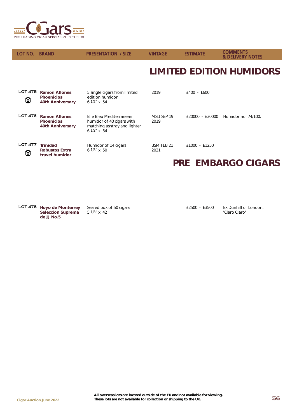

| <b>LOT NO. BRAND</b> |                                                                      | <b>PRESENTATION / SIZE</b>                                                                            | <b>VINTAGE</b>            | <b>ESTIMATE</b> | <b>COMMENTS</b><br><b>&amp; DELIVERY NOTES</b> |
|----------------------|----------------------------------------------------------------------|-------------------------------------------------------------------------------------------------------|---------------------------|-----------------|------------------------------------------------|
|                      |                                                                      |                                                                                                       |                           |                 | <b>LIMITED EDITION HUMIDORS</b>                |
| <b>LOT 475</b><br>❺  | <b>Ramon Allones</b><br><b>Phoenicios</b><br><b>40th Anniversary</b> | 5 single cigars from limited<br>edition humidor<br>$61/2$ " x 54                                      | 2019                      | £400 - £600     |                                                |
| <b>LOT 476</b>       | <b>Ramon Allones</b><br><b>Phoenicios</b><br><b>40th Anniversary</b> | Elie Bleu Mediterranean<br>humidor of 40 cigars with<br>matching ashtray and lighter<br>$61/2$ " x 54 | MSU SEP 19<br>2019        | £20000 - £30000 | Humidor no. 74/100.                            |
| <b>LOT 477</b><br>ക  | <b>Trinidad</b><br><b>Robustos Extra</b><br>travel humidor           | Humidor of 14 cigars<br>$61/8'' \times 50$                                                            | <b>BSM FEB 21</b><br>2021 | £1000 - £1250   | <b>PRE EMBARGO CIGARS</b>                      |

**LOT 478** *Hoyo de Monterrey Seleccion Suprema de JJ No.5*

Sealed box of 50 cigars 5 1/8" x 42

£2500 - £3500 Ex Dunhill of London. 'Claro Claro'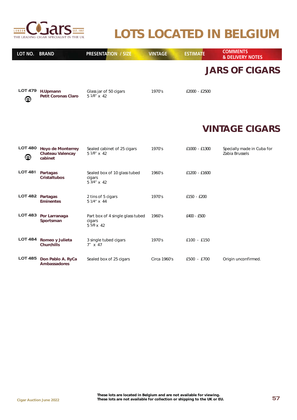

# *LOTS LOCATED IN BELGIUM*

| LOT NO.             | <b>BRAND</b>                                            | <b>PRESENTATION / SIZE</b>                                     | <b>VINTAGE</b> | <b>ESTIMATE</b> | <b>COMMENTS</b><br><b>&amp; DELIVERY NOTES</b> |
|---------------------|---------------------------------------------------------|----------------------------------------------------------------|----------------|-----------------|------------------------------------------------|
|                     |                                                         |                                                                |                |                 | <b>JARS OF CIGARS</b>                          |
| <b>LOT 479</b><br>❺ | H.Upmann<br><b>Petit Coronas Claro</b>                  | Glass jar of 50 cigars<br>5 1/8" x 42                          | 1970's         | £2000 - £2500   |                                                |
|                     |                                                         |                                                                |                |                 | <i><b>VINTAGE CIGARS</b></i>                   |
| <b>LOT 480</b><br>❺ | <b>Hoyo de Monterrey</b><br>Chateau Valencay<br>cabinet | Sealed cabinet of 25 cigars<br>5 1/8" x 42                     | 1970's         | £1000 - £1300   | Specially made in Cuba for<br>Zabia Brussels   |
| <b>LOT 481</b>      | <b>Partagas</b><br><b>Cristaltubos</b>                  | Sealed box of 10 glass tubed<br>cigars<br>$53/4'' \times 42$   | 1960's         | £1200 - £1600   |                                                |
| LOT 482 Partagas    | <b>Eminentes</b>                                        | 2 tins of 5 cigars<br>5 1/4" x 44                              | 1970's         | £150 - £200     |                                                |
| <b>LOT 483</b>      | Por Larranaga<br>Sportsman                              | Part box of 4 single glass tubed<br>cigars<br>$55/8 \times 42$ | 1960's         | £400 - £500     |                                                |
| <b>LOT 484</b>      | Romeo y Julieta<br><b>Churchills</b>                    | 3 single tubed cigars<br>$7'' \times 47$                       | 1970's         | £100 - £150     |                                                |
| <b>LOT 485</b>      | Don Pablo A. RyCa<br><b>Ambassadores</b>                | Sealed box of 25 cigars                                        | Circa 1960's   | £500 - £700     | Origin unconfirmed.                            |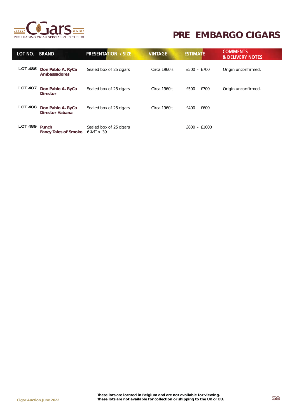

#### *PRE EMBARGO CIGARS*

| LOT NO.        | <b>BRAND</b>                                | <b>PRESENTATION / SIZE</b>               | <b>VINTAGE</b> | <b>ESTIMATE</b> | <b>COMMENTS</b><br><b>&amp; DELIVERY NOTES</b> |
|----------------|---------------------------------------------|------------------------------------------|----------------|-----------------|------------------------------------------------|
| <b>LOT 486</b> | Don Pablo A. RyCa<br><b>Ambassadores</b>    | Sealed box of 25 cigars                  | Circa 1960's   | £500 - £700     | Origin unconfirmed.                            |
| <b>LOT 487</b> | Don Pablo A. RyCa<br><b>Director</b>        | Sealed box of 25 cigars                  | Circa 1960's   | £500 - £700     | Origin unconfirmed.                            |
| <b>LOT 488</b> | Don Pablo A. RyCa<br><b>Director Habana</b> | Sealed box of 25 cigars                  | Circa 1960's   | £400 - £600     |                                                |
| <b>LOT 489</b> | Punch<br><b>Fancy Tales of Smoke</b>        | Sealed box of 25 cigars<br>$63/4''$ x 39 |                | £800 - £1000    |                                                |